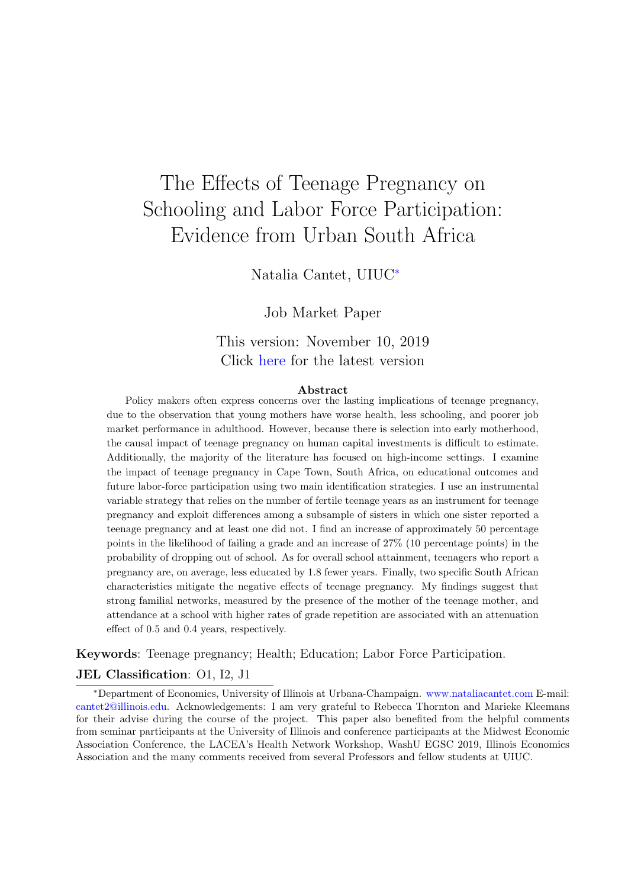# <span id="page-0-0"></span>The Effects of Teenage Pregnancy on Schooling and Labor Force Participation: Evidence from Urban South Africa

Natalia Cantet, UIUC<sup>∗</sup>

Job Market Paper

# This version: November 10, 2019 Click [here](http://papers.nataliacantet.com/Teenage%20pregnancy%20-%20Cantet.pdf) for the latest version

#### Abstract

Policy makers often express concerns over the lasting implications of teenage pregnancy, due to the observation that young mothers have worse health, less schooling, and poorer job market performance in adulthood. However, because there is selection into early motherhood, the causal impact of teenage pregnancy on human capital investments is difficult to estimate. Additionally, the majority of the literature has focused on high-income settings. I examine the impact of teenage pregnancy in Cape Town, South Africa, on educational outcomes and future labor-force participation using two main identification strategies. I use an instrumental variable strategy that relies on the number of fertile teenage years as an instrument for teenage pregnancy and exploit differences among a subsample of sisters in which one sister reported a teenage pregnancy and at least one did not. I find an increase of approximately 50 percentage points in the likelihood of failing a grade and an increase of 27% (10 percentage points) in the probability of dropping out of school. As for overall school attainment, teenagers who report a pregnancy are, on average, less educated by 1.8 fewer years. Finally, two specific South African characteristics mitigate the negative effects of teenage pregnancy. My findings suggest that strong familial networks, measured by the presence of the mother of the teenage mother, and attendance at a school with higher rates of grade repetition are associated with an attenuation effect of 0.5 and 0.4 years, respectively.

Keywords: Teenage pregnancy; Health; Education; Labor Force Participation.

#### JEL Classification: O1, I2, J1

<sup>∗</sup>Department of Economics, University of Illinois at Urbana-Champaign. <www.nataliacantet.com> E-mail: [cantet2@illinois.edu.](mailto:cantet2@illinois.edu) Acknowledgements: I am very grateful to Rebecca Thornton and Marieke Kleemans for their advise during the course of the project. This paper also benefited from the helpful comments from seminar participants at the University of Illinois and conference participants at the Midwest Economic Association Conference, the LACEA's Health Network Workshop, WashU EGSC 2019, Illinois Economics Association and the many comments received from several Professors and fellow students at UIUC.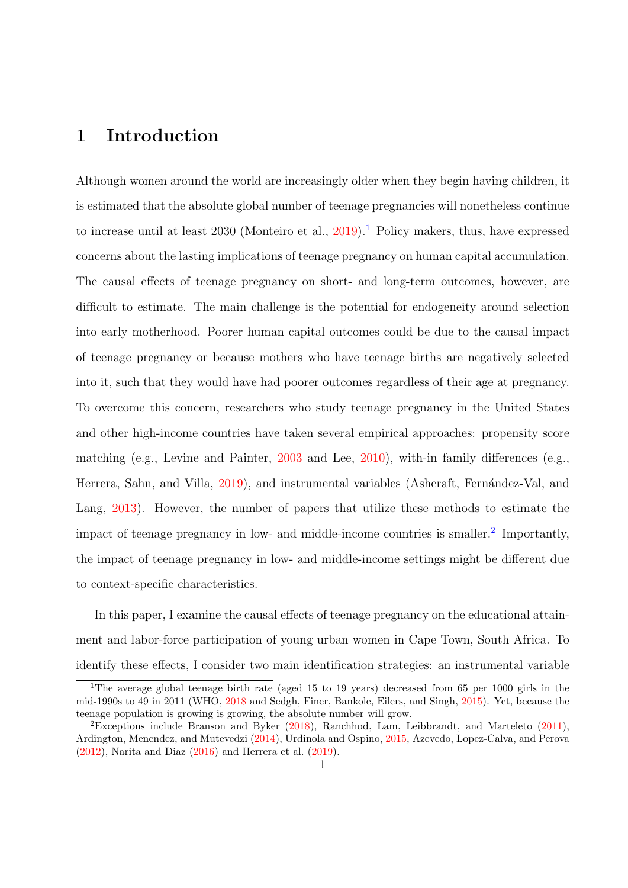# 1 Introduction

Although women around the world are increasingly older when they begin having children, it is estimated that the absolute global number of teenage pregnancies will nonetheless continue to increase until at least 2030 (Monteiro et al.,  $2019$  $2019$  $2019$ ).<sup>1</sup> Policy makers, thus, have expressed concerns about the lasting implications of teenage pregnancy on human capital accumulation. The causal effects of teenage pregnancy on short- and long-term outcomes, however, are difficult to estimate. The main challenge is the potential for endogeneity around selection into early motherhood. Poorer human capital outcomes could be due to the causal impact of teenage pregnancy or because mothers who have teenage births are negatively selected into it, such that they would have had poorer outcomes regardless of their age at pregnancy. To overcome this concern, researchers who study teenage pregnancy in the United States and other high-income countries have taken several empirical approaches: propensity score matching (e.g., Levine and Painter, [2003](#page-49-0) and Lee, [2010\)](#page-49-1), with-in family differences (e.g., Herrera, Sahn, and Villa, [2019\)](#page-48-0), and instrumental variables (Ashcraft, Fernández-Val, and Lang, [2013\)](#page-47-0). However, the number of papers that utilize these methods to estimate the impact of teenage pregnancy in low- and middle-income countries is smaller.<sup>[2](#page-0-0)</sup> Importantly, the impact of teenage pregnancy in low- and middle-income settings might be different due to context-specific characteristics.

In this paper, I examine the causal effects of teenage pregnancy on the educational attainment and labor-force participation of young urban women in Cape Town, South Africa. To identify these effects, I consider two main identification strategies: an instrumental variable

<sup>&</sup>lt;sup>1</sup>The average global teenage birth rate (aged 15 to 19 years) decreased from 65 per 1000 girls in the mid-1990s to 49 in 2011 (WHO, [2018](#page-51-0) and Sedgh, Finer, Bankole, Eilers, and Singh, [2015\)](#page-51-1). Yet, because the teenage population is growing is growing, the absolute number will grow.

<sup>&</sup>lt;sup>2</sup>Exceptions include Branson and Byker  $(2018)$ , Ranchhod, Lam, Leibbrandt, and Marteleto  $(2011)$ , Ardington, Menendez, and Mutevedzi [\(2014\)](#page-47-2), Urdinola and Ospino, [2015,](#page-51-3) Azevedo, Lopez-Calva, and Perova [\(2012\)](#page-47-3), Narita and Diaz [\(2016\)](#page-50-1) and Herrera et al. [\(2019\)](#page-48-0).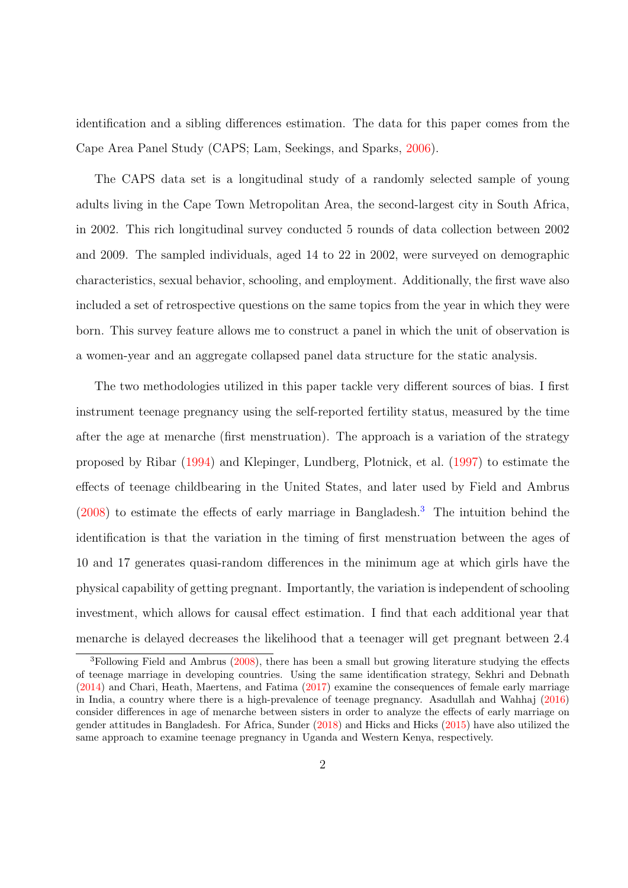identification and a sibling differences estimation. The data for this paper comes from the Cape Area Panel Study (CAPS; Lam, Seekings, and Sparks, [2006\)](#page-49-2).

The CAPS data set is a longitudinal study of a randomly selected sample of young adults living in the Cape Town Metropolitan Area, the second-largest city in South Africa, in 2002. This rich longitudinal survey conducted 5 rounds of data collection between 2002 and 2009. The sampled individuals, aged 14 to 22 in 2002, were surveyed on demographic characteristics, sexual behavior, schooling, and employment. Additionally, the first wave also included a set of retrospective questions on the same topics from the year in which they were born. This survey feature allows me to construct a panel in which the unit of observation is a women-year and an aggregate collapsed panel data structure for the static analysis.

The two methodologies utilized in this paper tackle very different sources of bias. I first instrument teenage pregnancy using the self-reported fertility status, measured by the time after the age at menarche (first menstruation). The approach is a variation of the strategy proposed by Ribar [\(1994\)](#page-51-4) and Klepinger, Lundberg, Plotnick, et al. [\(1997\)](#page-49-3) to estimate the effects of teenage childbearing in the United States, and later used by Field and Ambrus [\(2008\)](#page-48-1) to estimate the effects of early marriage in Bangladesh.[3](#page-0-0) The intuition behind the identification is that the variation in the timing of first menstruation between the ages of 10 and 17 generates quasi-random differences in the minimum age at which girls have the physical capability of getting pregnant. Importantly, the variation is independent of schooling investment, which allows for causal effect estimation. I find that each additional year that menarche is delayed decreases the likelihood that a teenager will get pregnant between 2.4

 ${}^{3}$ Following Field and Ambrus [\(2008\)](#page-48-1), there has been a small but growing literature studying the effects of teenage marriage in developing countries. Using the same identification strategy, Sekhri and Debnath [\(2014\)](#page-51-5) and Chari, Heath, Maertens, and Fatima [\(2017\)](#page-47-4) examine the consequences of female early marriage in India, a country where there is a high-prevalence of teenage pregnancy. Asadullah and Wahhaj [\(2016\)](#page-47-5) consider differences in age of menarche between sisters in order to analyze the effects of early marriage on gender attitudes in Bangladesh. For Africa, Sunder [\(2018\)](#page-51-6) and Hicks and Hicks [\(2015\)](#page-48-2) have also utilized the same approach to examine teenage pregnancy in Uganda and Western Kenya, respectively.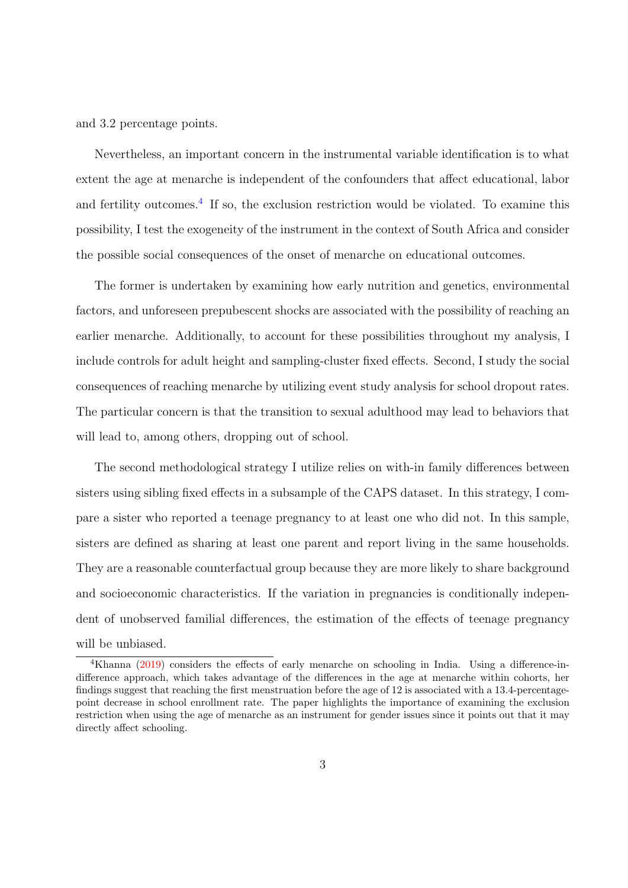and 3.2 percentage points.

Nevertheless, an important concern in the instrumental variable identification is to what extent the age at menarche is independent of the confounders that affect educational, labor and fertility outcomes.<sup>[4](#page-0-0)</sup> If so, the exclusion restriction would be violated. To examine this possibility, I test the exogeneity of the instrument in the context of South Africa and consider the possible social consequences of the onset of menarche on educational outcomes.

The former is undertaken by examining how early nutrition and genetics, environmental factors, and unforeseen prepubescent shocks are associated with the possibility of reaching an earlier menarche. Additionally, to account for these possibilities throughout my analysis, I include controls for adult height and sampling-cluster fixed effects. Second, I study the social consequences of reaching menarche by utilizing event study analysis for school dropout rates. The particular concern is that the transition to sexual adulthood may lead to behaviors that will lead to, among others, dropping out of school.

The second methodological strategy I utilize relies on with-in family differences between sisters using sibling fixed effects in a subsample of the CAPS dataset. In this strategy, I compare a sister who reported a teenage pregnancy to at least one who did not. In this sample, sisters are defined as sharing at least one parent and report living in the same households. They are a reasonable counterfactual group because they are more likely to share background and socioeconomic characteristics. If the variation in pregnancies is conditionally independent of unobserved familial differences, the estimation of the effects of teenage pregnancy will be unbiased.

<sup>4</sup>Khanna [\(2019\)](#page-49-4) considers the effects of early menarche on schooling in India. Using a difference-indifference approach, which takes advantage of the differences in the age at menarche within cohorts, her findings suggest that reaching the first menstruation before the age of 12 is associated with a 13.4-percentagepoint decrease in school enrollment rate. The paper highlights the importance of examining the exclusion restriction when using the age of menarche as an instrument for gender issues since it points out that it may directly affect schooling.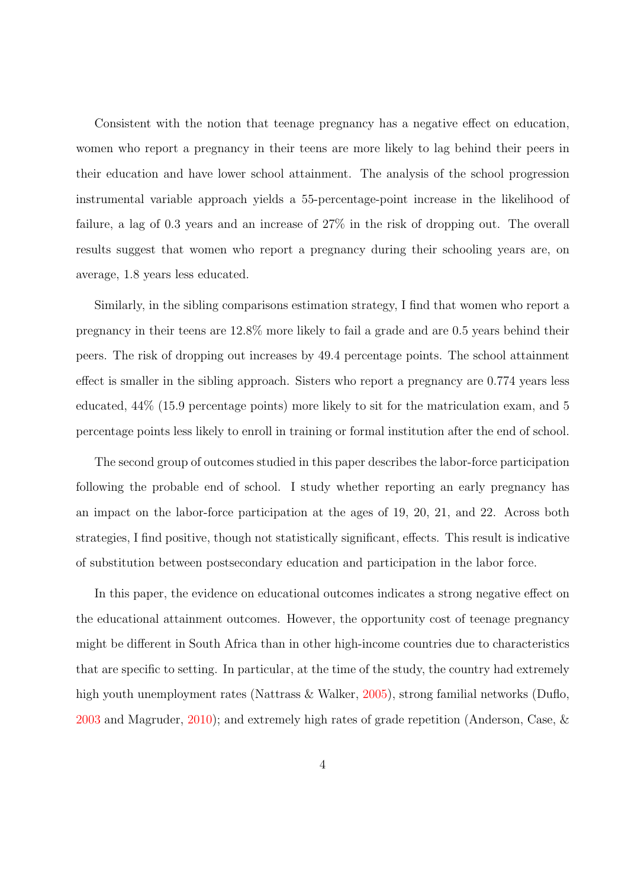Consistent with the notion that teenage pregnancy has a negative effect on education, women who report a pregnancy in their teens are more likely to lag behind their peers in their education and have lower school attainment. The analysis of the school progression instrumental variable approach yields a 55-percentage-point increase in the likelihood of failure, a lag of 0.3 years and an increase of 27% in the risk of dropping out. The overall results suggest that women who report a pregnancy during their schooling years are, on average, 1.8 years less educated.

Similarly, in the sibling comparisons estimation strategy, I find that women who report a pregnancy in their teens are 12.8% more likely to fail a grade and are 0.5 years behind their peers. The risk of dropping out increases by 49.4 percentage points. The school attainment effect is smaller in the sibling approach. Sisters who report a pregnancy are 0.774 years less educated, 44% (15.9 percentage points) more likely to sit for the matriculation exam, and 5 percentage points less likely to enroll in training or formal institution after the end of school.

The second group of outcomes studied in this paper describes the labor-force participation following the probable end of school. I study whether reporting an early pregnancy has an impact on the labor-force participation at the ages of 19, 20, 21, and 22. Across both strategies, I find positive, though not statistically significant, effects. This result is indicative of substitution between postsecondary education and participation in the labor force.

In this paper, the evidence on educational outcomes indicates a strong negative effect on the educational attainment outcomes. However, the opportunity cost of teenage pregnancy might be different in South Africa than in other high-income countries due to characteristics that are specific to setting. In particular, at the time of the study, the country had extremely high youth unemployment rates (Nattrass & Walker, [2005\)](#page-50-2), strong familial networks (Duflo, [2003](#page-48-3) and Magruder, [2010\)](#page-50-3); and extremely high rates of grade repetition (Anderson, Case, &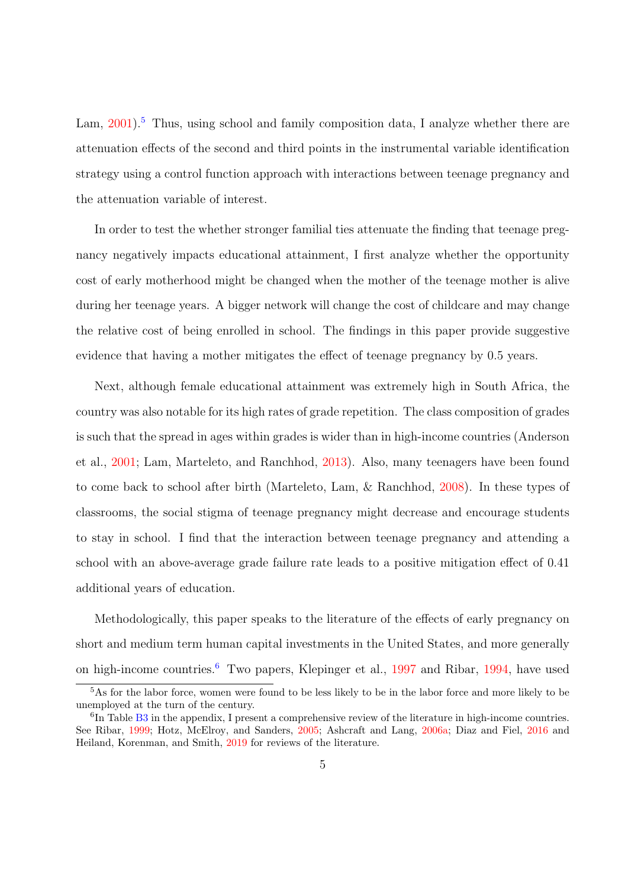Lam,  $2001$ <sup>[5](#page-0-0)</sup>. Thus, using school and family composition data, I analyze whether there are attenuation effects of the second and third points in the instrumental variable identification strategy using a control function approach with interactions between teenage pregnancy and the attenuation variable of interest.

In order to test the whether stronger familial ties attenuate the finding that teenage pregnancy negatively impacts educational attainment, I first analyze whether the opportunity cost of early motherhood might be changed when the mother of the teenage mother is alive during her teenage years. A bigger network will change the cost of childcare and may change the relative cost of being enrolled in school. The findings in this paper provide suggestive evidence that having a mother mitigates the effect of teenage pregnancy by 0.5 years.

Next, although female educational attainment was extremely high in South Africa, the country was also notable for its high rates of grade repetition. The class composition of grades is such that the spread in ages within grades is wider than in high-income countries (Anderson et al., [2001;](#page-47-6) Lam, Marteleto, and Ranchhod, [2013\)](#page-49-5). Also, many teenagers have been found to come back to school after birth (Marteleto, Lam, & Ranchhod, [2008\)](#page-50-4). In these types of classrooms, the social stigma of teenage pregnancy might decrease and encourage students to stay in school. I find that the interaction between teenage pregnancy and attending a school with an above-average grade failure rate leads to a positive mitigation effect of 0.41 additional years of education.

Methodologically, this paper speaks to the literature of the effects of early pregnancy on short and medium term human capital investments in the United States, and more generally on high-income countries.[6](#page-0-0) Two papers, Klepinger et al., [1997](#page-49-3) and Ribar, [1994,](#page-51-4) have used

<sup>5</sup>As for the labor force, women were found to be less likely to be in the labor force and more likely to be unemployed at the turn of the century.

<sup>&</sup>lt;sup>6</sup>In Table [B3](#page-61-0) in the appendix, I present a comprehensive review of the literature in high-income countries. See Ribar, [1999;](#page-51-7) Hotz, McElroy, and Sanders, [2005;](#page-49-6) Ashcraft and Lang, [2006a;](#page-47-7) Diaz and Fiel, [2016](#page-48-4) and Heiland, Korenman, and Smith, [2019](#page-48-5) for reviews of the literature.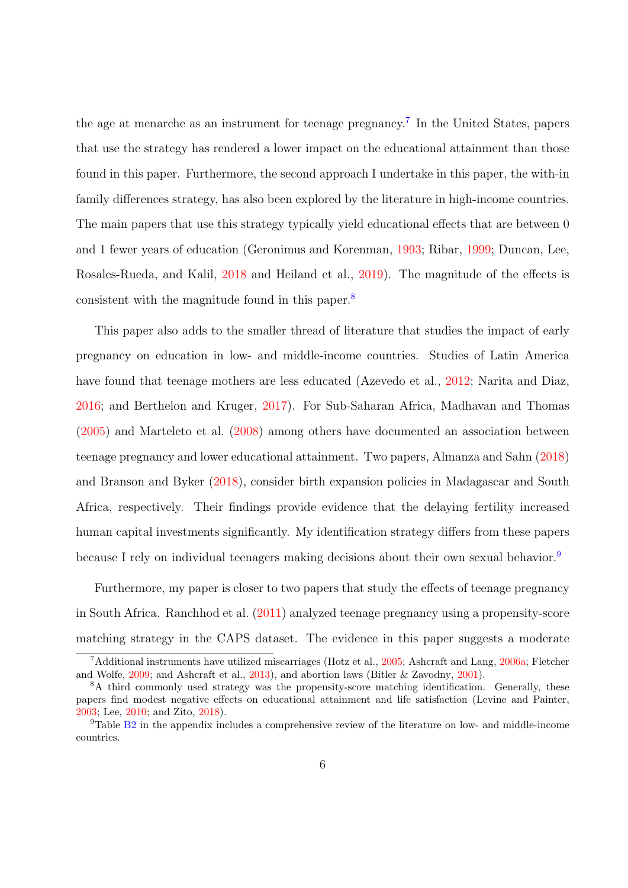the age at menarche as an instrument for teenage pregnancy.<sup>[7](#page-0-0)</sup> In the United States, papers that use the strategy has rendered a lower impact on the educational attainment than those found in this paper. Furthermore, the second approach I undertake in this paper, the with-in family differences strategy, has also been explored by the literature in high-income countries. The main papers that use this strategy typically yield educational effects that are between 0 and 1 fewer years of education (Geronimus and Korenman, [1993;](#page-48-6) Ribar, [1999;](#page-51-7) Duncan, Lee, Rosales-Rueda, and Kalil, [2018](#page-48-7) and Heiland et al., [2019\)](#page-48-5). The magnitude of the effects is consistent with the magnitude found in this paper.[8](#page-0-0)

This paper also adds to the smaller thread of literature that studies the impact of early pregnancy on education in low- and middle-income countries. Studies of Latin America have found that teenage mothers are less educated (Azevedo et al., [2012;](#page-47-3) Narita and Diaz, [2016;](#page-50-1) and Berthelon and Kruger, [2017\)](#page-47-8). For Sub-Saharan Africa, Madhavan and Thomas [\(2005\)](#page-50-5) and Marteleto et al. [\(2008\)](#page-50-4) among others have documented an association between teenage pregnancy and lower educational attainment. Two papers, Almanza and Sahn [\(2018\)](#page-46-0) and Branson and Byker [\(2018\)](#page-47-1), consider birth expansion policies in Madagascar and South Africa, respectively. Their findings provide evidence that the delaying fertility increased human capital investments significantly. My identification strategy differs from these papers because I rely on individual teenagers making decisions about their own sexual behavior.[9](#page-0-0)

Furthermore, my paper is closer to two papers that study the effects of teenage pregnancy in South Africa. Ranchhod et al. [\(2011\)](#page-51-2) analyzed teenage pregnancy using a propensity-score matching strategy in the CAPS dataset. The evidence in this paper suggests a moderate

<sup>7</sup>Additional instruments have utilized miscarriages (Hotz et al., [2005;](#page-49-6) Ashcraft and Lang, [2006a;](#page-47-7) Fletcher and Wolfe, [2009;](#page-48-8) and Ashcraft et al., [2013\)](#page-47-0), and abortion laws (Bitler & Zavodny, [2001\)](#page-47-9).

<sup>&</sup>lt;sup>8</sup>A third commonly used strategy was the propensity-score matching identification. Generally, these papers find modest negative effects on educational attainment and life satisfaction (Levine and Painter, [2003;](#page-49-0) Lee, [2010;](#page-49-1) and Zito, [2018\)](#page-51-8).

<sup>9</sup>Table [B2](#page-60-0) in the appendix includes a comprehensive review of the literature on low- and middle-income countries.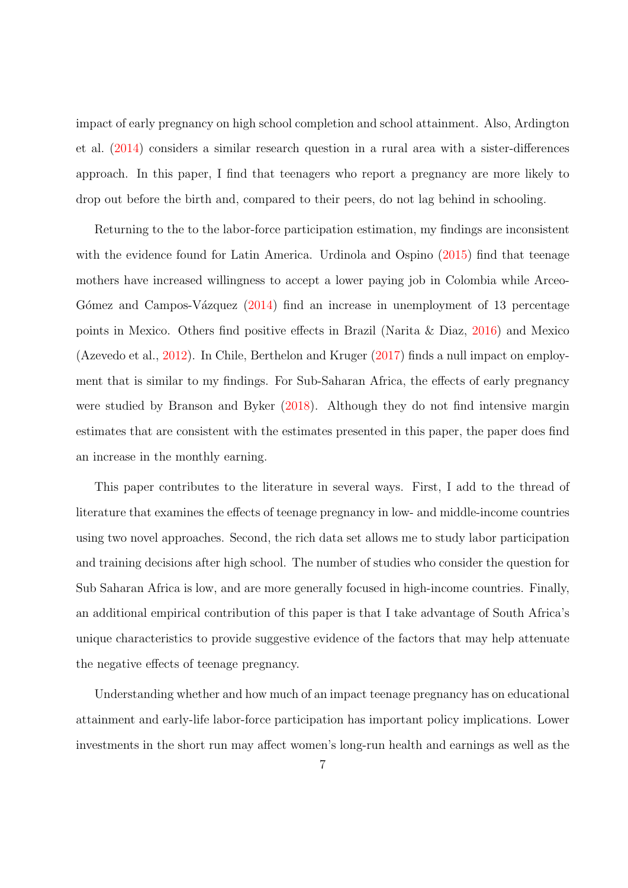impact of early pregnancy on high school completion and school attainment. Also, Ardington et al. [\(2014\)](#page-47-2) considers a similar research question in a rural area with a sister-differences approach. In this paper, I find that teenagers who report a pregnancy are more likely to drop out before the birth and, compared to their peers, do not lag behind in schooling.

Returning to the to the labor-force participation estimation, my findings are inconsistent with the evidence found for Latin America. Urdinola and Ospino [\(2015\)](#page-51-3) find that teenage mothers have increased willingness to accept a lower paying job in Colombia while Arceo-Gómez and Campos-Vázquez  $(2014)$  find an increase in unemployment of 13 percentage points in Mexico. Others find positive effects in Brazil (Narita & Diaz, [2016\)](#page-50-1) and Mexico (Azevedo et al., [2012\)](#page-47-3). In Chile, Berthelon and Kruger [\(2017\)](#page-47-8) finds a null impact on employment that is similar to my findings. For Sub-Saharan Africa, the effects of early pregnancy were studied by Branson and Byker  $(2018)$ . Although they do not find intensive margin estimates that are consistent with the estimates presented in this paper, the paper does find an increase in the monthly earning.

This paper contributes to the literature in several ways. First, I add to the thread of literature that examines the effects of teenage pregnancy in low- and middle-income countries using two novel approaches. Second, the rich data set allows me to study labor participation and training decisions after high school. The number of studies who consider the question for Sub Saharan Africa is low, and are more generally focused in high-income countries. Finally, an additional empirical contribution of this paper is that I take advantage of South Africa's unique characteristics to provide suggestive evidence of the factors that may help attenuate the negative effects of teenage pregnancy.

Understanding whether and how much of an impact teenage pregnancy has on educational attainment and early-life labor-force participation has important policy implications. Lower investments in the short run may affect women's long-run health and earnings as well as the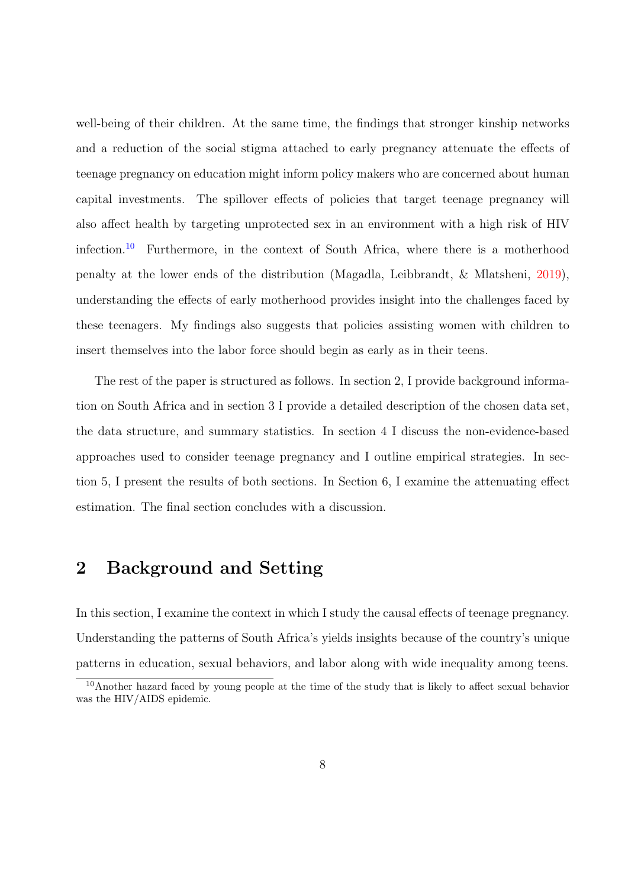well-being of their children. At the same time, the findings that stronger kinship networks and a reduction of the social stigma attached to early pregnancy attenuate the effects of teenage pregnancy on education might inform policy makers who are concerned about human capital investments. The spillover effects of policies that target teenage pregnancy will also affect health by targeting unprotected sex in an environment with a high risk of HIV infection.[10](#page-0-0) Furthermore, in the context of South Africa, where there is a motherhood penalty at the lower ends of the distribution (Magadla, Leibbrandt, & Mlatsheni, [2019\)](#page-50-6), understanding the effects of early motherhood provides insight into the challenges faced by these teenagers. My findings also suggests that policies assisting women with children to insert themselves into the labor force should begin as early as in their teens.

The rest of the paper is structured as follows. In section 2, I provide background information on South Africa and in section 3 I provide a detailed description of the chosen data set, the data structure, and summary statistics. In section 4 I discuss the non-evidence-based approaches used to consider teenage pregnancy and I outline empirical strategies. In section 5, I present the results of both sections. In Section 6, I examine the attenuating effect estimation. The final section concludes with a discussion.

# 2 Background and Setting

In this section, I examine the context in which I study the causal effects of teenage pregnancy. Understanding the patterns of South Africa's yields insights because of the country's unique patterns in education, sexual behaviors, and labor along with wide inequality among teens.

<sup>&</sup>lt;sup>10</sup>Another hazard faced by young people at the time of the study that is likely to affect sexual behavior was the HIV/AIDS epidemic.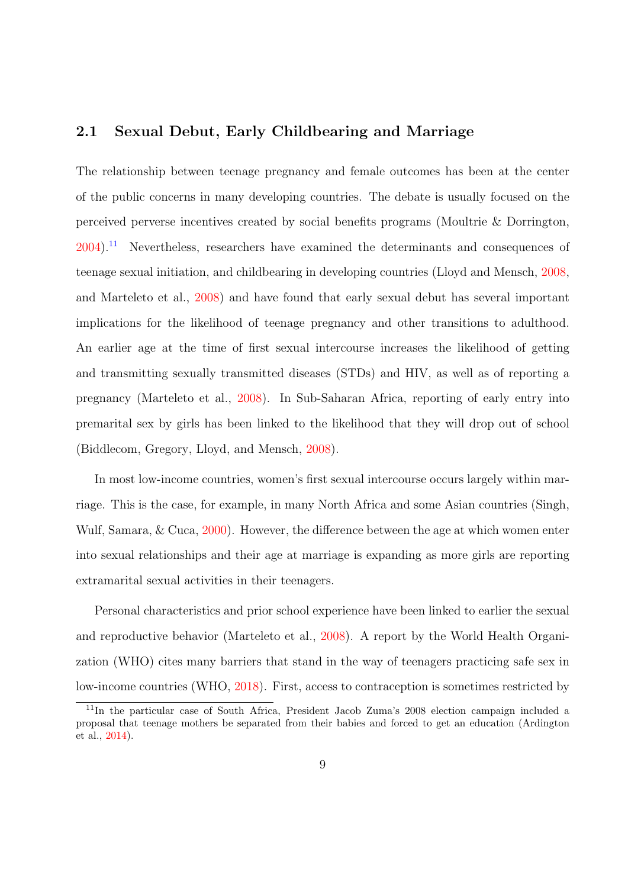# 2.1 Sexual Debut, Early Childbearing and Marriage

The relationship between teenage pregnancy and female outcomes has been at the center of the public concerns in many developing countries. The debate is usually focused on the perceived perverse incentives created by social benefits programs (Moultrie & Dorrington, [2004\)](#page-50-7).[11](#page-0-0) Nevertheless, researchers have examined the determinants and consequences of teenage sexual initiation, and childbearing in developing countries (Lloyd and Mensch, [2008,](#page-50-8) and Marteleto et al., [2008\)](#page-50-4) and have found that early sexual debut has several important implications for the likelihood of teenage pregnancy and other transitions to adulthood. An earlier age at the time of first sexual intercourse increases the likelihood of getting and transmitting sexually transmitted diseases (STDs) and HIV, as well as of reporting a pregnancy (Marteleto et al., [2008\)](#page-50-4). In Sub-Saharan Africa, reporting of early entry into premarital sex by girls has been linked to the likelihood that they will drop out of school (Biddlecom, Gregory, Lloyd, and Mensch, [2008\)](#page-47-11).

In most low-income countries, women's first sexual intercourse occurs largely within marriage. This is the case, for example, in many North Africa and some Asian countries (Singh, Wulf, Samara, & Cuca, [2000\)](#page-51-9). However, the difference between the age at which women enter into sexual relationships and their age at marriage is expanding as more girls are reporting extramarital sexual activities in their teenagers.

Personal characteristics and prior school experience have been linked to earlier the sexual and reproductive behavior (Marteleto et al., [2008\)](#page-50-4). A report by the World Health Organization (WHO) cites many barriers that stand in the way of teenagers practicing safe sex in low-income countries (WHO, [2018\)](#page-51-0). First, access to contraception is sometimes restricted by

<sup>11</sup>In the particular case of South Africa, President Jacob Zuma's 2008 election campaign included a proposal that teenage mothers be separated from their babies and forced to get an education (Ardington et al., [2014\)](#page-47-2).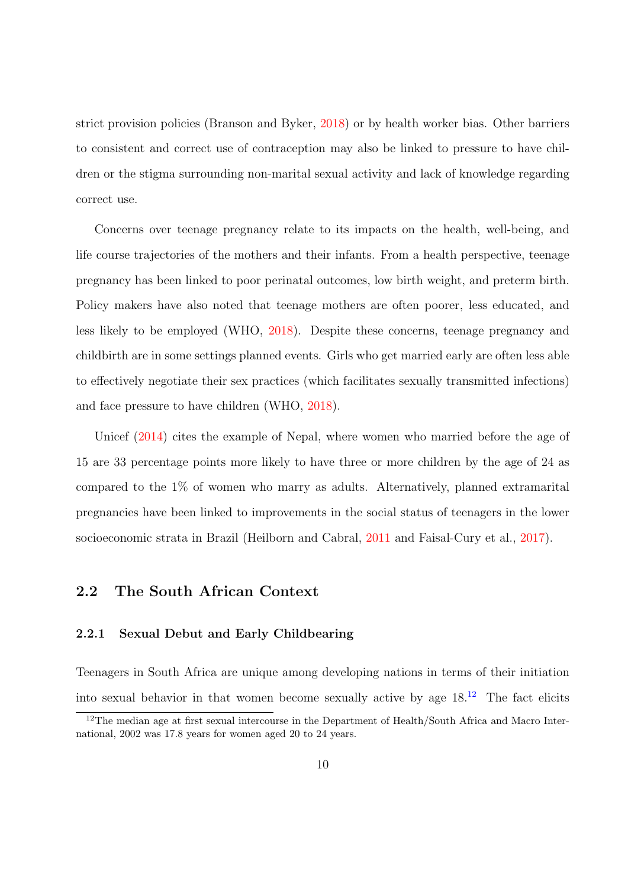strict provision policies (Branson and Byker, [2018\)](#page-47-1) or by health worker bias. Other barriers to consistent and correct use of contraception may also be linked to pressure to have children or the stigma surrounding non-marital sexual activity and lack of knowledge regarding correct use.

Concerns over teenage pregnancy relate to its impacts on the health, well-being, and life course trajectories of the mothers and their infants. From a health perspective, teenage pregnancy has been linked to poor perinatal outcomes, low birth weight, and preterm birth. Policy makers have also noted that teenage mothers are often poorer, less educated, and less likely to be employed (WHO, [2018\)](#page-51-0). Despite these concerns, teenage pregnancy and childbirth are in some settings planned events. Girls who get married early are often less able to effectively negotiate their sex practices (which facilitates sexually transmitted infections) and face pressure to have children (WHO, [2018\)](#page-51-0).

Unicef [\(2014\)](#page-51-10) cites the example of Nepal, where women who married before the age of 15 are 33 percentage points more likely to have three or more children by the age of 24 as compared to the 1% of women who marry as adults. Alternatively, planned extramarital pregnancies have been linked to improvements in the social status of teenagers in the lower socioeconomic strata in Brazil (Heilborn and Cabral, [2011](#page-48-9) and Faisal-Cury et al., [2017\)](#page-48-10).

# 2.2 The South African Context

#### 2.2.1 Sexual Debut and Early Childbearing

Teenagers in South Africa are unique among developing nations in terms of their initiation into sexual behavior in that women become sexually active by age  $18<sup>12</sup>$  $18<sup>12</sup>$  $18<sup>12</sup>$  The fact elicits

<sup>&</sup>lt;sup>12</sup>The median age at first sexual intercourse in the Department of Health/South Africa and Macro International, 2002 was 17.8 years for women aged 20 to 24 years.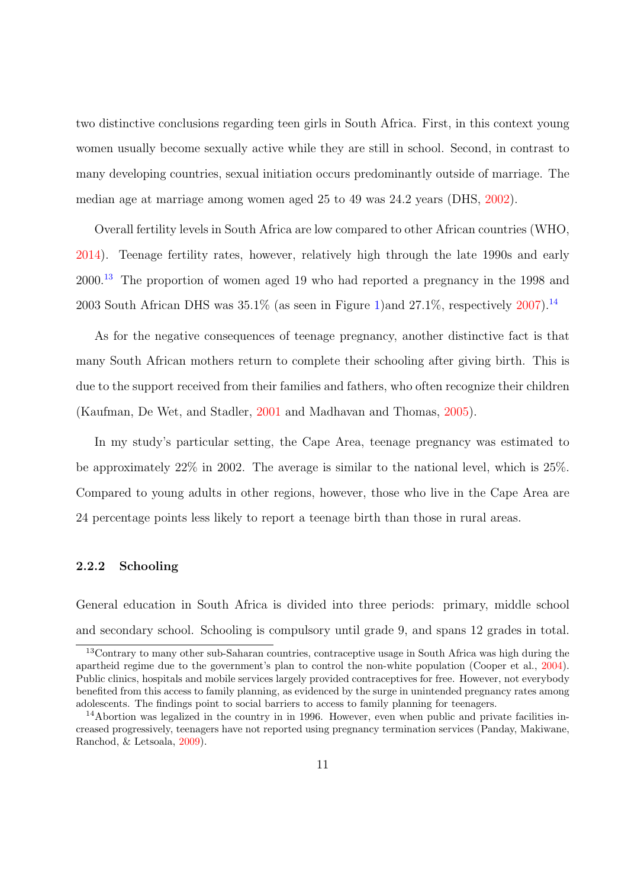two distinctive conclusions regarding teen girls in South Africa. First, in this context young women usually become sexually active while they are still in school. Second, in contrast to many developing countries, sexual initiation occurs predominantly outside of marriage. The median age at marriage among women aged 25 to 49 was 24.2 years (DHS, [2002\)](#page-48-11).

Overall fertility levels in South Africa are low compared to other African countries (WHO, [2014\)](#page-51-11). Teenage fertility rates, however, relatively high through the late 1990s and early 2000.[13](#page-0-0) The proportion of women aged 19 who had reported a pregnancy in the 1998 and 2003 South African DHS was  $35.1\%$  (as seen in Figure [1\)](#page-52-0)and  $27.1\%$ , respectively [2007\)](#page-48-12).<sup>[14](#page-0-0)</sup>

As for the negative consequences of teenage pregnancy, another distinctive fact is that many South African mothers return to complete their schooling after giving birth. This is due to the support received from their families and fathers, who often recognize their children (Kaufman, De Wet, and Stadler, [2001](#page-49-7) and Madhavan and Thomas, [2005\)](#page-50-5).

In my study's particular setting, the Cape Area, teenage pregnancy was estimated to be approximately 22% in 2002. The average is similar to the national level, which is 25%. Compared to young adults in other regions, however, those who live in the Cape Area are 24 percentage points less likely to report a teenage birth than those in rural areas.

### 2.2.2 Schooling

General education in South Africa is divided into three periods: primary, middle school and secondary school. Schooling is compulsory until grade 9, and spans 12 grades in total.

<sup>13</sup>Contrary to many other sub-Saharan countries, contraceptive usage in South Africa was high during the apartheid regime due to the government's plan to control the non-white population (Cooper et al., [2004\)](#page-47-12). Public clinics, hospitals and mobile services largely provided contraceptives for free. However, not everybody benefited from this access to family planning, as evidenced by the surge in unintended pregnancy rates among adolescents. The findings point to social barriers to access to family planning for teenagers.

<sup>&</sup>lt;sup>14</sup>Abortion was legalized in the country in in 1996. However, even when public and private facilities increased progressively, teenagers have not reported using pregnancy termination services (Panday, Makiwane, Ranchod, & Letsoala, [2009\)](#page-50-9).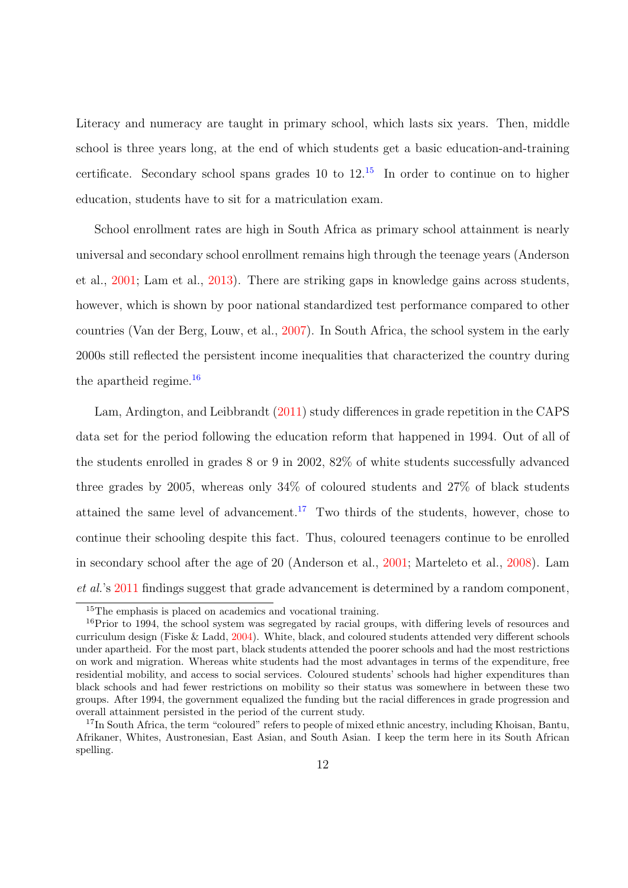Literacy and numeracy are taught in primary school, which lasts six years. Then, middle school is three years long, at the end of which students get a basic education-and-training certificate. Secondary school spans grades 10 to  $12^{15}$  $12^{15}$  $12^{15}$  In order to continue on to higher education, students have to sit for a matriculation exam.

School enrollment rates are high in South Africa as primary school attainment is nearly universal and secondary school enrollment remains high through the teenage years (Anderson et al., [2001;](#page-47-6) Lam et al., [2013\)](#page-49-5). There are striking gaps in knowledge gains across students, however, which is shown by poor national standardized test performance compared to other countries (Van der Berg, Louw, et al., [2007\)](#page-51-12). In South Africa, the school system in the early 2000s still reflected the persistent income inequalities that characterized the country during the apartheid regime. $16$ 

Lam, Ardington, and Leibbrandt [\(2011\)](#page-49-8) study differences in grade repetition in the CAPS data set for the period following the education reform that happened in 1994. Out of all of the students enrolled in grades 8 or 9 in 2002, 82% of white students successfully advanced three grades by 2005, whereas only 34% of coloured students and 27% of black students attained the same level of advancement.<sup>[17](#page-0-0)</sup> Two thirds of the students, however, chose to continue their schooling despite this fact. Thus, coloured teenagers continue to be enrolled in secondary school after the age of 20 (Anderson et al., [2001;](#page-47-6) Marteleto et al., [2008\)](#page-50-4). Lam et al.'s [2011](#page-49-8) findings suggest that grade advancement is determined by a random component,

<sup>15</sup>The emphasis is placed on academics and vocational training.

<sup>&</sup>lt;sup>16</sup>Prior to 1994, the school system was segregated by racial groups, with differing levels of resources and curriculum design (Fiske & Ladd, [2004\)](#page-48-13). White, black, and coloured students attended very different schools under apartheid. For the most part, black students attended the poorer schools and had the most restrictions on work and migration. Whereas white students had the most advantages in terms of the expenditure, free residential mobility, and access to social services. Coloured students' schools had higher expenditures than black schools and had fewer restrictions on mobility so their status was somewhere in between these two groups. After 1994, the government equalized the funding but the racial differences in grade progression and overall attainment persisted in the period of the current study.

<sup>&</sup>lt;sup>17</sup>In South Africa, the term "coloured" refers to people of mixed ethnic ancestry, including Khoisan, Bantu, Afrikaner, Whites, Austronesian, East Asian, and South Asian. I keep the term here in its South African spelling.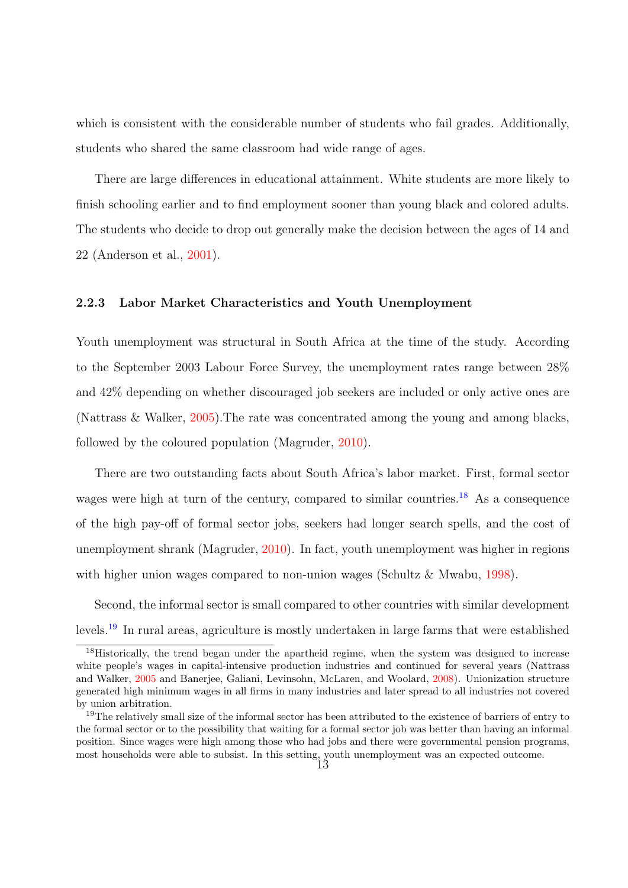which is consistent with the considerable number of students who fail grades. Additionally, students who shared the same classroom had wide range of ages.

There are large differences in educational attainment. White students are more likely to finish schooling earlier and to find employment sooner than young black and colored adults. The students who decide to drop out generally make the decision between the ages of 14 and 22 (Anderson et al., [2001\)](#page-47-6).

#### 2.2.3 Labor Market Characteristics and Youth Unemployment

Youth unemployment was structural in South Africa at the time of the study. According to the September 2003 Labour Force Survey, the unemployment rates range between 28% and 42% depending on whether discouraged job seekers are included or only active ones are (Nattrass & Walker, [2005\)](#page-50-2).The rate was concentrated among the young and among blacks, followed by the coloured population (Magruder, [2010\)](#page-50-3).

There are two outstanding facts about South Africa's labor market. First, formal sector wages were high at turn of the century, compared to similar countries.<sup>[18](#page-0-0)</sup> As a consequence of the high pay-off of formal sector jobs, seekers had longer search spells, and the cost of unemployment shrank (Magruder, [2010\)](#page-50-3). In fact, youth unemployment was higher in regions with higher union wages compared to non-union wages (Schultz & Mwabu, [1998\)](#page-51-13).

Second, the informal sector is small compared to other countries with similar development levels.[19](#page-0-0) In rural areas, agriculture is mostly undertaken in large farms that were established

<sup>&</sup>lt;sup>18</sup>Historically, the trend began under the apartheid regime, when the system was designed to increase white people's wages in capital-intensive production industries and continued for several years (Nattrass and Walker, [2005](#page-50-2) and Banerjee, Galiani, Levinsohn, McLaren, and Woolard, [2008\)](#page-47-13). Unionization structure generated high minimum wages in all firms in many industries and later spread to all industries not covered by union arbitration.

<sup>&</sup>lt;sup>19</sup>The relatively small size of the informal sector has been attributed to the existence of barriers of entry to the formal sector or to the possibility that waiting for a formal sector job was better than having an informal position. Since wages were high among those who had jobs and there were governmental pension programs, most households were able to subsist. In this setting, youth unemployment was an expected outcome.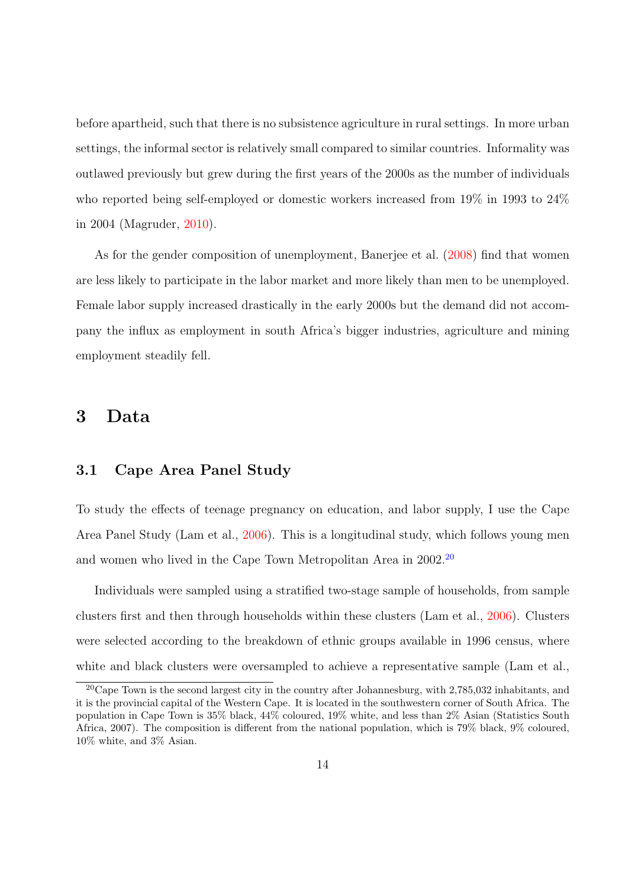before apartheid, such that there is no subsistence agriculture in rural settings. In more urban settings, the informal sector is relatively small compared to similar countries. Informality was outlawed previously but grew during the first years of the 2000s as the number of individuals who reported being self-employed or domestic workers increased from 19% in 1993 to 24% in 2004 (Magruder, [2010\)](#page-50-3).

As for the gender composition of unemployment, Banerjee et al. [\(2008\)](#page-47-13) find that women are less likely to participate in the labor market and more likely than men to be unemployed. Female labor supply increased drastically in the early 2000s but the demand did not accompany the influx as employment in south Africa's bigger industries, agriculture and mining employment steadily fell.

# 3 Data

# 3.1 Cape Area Panel Study

To study the effects of teenage pregnancy on education, and labor supply, I use the Cape Area Panel Study (Lam et al., [2006\)](#page-49-2). This is a longitudinal study, which follows young men and women who lived in the Cape Town Metropolitan Area in [20](#page-0-0)02.<sup>20</sup>

Individuals were sampled using a stratified two-stage sample of households, from sample clusters first and then through households within these clusters (Lam et al., [2006\)](#page-49-2). Clusters were selected according to the breakdown of ethnic groups available in 1996 census, where white and black clusters were oversampled to achieve a representative sample (Lam et al.,

<sup>&</sup>lt;sup>20</sup>Cape Town is the second largest city in the country after Johannesburg, with  $2.785,032$  inhabitants, and it is the provincial capital of the Western Cape. It is located in the southwestern corner of South Africa. The population in Cape Town is 35% black, 44% coloured, 19% white, and less than 2% Asian (Statistics South Africa, 2007). The composition is different from the national population, which is 79% black, 9% coloured, 10% white, and 3% Asian.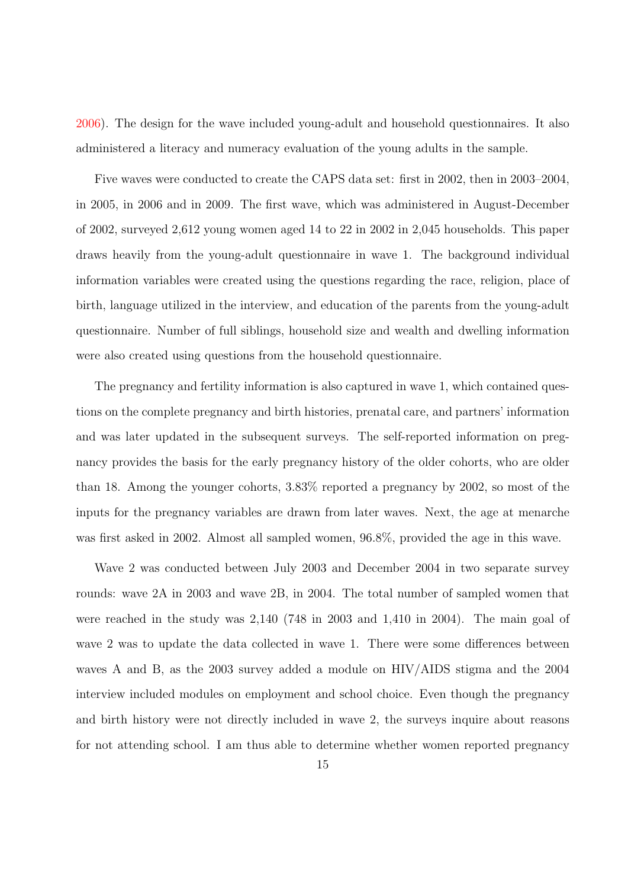[2006\)](#page-49-2). The design for the wave included young-adult and household questionnaires. It also administered a literacy and numeracy evaluation of the young adults in the sample.

Five waves were conducted to create the CAPS data set: first in 2002, then in 2003–2004, in 2005, in 2006 and in 2009. The first wave, which was administered in August-December of 2002, surveyed 2,612 young women aged 14 to 22 in 2002 in 2,045 households. This paper draws heavily from the young-adult questionnaire in wave 1. The background individual information variables were created using the questions regarding the race, religion, place of birth, language utilized in the interview, and education of the parents from the young-adult questionnaire. Number of full siblings, household size and wealth and dwelling information were also created using questions from the household questionnaire.

The pregnancy and fertility information is also captured in wave 1, which contained questions on the complete pregnancy and birth histories, prenatal care, and partners' information and was later updated in the subsequent surveys. The self-reported information on pregnancy provides the basis for the early pregnancy history of the older cohorts, who are older than 18. Among the younger cohorts, 3.83% reported a pregnancy by 2002, so most of the inputs for the pregnancy variables are drawn from later waves. Next, the age at menarche was first asked in 2002. Almost all sampled women, 96.8%, provided the age in this wave.

Wave 2 was conducted between July 2003 and December 2004 in two separate survey rounds: wave 2A in 2003 and wave 2B, in 2004. The total number of sampled women that were reached in the study was 2,140 (748 in 2003 and 1,410 in 2004). The main goal of wave 2 was to update the data collected in wave 1. There were some differences between waves A and B, as the 2003 survey added a module on HIV/AIDS stigma and the 2004 interview included modules on employment and school choice. Even though the pregnancy and birth history were not directly included in wave 2, the surveys inquire about reasons for not attending school. I am thus able to determine whether women reported pregnancy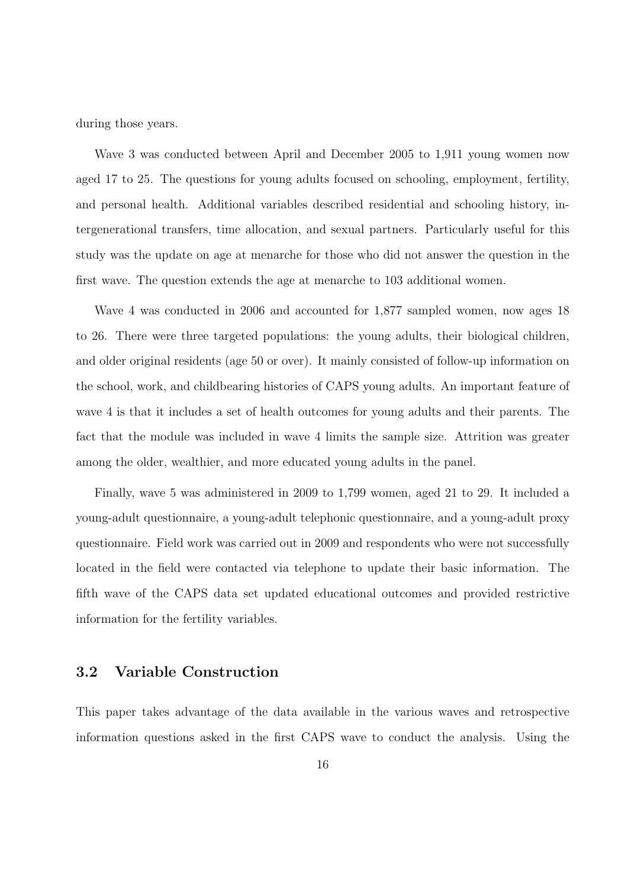during those years.

Wave 3 was conducted between April and December 2005 to 1,911 young women now aged 17 to 25. The questions for young adults focused on schooling, employment, fertility, and personal health. Additional variables described residential and schooling history, intergenerational transfers, time allocation, and sexual partners. Particularly useful for this study was the update on age at menarche for those who did not answer the question in the first wave. The question extends the age at menarche to 103 additional women.

Wave 4 was conducted in 2006 and accounted for 1,877 sampled women, now ages 18 to 26. There were three targeted populations: the young adults, their biological children, and older original residents (age 50 or over). It mainly consisted of follow-up information on the school, work, and childbearing histories of CAPS young adults. An important feature of wave 4 is that it includes a set of health outcomes for young adults and their parents. The fact that the module was included in wave 4 limits the sample size. Attrition was greater among the older, wealthier, and more educated young adults in the panel.

Finally, wave 5 was administered in 2009 to 1,799 women, aged 21 to 29. It included a young-adult questionnaire, a young-adult telephonic questionnaire, and a young-adult proxy questionnaire. Field work was carried out in 2009 and respondents who were not successfully located in the field were contacted via telephone to update their basic information. The fifth wave of the CAPS data set updated educational outcomes and provided restrictive information for the fertility variables.

# 3.2 Variable Construction

This paper takes advantage of the data available in the various waves and retrospective information questions asked in the first CAPS wave to conduct the analysis. Using the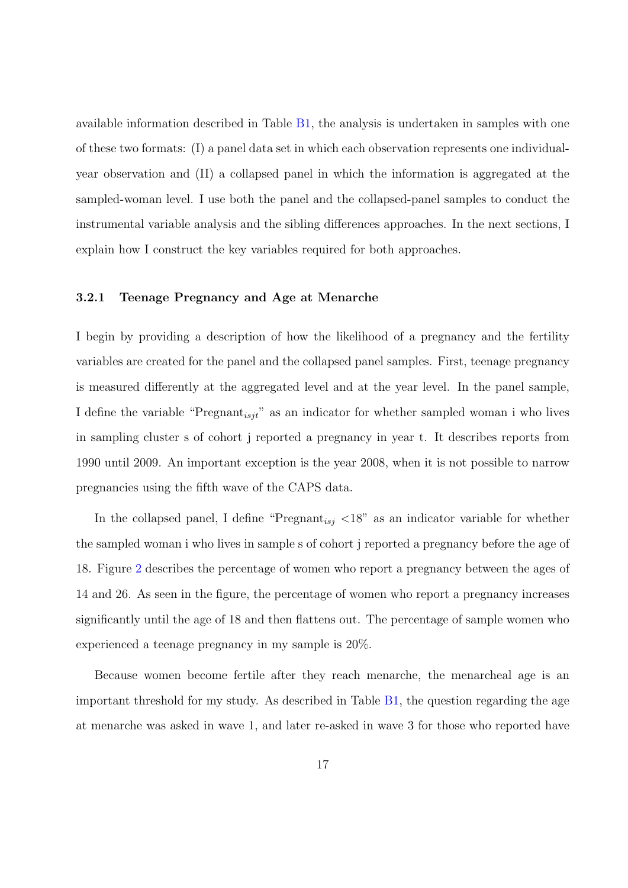available information described in Table [B1,](#page-59-0) the analysis is undertaken in samples with one of these two formats: (I) a panel data set in which each observation represents one individualyear observation and (II) a collapsed panel in which the information is aggregated at the sampled-woman level. I use both the panel and the collapsed-panel samples to conduct the instrumental variable analysis and the sibling differences approaches. In the next sections, I explain how I construct the key variables required for both approaches.

#### 3.2.1 Teenage Pregnancy and Age at Menarche

I begin by providing a description of how the likelihood of a pregnancy and the fertility variables are created for the panel and the collapsed panel samples. First, teenage pregnancy is measured differently at the aggregated level and at the year level. In the panel sample, I define the variable "Pregnant<sub>isjt</sub>" as an indicator for whether sampled woman i who lives in sampling cluster s of cohort j reported a pregnancy in year t. It describes reports from 1990 until 2009. An important exception is the year 2008, when it is not possible to narrow pregnancies using the fifth wave of the CAPS data.

In the collapsed panel, I define "Pregnant<sub>isj</sub>  $\langle 18$ " as an indicator variable for whether the sampled woman i who lives in sample s of cohort j reported a pregnancy before the age of 18. Figure [2](#page-53-0) describes the percentage of women who report a pregnancy between the ages of 14 and 26. As seen in the figure, the percentage of women who report a pregnancy increases significantly until the age of 18 and then flattens out. The percentage of sample women who experienced a teenage pregnancy in my sample is 20%.

Because women become fertile after they reach menarche, the menarcheal age is an important threshold for my study. As described in Table [B1,](#page-59-0) the question regarding the age at menarche was asked in wave 1, and later re-asked in wave 3 for those who reported have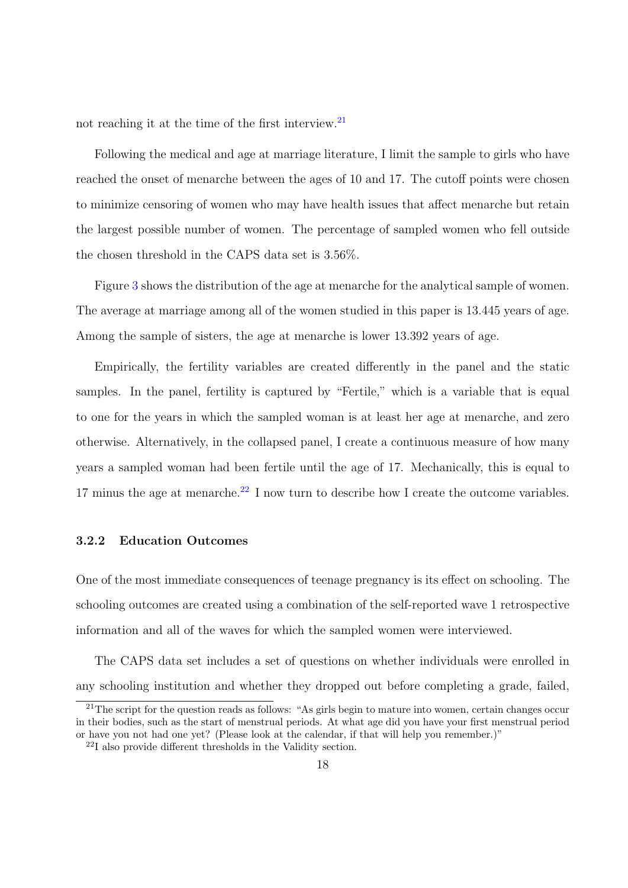not reaching it at the time of the first interview.[21](#page-0-0)

Following the medical and age at marriage literature, I limit the sample to girls who have reached the onset of menarche between the ages of 10 and 17. The cutoff points were chosen to minimize censoring of women who may have health issues that affect menarche but retain the largest possible number of women. The percentage of sampled women who fell outside the chosen threshold in the CAPS data set is 3.56%.

Figure [3](#page-53-1) shows the distribution of the age at menarche for the analytical sample of women. The average at marriage among all of the women studied in this paper is 13.445 years of age. Among the sample of sisters, the age at menarche is lower 13.392 years of age.

Empirically, the fertility variables are created differently in the panel and the static samples. In the panel, fertility is captured by "Fertile," which is a variable that is equal to one for the years in which the sampled woman is at least her age at menarche, and zero otherwise. Alternatively, in the collapsed panel, I create a continuous measure of how many years a sampled woman had been fertile until the age of 17. Mechanically, this is equal to 17 minus the age at menarche.<sup>[22](#page-0-0)</sup> I now turn to describe how I create the outcome variables.

#### 3.2.2 Education Outcomes

One of the most immediate consequences of teenage pregnancy is its effect on schooling. The schooling outcomes are created using a combination of the self-reported wave 1 retrospective information and all of the waves for which the sampled women were interviewed.

The CAPS data set includes a set of questions on whether individuals were enrolled in any schooling institution and whether they dropped out before completing a grade, failed,

 $^{21}$ The script for the question reads as follows: "As girls begin to mature into women, certain changes occur in their bodies, such as the start of menstrual periods. At what age did you have your first menstrual period or have you not had one yet? (Please look at the calendar, if that will help you remember.)"

<sup>22</sup>I also provide different thresholds in the Validity section.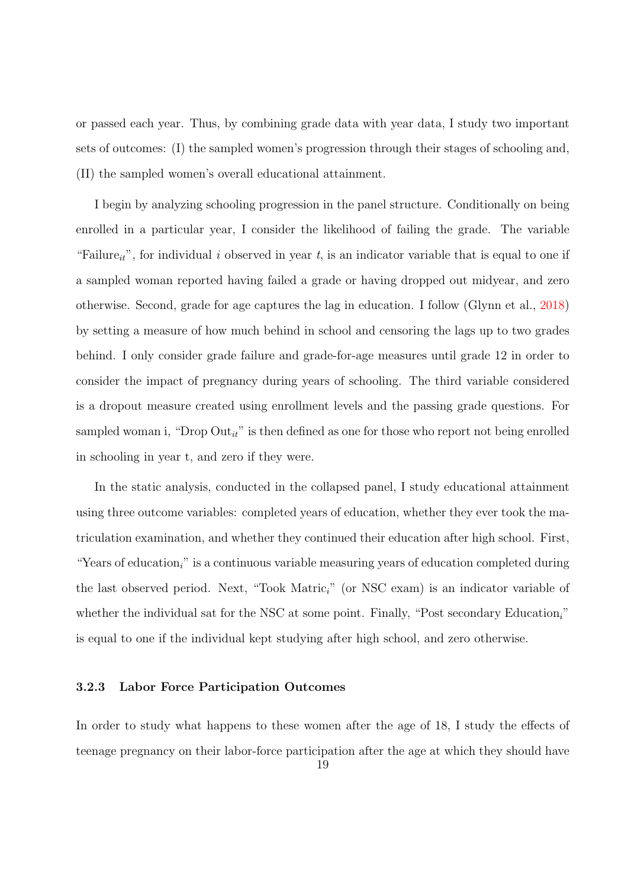or passed each year. Thus, by combining grade data with year data, I study two important sets of outcomes: (I) the sampled women's progression through their stages of schooling and, (II) the sampled women's overall educational attainment.

I begin by analyzing schooling progression in the panel structure. Conditionally on being enrolled in a particular year, I consider the likelihood of failing the grade. The variable "Failure<sub>it</sub>", for individual i observed in year t, is an indicator variable that is equal to one if a sampled woman reported having failed a grade or having dropped out midyear, and zero otherwise. Second, grade for age captures the lag in education. I follow (Glynn et al., [2018\)](#page-48-14) by setting a measure of how much behind in school and censoring the lags up to two grades behind. I only consider grade failure and grade-for-age measures until grade 12 in order to consider the impact of pregnancy during years of schooling. The third variable considered is a dropout measure created using enrollment levels and the passing grade questions. For sampled woman i, "Drop  $Out_{it}$ " is then defined as one for those who report not being enrolled in schooling in year t, and zero if they were.

In the static analysis, conducted in the collapsed panel, I study educational attainment using three outcome variables: completed years of education, whether they ever took the matriculation examination, and whether they continued their education after high school. First, "Years of education<sub>i</sub>" is a continuous variable measuring years of education completed during the last observed period. Next, "Took Matric<sub>i</sub>" (or NSC exam) is an indicator variable of whether the individual sat for the NSC at some point. Finally, "Post secondary Education<sub>i</sub>" is equal to one if the individual kept studying after high school, and zero otherwise.

## 3.2.3 Labor Force Participation Outcomes

In order to study what happens to these women after the age of 18, I study the effects of teenage pregnancy on their labor-force participation after the age at which they should have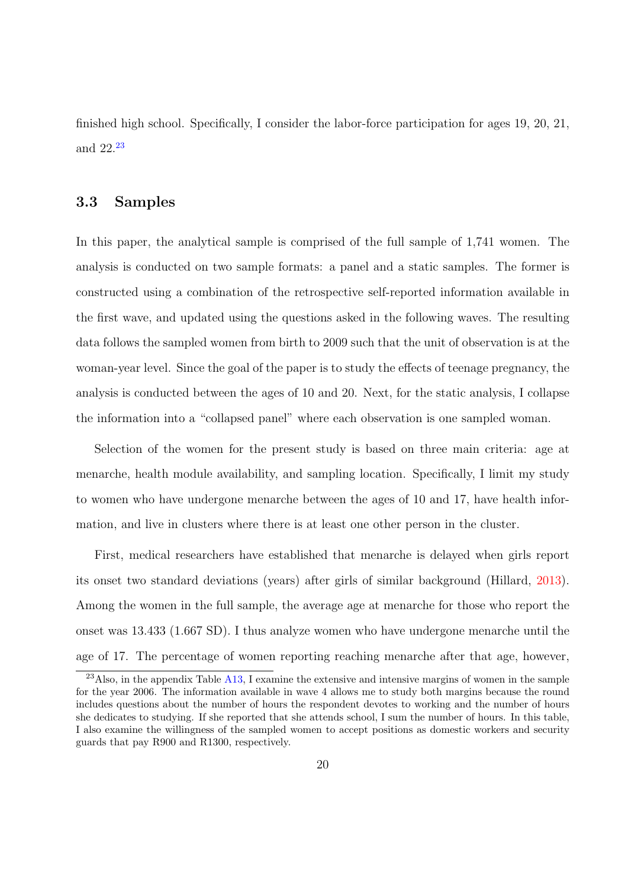finished high school. Specifically, I consider the labor-force participation for ages 19, 20, 21, and 22.[23](#page-0-0)

# 3.3 Samples

In this paper, the analytical sample is comprised of the full sample of 1,741 women. The analysis is conducted on two sample formats: a panel and a static samples. The former is constructed using a combination of the retrospective self-reported information available in the first wave, and updated using the questions asked in the following waves. The resulting data follows the sampled women from birth to 2009 such that the unit of observation is at the woman-year level. Since the goal of the paper is to study the effects of teenage pregnancy, the analysis is conducted between the ages of 10 and 20. Next, for the static analysis, I collapse the information into a "collapsed panel" where each observation is one sampled woman.

Selection of the women for the present study is based on three main criteria: age at menarche, health module availability, and sampling location. Specifically, I limit my study to women who have undergone menarche between the ages of 10 and 17, have health information, and live in clusters where there is at least one other person in the cluster.

First, medical researchers have established that menarche is delayed when girls report its onset two standard deviations (years) after girls of similar background (Hillard, [2013\)](#page-48-15). Among the women in the full sample, the average age at menarche for those who report the onset was 13.433 (1.667 SD). I thus analyze women who have undergone menarche until the age of 17. The percentage of women reporting reaching menarche after that age, however,

<sup>&</sup>lt;sup>23</sup>Also, in the appendix Table [A13,](#page-77-0) I examine the extensive and intensive margins of women in the sample for the year 2006. The information available in wave 4 allows me to study both margins because the round includes questions about the number of hours the respondent devotes to working and the number of hours she dedicates to studying. If she reported that she attends school, I sum the number of hours. In this table, I also examine the willingness of the sampled women to accept positions as domestic workers and security guards that pay R900 and R1300, respectively.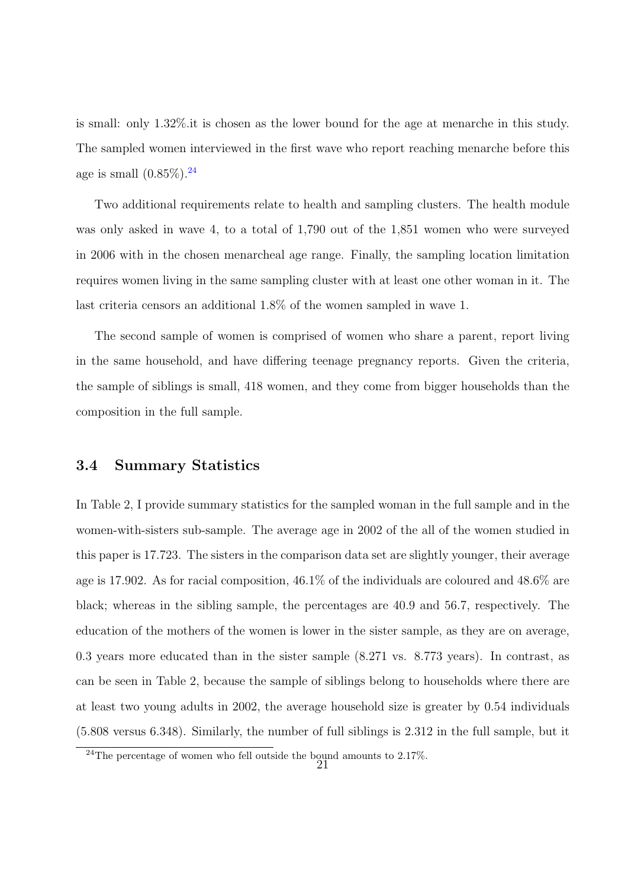is small: only 1.32%.it is chosen as the lower bound for the age at menarche in this study. The sampled women interviewed in the first wave who report reaching menarche before this age is small  $(0.85\%)$ .<sup>[24](#page-0-0)</sup>

Two additional requirements relate to health and sampling clusters. The health module was only asked in wave 4, to a total of 1,790 out of the 1,851 women who were surveyed in 2006 with in the chosen menarcheal age range. Finally, the sampling location limitation requires women living in the same sampling cluster with at least one other woman in it. The last criteria censors an additional 1.8% of the women sampled in wave 1.

The second sample of women is comprised of women who share a parent, report living in the same household, and have differing teenage pregnancy reports. Given the criteria, the sample of siblings is small, 418 women, and they come from bigger households than the composition in the full sample.

### 3.4 Summary Statistics

In Table 2, I provide summary statistics for the sampled woman in the full sample and in the women-with-sisters sub-sample. The average age in 2002 of the all of the women studied in this paper is 17.723. The sisters in the comparison data set are slightly younger, their average age is 17.902. As for racial composition, 46.1% of the individuals are coloured and 48.6% are black; whereas in the sibling sample, the percentages are 40.9 and 56.7, respectively. The education of the mothers of the women is lower in the sister sample, as they are on average, 0.3 years more educated than in the sister sample (8.271 vs. 8.773 years). In contrast, as can be seen in Table 2, because the sample of siblings belong to households where there are at least two young adults in 2002, the average household size is greater by 0.54 individuals (5.808 versus 6.348). Similarly, the number of full siblings is 2.312 in the full sample, but it

 $^{24}$ The percentage of women who fell outside the bound amounts to 2.17%.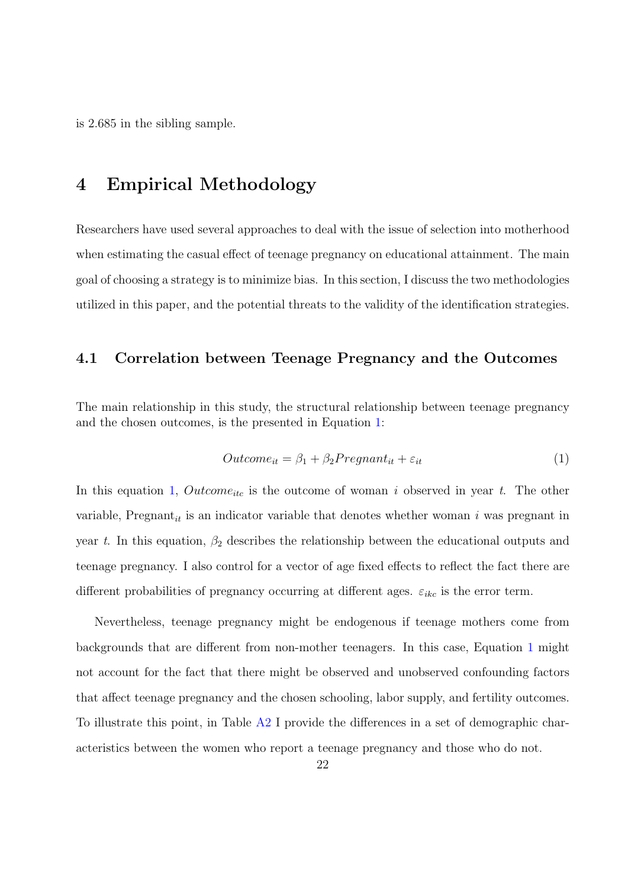is 2.685 in the sibling sample.

# 4 Empirical Methodology

Researchers have used several approaches to deal with the issue of selection into motherhood when estimating the casual effect of teenage pregnancy on educational attainment. The main goal of choosing a strategy is to minimize bias. In this section, I discuss the two methodologies utilized in this paper, and the potential threats to the validity of the identification strategies.

# 4.1 Correlation between Teenage Pregnancy and the Outcomes

The main relationship in this study, the structural relationship between teenage pregnancy and the chosen outcomes, is the presented in Equation [1:](#page-22-0)

<span id="page-22-0"></span>
$$
Outcome_{it} = \beta_1 + \beta_2 Program_{it} + \varepsilon_{it}
$$
\n(1)

In this equation [1,](#page-22-0)  $Outcome_{itc}$  is the outcome of woman i observed in year t. The other variable, Pregnant<sub>it</sub> is an indicator variable that denotes whether woman i was pregnant in year t. In this equation,  $\beta_2$  describes the relationship between the educational outputs and teenage pregnancy. I also control for a vector of age fixed effects to reflect the fact there are different probabilities of pregnancy occurring at different ages.  $\varepsilon_{ikc}$  is the error term.

Nevertheless, teenage pregnancy might be endogenous if teenage mothers come from backgrounds that are different from non-mother teenagers. In this case, Equation [1](#page-22-0) might not account for the fact that there might be observed and unobserved confounding factors that affect teenage pregnancy and the chosen schooling, labor supply, and fertility outcomes. To illustrate this point, in Table [A2](#page-60-0) I provide the differences in a set of demographic characteristics between the women who report a teenage pregnancy and those who do not.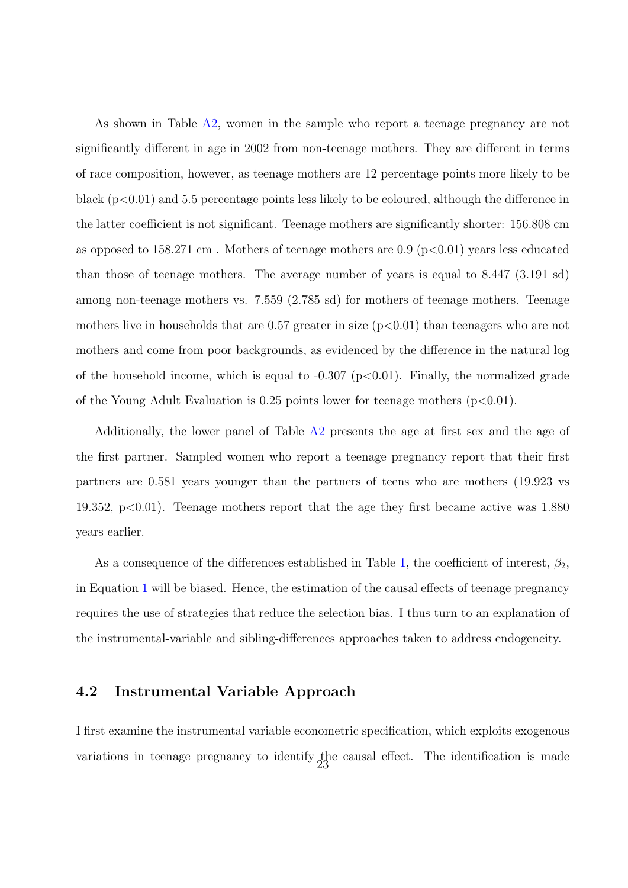As shown in Table [A2,](#page-60-0) women in the sample who report a teenage pregnancy are not significantly different in age in 2002 from non-teenage mothers. They are different in terms of race composition, however, as teenage mothers are 12 percentage points more likely to be black (p<0.01) and 5.5 percentage points less likely to be coloured, although the difference in the latter coefficient is not significant. Teenage mothers are significantly shorter: 156.808 cm as opposed to 158.271 cm. Mothers of teenage mothers are  $0.9$  (p $< 0.01$ ) years less educated than those of teenage mothers. The average number of years is equal to 8.447 (3.191 sd) among non-teenage mothers vs. 7.559 (2.785 sd) for mothers of teenage mothers. Teenage mothers live in households that are  $0.57$  greater in size  $(p<0.01)$  than teenagers who are not mothers and come from poor backgrounds, as evidenced by the difference in the natural log of the household income, which is equal to  $-0.307$  (p $< 0.01$ ). Finally, the normalized grade of the Young Adult Evaluation is 0.25 points lower for teenage mothers  $(p<0.01)$ .

Additionally, the lower panel of Table  $A2$  presents the age at first sex and the age of the first partner. Sampled women who report a teenage pregnancy report that their first partners are 0.581 years younger than the partners of teens who are mothers (19.923 vs 19.352,  $p<0.01$ ). Teenage mothers report that the age they first became active was 1.880 years earlier.

As a consequence of the differences established in Table [1,](#page-22-0) the coefficient of interest,  $\beta_2$ , in Equation [1](#page-22-0) will be biased. Hence, the estimation of the causal effects of teenage pregnancy requires the use of strategies that reduce the selection bias. I thus turn to an explanation of the instrumental-variable and sibling-differences approaches taken to address endogeneity.

# 4.2 Instrumental Variable Approach

I first examine the instrumental variable econometric specification, which exploits exogenous variations in teenage pregnancy to identify the causal effect. The identification is made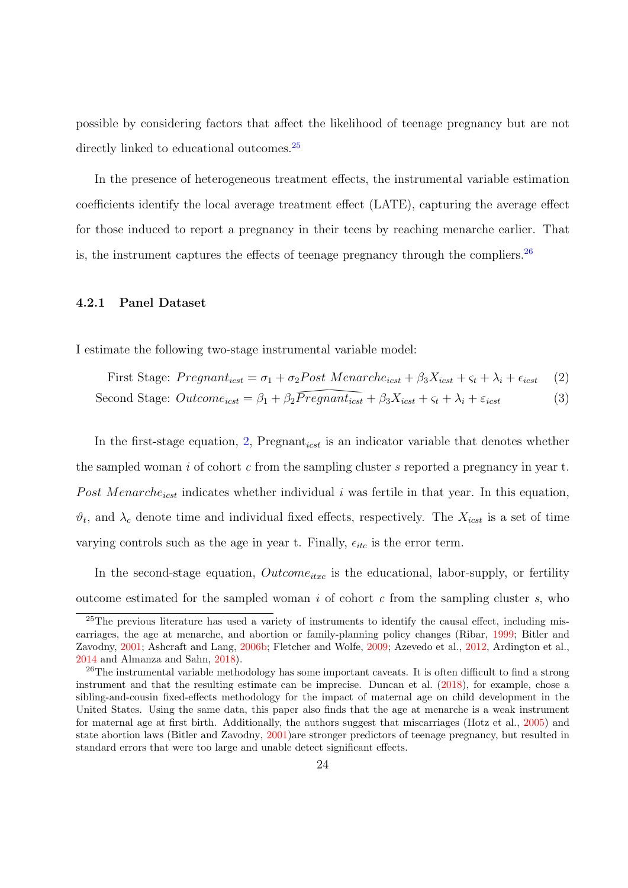possible by considering factors that affect the likelihood of teenage pregnancy but are not directly linked to educational outcomes.<sup>[25](#page-0-0)</sup>

In the presence of heterogeneous treatment effects, the instrumental variable estimation coefficients identify the local average treatment effect (LATE), capturing the average effect for those induced to report a pregnancy in their teens by reaching menarche earlier. That is, the instrument captures the effects of teenage pregnancy through the compliers.  $^{26}$  $^{26}$  $^{26}$ 

#### 4.2.1 Panel Dataset

I estimate the following two-stage instrumental variable model:

<span id="page-24-1"></span><span id="page-24-0"></span>First Stage: 
$$
Pregnant_{icst} = \sigma_1 + \sigma_2 Post \; Menarche_{icst} + \beta_3 X_{icst} + \varsigma_t + \lambda_i + \epsilon_{icst}
$$
 (2)

Second Stage: 
$$
Outcome_{icst} = \beta_1 + \beta_2 Program_{icst} + \beta_3 X_{icst} + \varsigma_t + \lambda_i + \varepsilon_{icst}
$$
 (3)

 $\sqrt{Pregnant_{icst}}$ <br>ant<sub>icst</sub> is an index In the first-stage equation, [2,](#page-24-0) Pregnant<sub>icst</sub> is an indicator variable that denotes whether the sampled woman i of cohort c from the sampling cluster s reported a pregnancy in year t. Post Menarche<sub>icst</sub> indicates whether individual  $i$  was fertile in that year. In this equation,  $\vartheta_t$ , and  $\lambda_c$  denote time and individual fixed effects, respectively. The  $X_{icst}$  is a set of time varying controls such as the age in year t. Finally,  $\epsilon_{itc}$  is the error term.

In the second-stage equation,  $Outcome_{itxc}$  is the educational, labor-supply, or fertility outcome estimated for the sampled woman i of cohort  $c$  from the sampling cluster s, who

 $25$ The previous literature has used a variety of instruments to identify the causal effect, including miscarriages, the age at menarche, and abortion or family-planning policy changes (Ribar, [1999;](#page-51-7) Bitler and Zavodny, [2001;](#page-47-9) Ashcraft and Lang, [2006b;](#page-47-14) Fletcher and Wolfe, [2009;](#page-48-8) Azevedo et al., [2012,](#page-47-3) Ardington et al., [2014](#page-47-2) and Almanza and Sahn, [2018\)](#page-46-0).

<sup>&</sup>lt;sup>26</sup>The instrumental variable methodology has some important caveats. It is often difficult to find a strong instrument and that the resulting estimate can be imprecise. Duncan et al. [\(2018\)](#page-48-7), for example, chose a sibling-and-cousin fixed-effects methodology for the impact of maternal age on child development in the United States. Using the same data, this paper also finds that the age at menarche is a weak instrument for maternal age at first birth. Additionally, the authors suggest that miscarriages (Hotz et al., [2005\)](#page-49-6) and state abortion laws (Bitler and Zavodny, [2001\)](#page-47-9)are stronger predictors of teenage pregnancy, but resulted in standard errors that were too large and unable detect significant effects.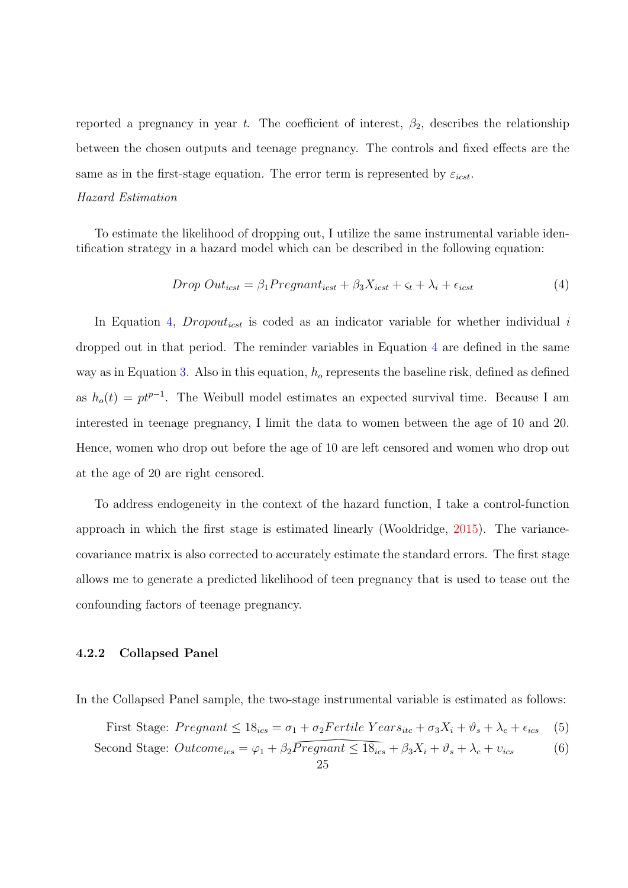reported a pregnancy in year t. The coefficient of interest,  $\beta_2$ , describes the relationship between the chosen outputs and teenage pregnancy. The controls and fixed effects are the same as in the first-stage equation. The error term is represented by  $\varepsilon_{icst}$ .

#### Hazard Estimation

To estimate the likelihood of dropping out, I utilize the same instrumental variable identification strategy in a hazard model which can be described in the following equation:

<span id="page-25-0"></span>
$$
Drop\ Out_{icst} = \beta_1 Programat_{icst} + \beta_3 X_{icst} + \varsigma_t + \lambda_i + \epsilon_{icst}
$$
\n
$$
\tag{4}
$$

In Equation [4,](#page-25-0) Dropout<sub>icst</sub> is coded as an indicator variable for whether individual  $i$ dropped out in that period. The reminder variables in Equation [4](#page-25-0) are defined in the same way as in Equation [3.](#page-24-1) Also in this equation,  $h<sub>o</sub>$  represents the baseline risk, defined as defined as  $h_o(t) = pt^{p-1}$ . The Weibull model estimates an expected survival time. Because I am interested in teenage pregnancy, I limit the data to women between the age of 10 and 20. Hence, women who drop out before the age of 10 are left censored and women who drop out at the age of 20 are right censored.

To address endogeneity in the context of the hazard function, I take a control-function approach in which the first stage is estimated linearly (Wooldridge, [2015\)](#page-51-14). The variancecovariance matrix is also corrected to accurately estimate the standard errors. The first stage allows me to generate a predicted likelihood of teen pregnancy that is used to tease out the confounding factors of teenage pregnancy.

### 4.2.2 Collapsed Panel

In the Collapsed Panel sample, the two-stage instrumental variable is estimated as follows:

<span id="page-25-2"></span><span id="page-25-1"></span>First Stage:  $P{regnant} \leq 18_{ics} = \sigma_1 + \sigma_2 Fertile Years_{itc} + \sigma_3 X_i + \vartheta_s + \lambda_c + \epsilon_{ics}$  (5)

Second Stage: 
$$
Outcome_{ics} = \varphi_1 + \beta_2 \overline{Pregnant} \le 18_{ics} + \beta_3 X_i + \vartheta_s + \lambda_c + \nu_{ics}
$$
 (6)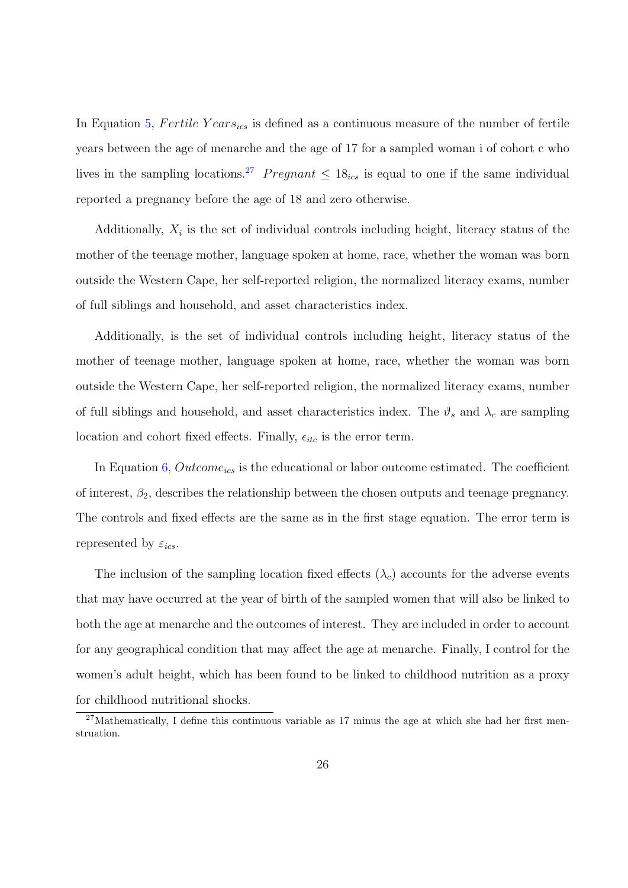In Equation [5,](#page-25-1) Fertile  $Years_{ics}$  is defined as a continuous measure of the number of fertile years between the age of menarche and the age of 17 for a sampled woman i of cohort c who lives in the sampling locations.<sup>[27](#page-0-0)</sup> Pregnant  $\leq 18_{ics}$  is equal to one if the same individual reported a pregnancy before the age of 18 and zero otherwise.

Additionally,  $X_i$  is the set of individual controls including height, literacy status of the mother of the teenage mother, language spoken at home, race, whether the woman was born outside the Western Cape, her self-reported religion, the normalized literacy exams, number of full siblings and household, and asset characteristics index.

Additionally, is the set of individual controls including height, literacy status of the mother of teenage mother, language spoken at home, race, whether the woman was born outside the Western Cape, her self-reported religion, the normalized literacy exams, number of full siblings and household, and asset characteristics index. The  $\vartheta_s$  and  $\lambda_c$  are sampling location and cohort fixed effects. Finally,  $\epsilon_{itc}$  is the error term.

In Equation  $6, Outcome_{ics}$  $6, Outcome_{ics}$  is the educational or labor outcome estimated. The coefficient of interest,  $\beta_2$ , describes the relationship between the chosen outputs and teenage pregnancy. The controls and fixed effects are the same as in the first stage equation. The error term is represented by  $\varepsilon_{ics}$ .

The inclusion of the sampling location fixed effects  $(\lambda_c)$  accounts for the adverse events that may have occurred at the year of birth of the sampled women that will also be linked to both the age at menarche and the outcomes of interest. They are included in order to account for any geographical condition that may affect the age at menarche. Finally, I control for the women's adult height, which has been found to be linked to childhood nutrition as a proxy for childhood nutritional shocks.

<sup>&</sup>lt;sup>27</sup>Mathematically, I define this continuous variable as 17 minus the age at which she had her first menstruation.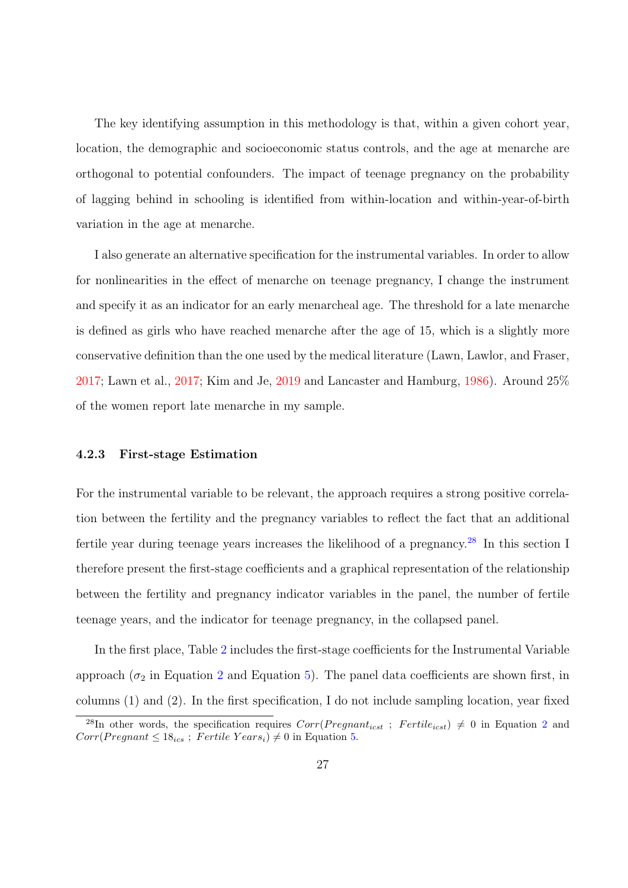The key identifying assumption in this methodology is that, within a given cohort year, location, the demographic and socioeconomic status controls, and the age at menarche are orthogonal to potential confounders. The impact of teenage pregnancy on the probability of lagging behind in schooling is identified from within-location and within-year-of-birth variation in the age at menarche.

I also generate an alternative specification for the instrumental variables. In order to allow for nonlinearities in the effect of menarche on teenage pregnancy, I change the instrument and specify it as an indicator for an early menarcheal age. The threshold for a late menarche is defined as girls who have reached menarche after the age of 15, which is a slightly more conservative definition than the one used by the medical literature (Lawn, Lawlor, and Fraser, [2017;](#page-49-9) Lawn et al., [2017;](#page-49-9) Kim and Je, [2019](#page-49-10) and Lancaster and Hamburg, [1986\)](#page-49-11). Around 25% of the women report late menarche in my sample.

# 4.2.3 First-stage Estimation

For the instrumental variable to be relevant, the approach requires a strong positive correlation between the fertility and the pregnancy variables to reflect the fact that an additional fertile year during teenage years increases the likelihood of a pregnancy.[28](#page-0-0) In this section I therefore present the first-stage coefficients and a graphical representation of the relationship between the fertility and pregnancy indicator variables in the panel, the number of fertile teenage years, and the indicator for teenage pregnancy, in the collapsed panel.

In the first place, Table [2](#page-60-0) includes the first-stage coefficients for the Instrumental Variable approach ( $\sigma_2$  $\sigma_2$  in Equation 2 and Equation [5\)](#page-25-1). The panel data coefficients are shown first, in columns (1) and (2). In the first specification, I do not include sampling location, year fixed

<sup>&</sup>lt;sup>[2](#page-24-0)8</sup>In other words, the specification requires  $Corr(Pregnant_{icst} ; Fertile_{icst}) \neq 0$  in Equation 2 and  $Corr(Pregnant \leq 18_{ics}$ ; Fertile Years<sub>i</sub>)  $\neq 0$  in Equation [5.](#page-25-1)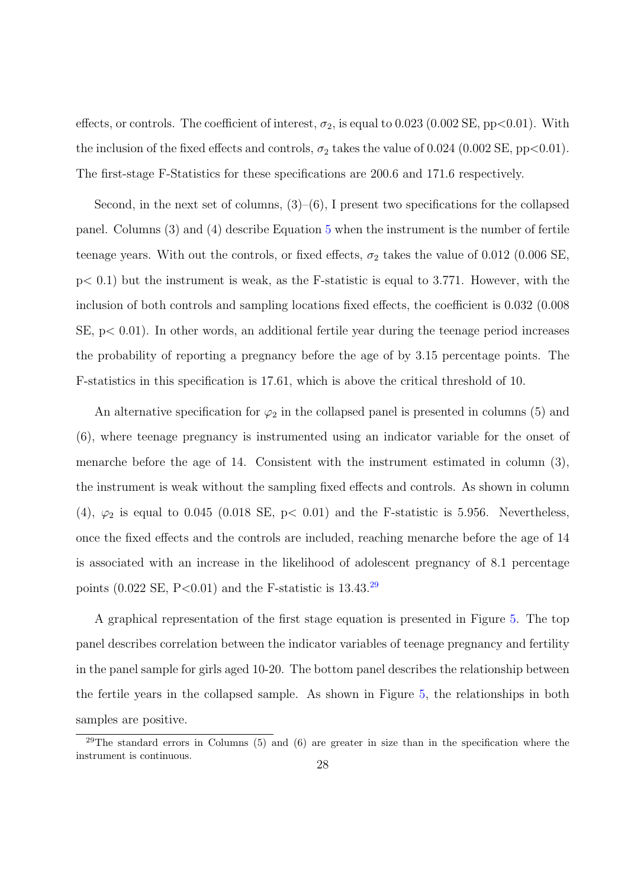effects, or controls. The coefficient of interest,  $\sigma_2$ , is equal to 0.023 (0.002 SE, pp<0.01). With the inclusion of the fixed effects and controls,  $\sigma_2$  takes the value of 0.024 (0.002 SE, pp<0.01). The first-stage F-Statistics for these specifications are 200.6 and 171.6 respectively.

Second, in the next set of columns,  $(3)$ – $(6)$ , I present two specifications for the collapsed panel. Columns (3) and (4) describe Equation [5](#page-25-1) when the instrument is the number of fertile teenage years. With out the controls, or fixed effects,  $\sigma_2$  takes the value of 0.012 (0.006 SE,  $p< 0.1$ ) but the instrument is weak, as the F-statistic is equal to 3.771. However, with the inclusion of both controls and sampling locations fixed effects, the coefficient is 0.032 (0.008  $SE, p < 0.01$ . In other words, an additional fertile year during the teenage period increases the probability of reporting a pregnancy before the age of by 3.15 percentage points. The F-statistics in this specification is 17.61, which is above the critical threshold of 10.

An alternative specification for  $\varphi_2$  in the collapsed panel is presented in columns (5) and (6), where teenage pregnancy is instrumented using an indicator variable for the onset of menarche before the age of 14. Consistent with the instrument estimated in column (3), the instrument is weak without the sampling fixed effects and controls. As shown in column (4),  $\varphi_2$  is equal to 0.045 (0.018 SE, p< 0.01) and the F-statistic is 5.956. Nevertheless, once the fixed effects and the controls are included, reaching menarche before the age of 14 is associated with an increase in the likelihood of adolescent pregnancy of 8.1 percentage points  $(0.022 \text{ SE}, \text{P} < 0.01)$  and the F-statistic is 13.43.<sup>[29](#page-0-0)</sup>

A graphical representation of the first stage equation is presented in Figure [5.](#page-55-0) The top panel describes correlation between the indicator variables of teenage pregnancy and fertility in the panel sample for girls aged 10-20. The bottom panel describes the relationship between the fertile years in the collapsed sample. As shown in Figure [5,](#page-55-0) the relationships in both samples are positive.

 $29$ The standard errors in Columns (5) and (6) are greater in size than in the specification where the instrument is continuous.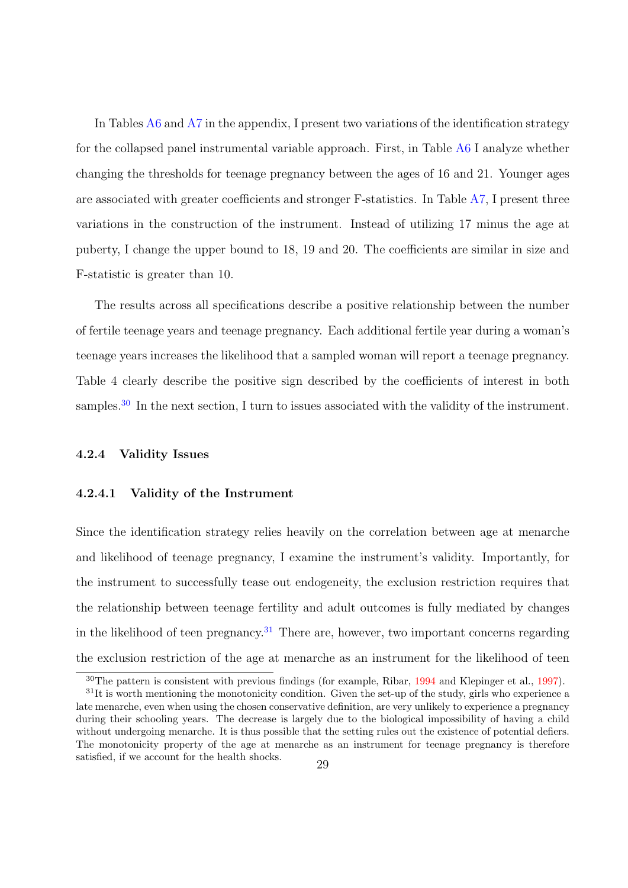In Tables [A6](#page-64-0) and [A7](#page-71-0) in the appendix, I present two variations of the identification strategy for the collapsed panel instrumental variable approach. First, in Table [A6](#page-64-0) I analyze whether changing the thresholds for teenage pregnancy between the ages of 16 and 21. Younger ages are associated with greater coefficients and stronger F-statistics. In Table [A7,](#page-71-0) I present three variations in the construction of the instrument. Instead of utilizing 17 minus the age at puberty, I change the upper bound to 18, 19 and 20. The coefficients are similar in size and F-statistic is greater than 10.

The results across all specifications describe a positive relationship between the number of fertile teenage years and teenage pregnancy. Each additional fertile year during a woman's teenage years increases the likelihood that a sampled woman will report a teenage pregnancy. Table 4 clearly describe the positive sign described by the coefficients of interest in both samples.<sup>[30](#page-0-0)</sup> In the next section, I turn to issues associated with the validity of the instrument.

### 4.2.4 Validity Issues

#### 4.2.4.1 Validity of the Instrument

Since the identification strategy relies heavily on the correlation between age at menarche and likelihood of teenage pregnancy, I examine the instrument's validity. Importantly, for the instrument to successfully tease out endogeneity, the exclusion restriction requires that the relationship between teenage fertility and adult outcomes is fully mediated by changes in the likelihood of teen pregnancy.<sup>[31](#page-0-0)</sup> There are, however, two important concerns regarding the exclusion restriction of the age at menarche as an instrument for the likelihood of teen

<sup>&</sup>lt;sup>30</sup>The pattern is consistent with previous findings (for example, Ribar, [1994](#page-51-4) and Klepinger et al., [1997\)](#page-49-3).

 $31$ It is worth mentioning the monotonicity condition. Given the set-up of the study, girls who experience a late menarche, even when using the chosen conservative definition, are very unlikely to experience a pregnancy during their schooling years. The decrease is largely due to the biological impossibility of having a child without undergoing menarche. It is thus possible that the setting rules out the existence of potential defiers. The monotonicity property of the age at menarche as an instrument for teenage pregnancy is therefore satisfied, if we account for the health shocks. 29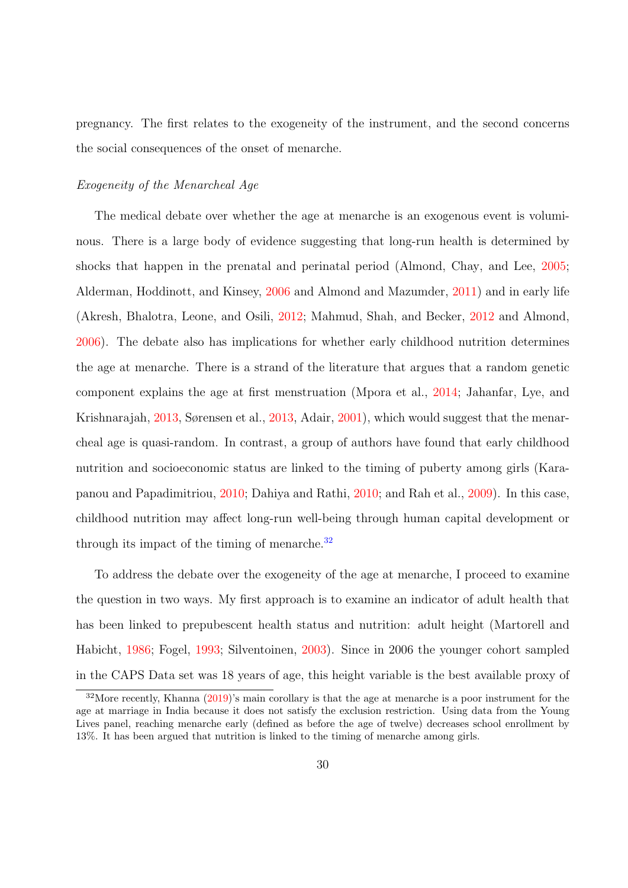pregnancy. The first relates to the exogeneity of the instrument, and the second concerns the social consequences of the onset of menarche.

#### Exogeneity of the Menarcheal Age

The medical debate over whether the age at menarche is an exogenous event is voluminous. There is a large body of evidence suggesting that long-run health is determined by shocks that happen in the prenatal and perinatal period (Almond, Chay, and Lee, [2005;](#page-46-1) Alderman, Hoddinott, and Kinsey, [2006](#page-46-2) and Almond and Mazumder, [2011\)](#page-47-15) and in early life (Akresh, Bhalotra, Leone, and Osili, [2012;](#page-46-3) Mahmud, Shah, and Becker, [2012](#page-50-10) and Almond, [2006\)](#page-46-4). The debate also has implications for whether early childhood nutrition determines the age at menarche. There is a strand of the literature that argues that a random genetic component explains the age at first menstruation (Mpora et al., [2014;](#page-50-11) Jahanfar, Lye, and Krishnarajah, [2013,](#page-49-12) Sørensen et al., [2013,](#page-51-15) Adair, [2001\)](#page-46-5), which would suggest that the menarcheal age is quasi-random. In contrast, a group of authors have found that early childhood nutrition and socioeconomic status are linked to the timing of puberty among girls (Karapanou and Papadimitriou, [2010;](#page-49-13) Dahiya and Rathi, [2010;](#page-48-16) and Rah et al., [2009\)](#page-50-12). In this case, childhood nutrition may affect long-run well-being through human capital development or through its impact of the timing of menarche.[32](#page-0-0)

To address the debate over the exogeneity of the age at menarche, I proceed to examine the question in two ways. My first approach is to examine an indicator of adult health that has been linked to prepubescent health status and nutrition: adult height (Martorell and Habicht, [1986;](#page-50-13) Fogel, [1993;](#page-48-17) Silventoinen, [2003\)](#page-51-16). Since in 2006 the younger cohort sampled in the CAPS Data set was 18 years of age, this height variable is the best available proxy of

<sup>32</sup>More recently, Khanna [\(2019\)](#page-49-4)'s main corollary is that the age at menarche is a poor instrument for the age at marriage in India because it does not satisfy the exclusion restriction. Using data from the Young Lives panel, reaching menarche early (defined as before the age of twelve) decreases school enrollment by 13%. It has been argued that nutrition is linked to the timing of menarche among girls.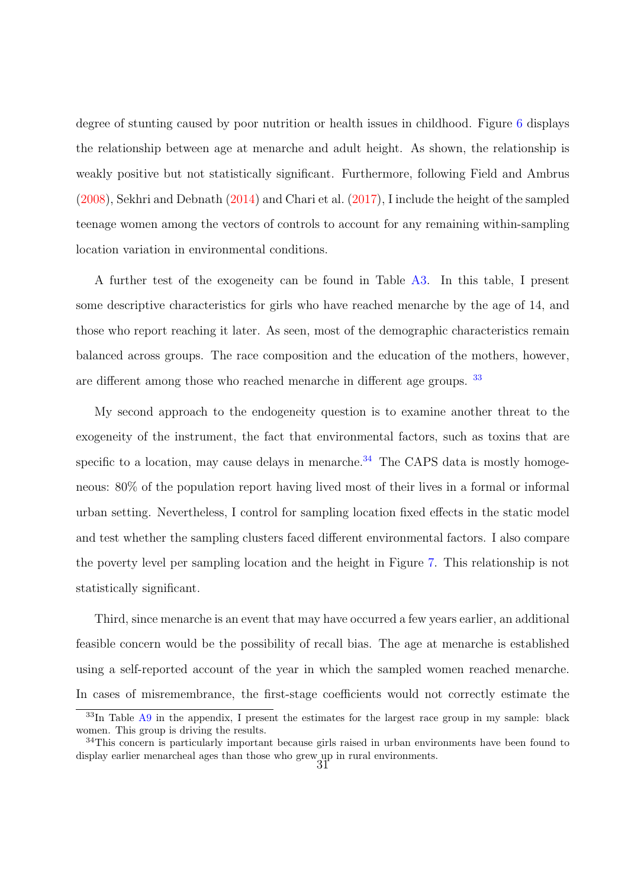degree of stunting caused by poor nutrition or health issues in childhood. Figure [6](#page-56-0) displays the relationship between age at menarche and adult height. As shown, the relationship is weakly positive but not statistically significant. Furthermore, following Field and Ambrus [\(2008\)](#page-48-1), Sekhri and Debnath [\(2014\)](#page-51-5) and Chari et al. [\(2017\)](#page-47-4), I include the height of the sampled teenage women among the vectors of controls to account for any remaining within-sampling location variation in environmental conditions.

A further test of the exogeneity can be found in Table [A3.](#page-61-0) In this table, I present some descriptive characteristics for girls who have reached menarche by the age of 14, and those who report reaching it later. As seen, most of the demographic characteristics remain balanced across groups. The race composition and the education of the mothers, however, are different among those who reached menarche in different age groups. [33](#page-0-0)

My second approach to the endogeneity question is to examine another threat to the exogeneity of the instrument, the fact that environmental factors, such as toxins that are specific to a location, may cause delays in menarche.<sup>[34](#page-0-0)</sup> The CAPS data is mostly homogeneous: 80% of the population report having lived most of their lives in a formal or informal urban setting. Nevertheless, I control for sampling location fixed effects in the static model and test whether the sampling clusters faced different environmental factors. I also compare the poverty level per sampling location and the height in Figure [7.](#page-56-1) This relationship is not statistically significant.

Third, since menarche is an event that may have occurred a few years earlier, an additional feasible concern would be the possibility of recall bias. The age at menarche is established using a self-reported account of the year in which the sampled women reached menarche. In cases of misremembrance, the first-stage coefficients would not correctly estimate the

<sup>&</sup>lt;sup>33</sup>In Table [A9](#page-73-0) in the appendix, I present the estimates for the largest race group in my sample: black women. This group is driving the results.

<sup>&</sup>lt;sup>34</sup>This concern is particularly important because girls raised in urban environments have been found to display earlier menarcheal ages than those who grew up in rural environments.<br>  $31$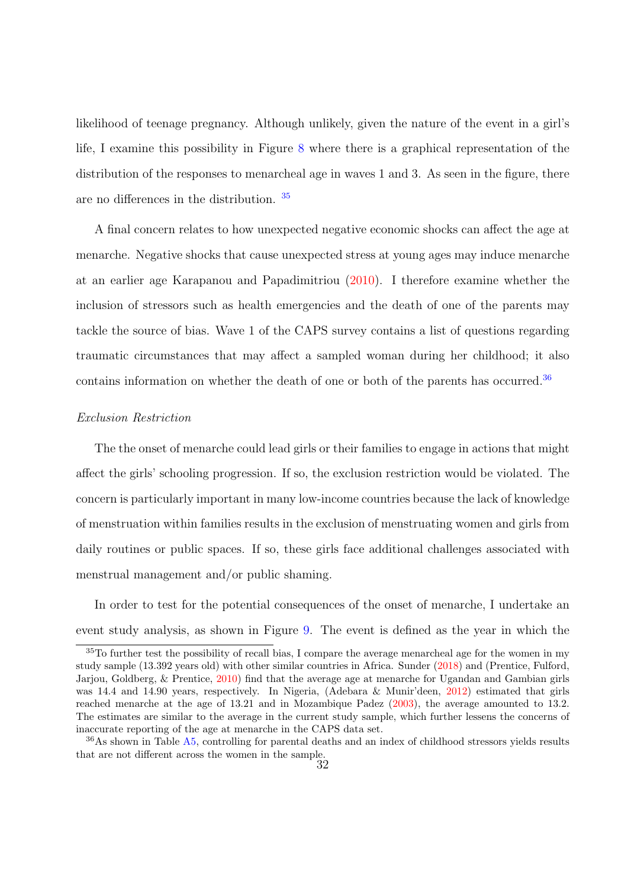likelihood of teenage pregnancy. Although unlikely, given the nature of the event in a girl's life, I examine this possibility in Figure [8](#page-57-0) where there is a graphical representation of the distribution of the responses to menarcheal age in waves 1 and 3. As seen in the figure, there are no differences in the distribution.  $35$ 

A final concern relates to how unexpected negative economic shocks can affect the age at menarche. Negative shocks that cause unexpected stress at young ages may induce menarche at an earlier age Karapanou and Papadimitriou [\(2010\)](#page-49-13). I therefore examine whether the inclusion of stressors such as health emergencies and the death of one of the parents may tackle the source of bias. Wave 1 of the CAPS survey contains a list of questions regarding traumatic circumstances that may affect a sampled woman during her childhood; it also contains information on whether the death of one or both of the parents has occurred.<sup>[36](#page-0-0)</sup>

#### Exclusion Restriction

The the onset of menarche could lead girls or their families to engage in actions that might affect the girls' schooling progression. If so, the exclusion restriction would be violated. The concern is particularly important in many low-income countries because the lack of knowledge of menstruation within families results in the exclusion of menstruating women and girls from daily routines or public spaces. If so, these girls face additional challenges associated with menstrual management and/or public shaming.

In order to test for the potential consequences of the onset of menarche, I undertake an event study analysis, as shown in Figure [9.](#page-57-1) The event is defined as the year in which the

<sup>35</sup>To further test the possibility of recall bias, I compare the average menarcheal age for the women in my study sample (13.392 years old) with other similar countries in Africa. Sunder [\(2018\)](#page-51-6) and (Prentice, Fulford, Jarjou, Goldberg, & Prentice, [2010\)](#page-50-14) find that the average age at menarche for Ugandan and Gambian girls was 14.4 and 14.90 years, respectively. In Nigeria, (Adebara & Munir'deen, [2012\)](#page-46-6) estimated that girls reached menarche at the age of 13.21 and in Mozambique Padez [\(2003\)](#page-50-15), the average amounted to 13.2. The estimates are similar to the average in the current study sample, which further lessens the concerns of inaccurate reporting of the age at menarche in the CAPS data set.

<sup>36</sup>As shown in Table [A5,](#page-63-0) controlling for parental deaths and an index of childhood stressors yields results that are not different across the women in the sample.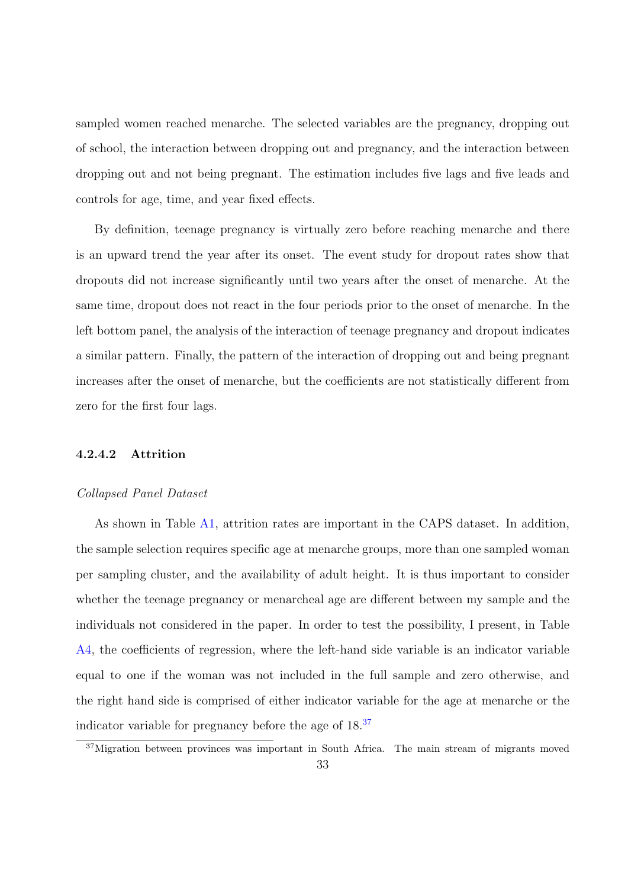sampled women reached menarche. The selected variables are the pregnancy, dropping out of school, the interaction between dropping out and pregnancy, and the interaction between dropping out and not being pregnant. The estimation includes five lags and five leads and controls for age, time, and year fixed effects.

By definition, teenage pregnancy is virtually zero before reaching menarche and there is an upward trend the year after its onset. The event study for dropout rates show that dropouts did not increase significantly until two years after the onset of menarche. At the same time, dropout does not react in the four periods prior to the onset of menarche. In the left bottom panel, the analysis of the interaction of teenage pregnancy and dropout indicates a similar pattern. Finally, the pattern of the interaction of dropping out and being pregnant increases after the onset of menarche, but the coefficients are not statistically different from zero for the first four lags.

# 4.2.4.2 Attrition

#### Collapsed Panel Dataset

As shown in Table [A1,](#page-59-0) attrition rates are important in the CAPS dataset. In addition, the sample selection requires specific age at menarche groups, more than one sampled woman per sampling cluster, and the availability of adult height. It is thus important to consider whether the teenage pregnancy or menarcheal age are different between my sample and the individuals not considered in the paper. In order to test the possibility, I present, in Table [A4,](#page-62-0) the coefficients of regression, where the left-hand side variable is an indicator variable equal to one if the woman was not included in the full sample and zero otherwise, and the right hand side is comprised of either indicator variable for the age at menarche or the indicator variable for pregnancy before the age of  $18.<sup>37</sup>$  $18.<sup>37</sup>$  $18.<sup>37</sup>$ 

<sup>&</sup>lt;sup>37</sup>Migration between provinces was important in South Africa. The main stream of migrants moved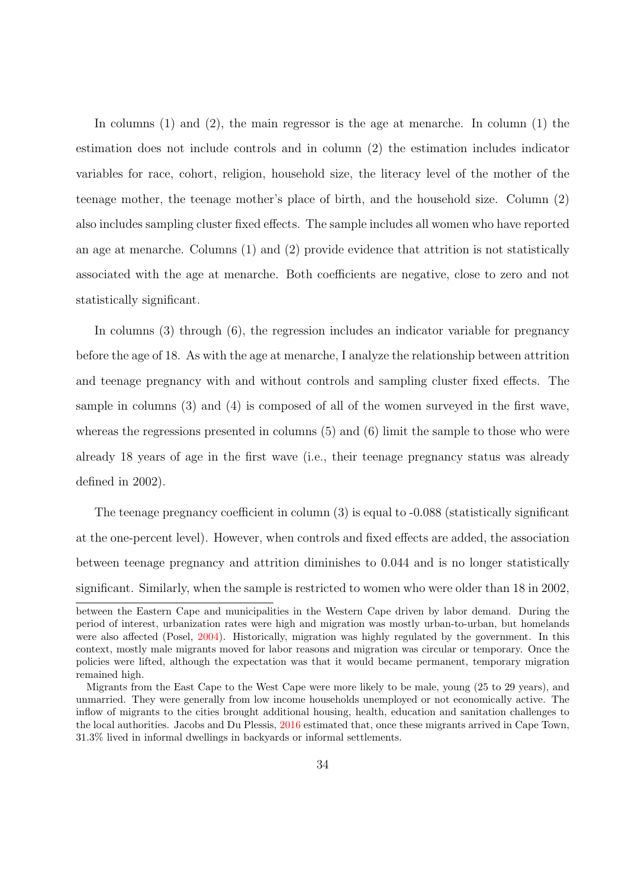In columns  $(1)$  and  $(2)$ , the main regressor is the age at menarche. In column  $(1)$  the estimation does not include controls and in column (2) the estimation includes indicator variables for race, cohort, religion, household size, the literacy level of the mother of the teenage mother, the teenage mother's place of birth, and the household size. Column (2) also includes sampling cluster fixed effects. The sample includes all women who have reported an age at menarche. Columns (1) and (2) provide evidence that attrition is not statistically associated with the age at menarche. Both coefficients are negative, close to zero and not statistically significant.

In columns (3) through (6), the regression includes an indicator variable for pregnancy before the age of 18. As with the age at menarche, I analyze the relationship between attrition and teenage pregnancy with and without controls and sampling cluster fixed effects. The sample in columns (3) and (4) is composed of all of the women surveyed in the first wave, whereas the regressions presented in columns (5) and (6) limit the sample to those who were already 18 years of age in the first wave (i.e., their teenage pregnancy status was already defined in 2002).

The teenage pregnancy coefficient in column (3) is equal to -0.088 (statistically significant at the one-percent level). However, when controls and fixed effects are added, the association between teenage pregnancy and attrition diminishes to 0.044 and is no longer statistically significant. Similarly, when the sample is restricted to women who were older than 18 in 2002,

between the Eastern Cape and municipalities in the Western Cape driven by labor demand. During the period of interest, urbanization rates were high and migration was mostly urban-to-urban, but homelands were also affected (Posel, [2004\)](#page-50-16). Historically, migration was highly regulated by the government. In this context, mostly male migrants moved for labor reasons and migration was circular or temporary. Once the policies were lifted, although the expectation was that it would became permanent, temporary migration remained high.

Migrants from the East Cape to the West Cape were more likely to be male, young (25 to 29 years), and unmarried. They were generally from low income households unemployed or not economically active. The inflow of migrants to the cities brought additional housing, health, education and sanitation challenges to the local authorities. Jacobs and Du Plessis, [2016](#page-49-14) estimated that, once these migrants arrived in Cape Town, 31.3% lived in informal dwellings in backyards or informal settlements.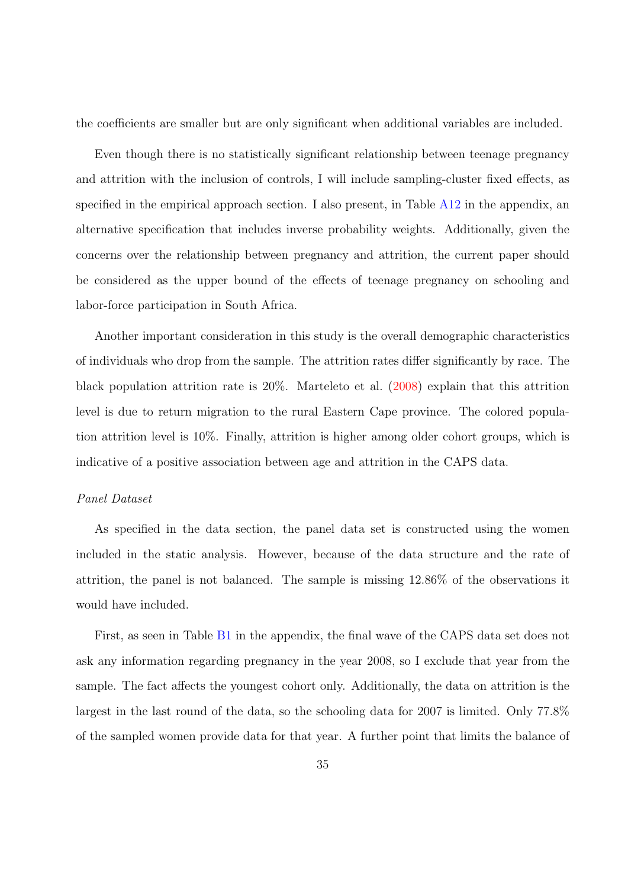the coefficients are smaller but are only significant when additional variables are included.

Even though there is no statistically significant relationship between teenage pregnancy and attrition with the inclusion of controls, I will include sampling-cluster fixed effects, as specified in the empirical approach section. I also present, in Table [A12](#page-76-0) in the appendix, an alternative specification that includes inverse probability weights. Additionally, given the concerns over the relationship between pregnancy and attrition, the current paper should be considered as the upper bound of the effects of teenage pregnancy on schooling and labor-force participation in South Africa.

Another important consideration in this study is the overall demographic characteristics of individuals who drop from the sample. The attrition rates differ significantly by race. The black population attrition rate is 20%. Marteleto et al. [\(2008\)](#page-50-4) explain that this attrition level is due to return migration to the rural Eastern Cape province. The colored population attrition level is 10%. Finally, attrition is higher among older cohort groups, which is indicative of a positive association between age and attrition in the CAPS data.

#### Panel Dataset

As specified in the data section, the panel data set is constructed using the women included in the static analysis. However, because of the data structure and the rate of attrition, the panel is not balanced. The sample is missing 12.86% of the observations it would have included.

First, as seen in Table [B1](#page-59-0) in the appendix, the final wave of the CAPS data set does not ask any information regarding pregnancy in the year 2008, so I exclude that year from the sample. The fact affects the youngest cohort only. Additionally, the data on attrition is the largest in the last round of the data, so the schooling data for 2007 is limited. Only 77.8% of the sampled women provide data for that year. A further point that limits the balance of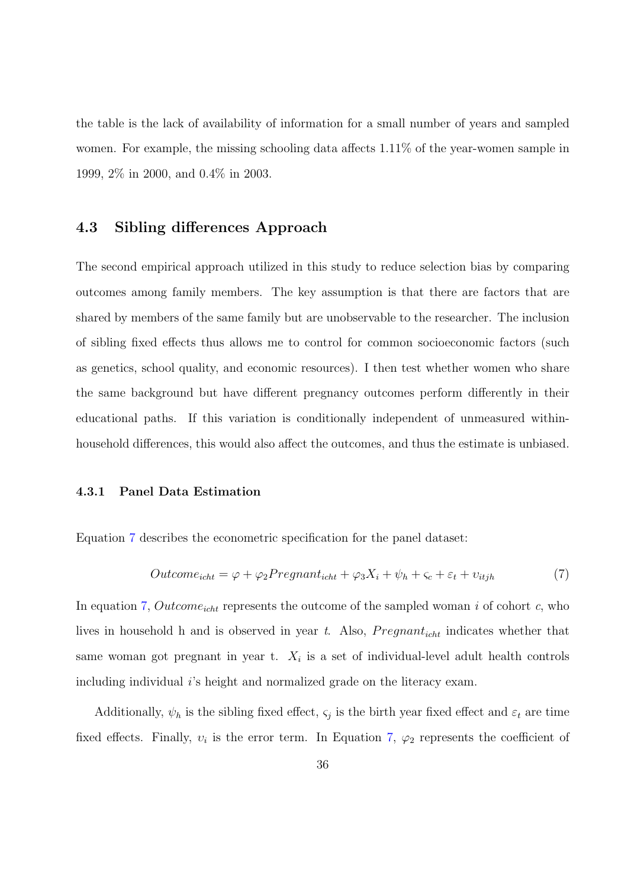the table is the lack of availability of information for a small number of years and sampled women. For example, the missing schooling data affects 1.11% of the year-women sample in 1999, 2% in 2000, and 0.4% in 2003.

## 4.3 Sibling differences Approach

The second empirical approach utilized in this study to reduce selection bias by comparing outcomes among family members. The key assumption is that there are factors that are shared by members of the same family but are unobservable to the researcher. The inclusion of sibling fixed effects thus allows me to control for common socioeconomic factors (such as genetics, school quality, and economic resources). I then test whether women who share the same background but have different pregnancy outcomes perform differently in their educational paths. If this variation is conditionally independent of unmeasured withinhousehold differences, this would also affect the outcomes, and thus the estimate is unbiased.

#### 4.3.1 Panel Data Estimation

Equation [7](#page-36-0) describes the econometric specification for the panel dataset:

<span id="page-36-0"></span>
$$
Outcome_{icht} = \varphi + \varphi_2 Programat_{icht} + \varphi_3 X_i + \psi_h + \varsigma_c + \varepsilon_t + \upsilon_{itjh}
$$
\n<sup>(7)</sup>

In equation [7,](#page-36-0)  $Outcome_{icht}$  represents the outcome of the sampled woman i of cohort c, who lives in household h and is observed in year t. Also,  $Pregnant_{icht}$  indicates whether that same woman got pregnant in year t.  $X_i$  is a set of individual-level adult health controls including individual  $i$ 's height and normalized grade on the literacy exam.

Additionally,  $\psi_h$  is the sibling fixed effect,  $\varsigma_j$  is the birth year fixed effect and  $\varepsilon_t$  are time fixed effects. Finally,  $v_i$  is the error term. In Equation [7,](#page-36-0)  $\varphi_2$  represents the coefficient of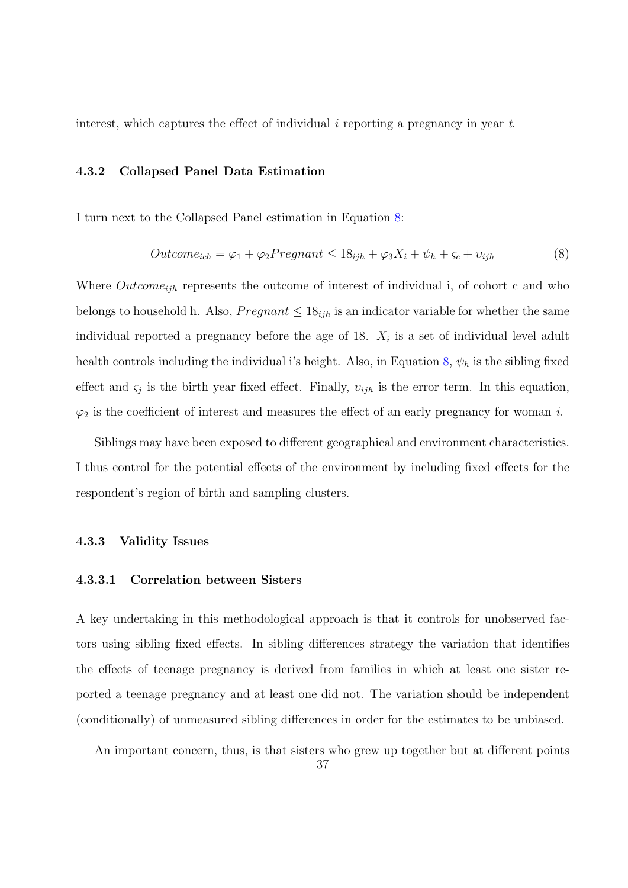interest, which captures the effect of individual i reporting a pregnancy in year  $t$ .

#### 4.3.2 Collapsed Panel Data Estimation

I turn next to the Collapsed Panel estimation in Equation [8:](#page-37-0)

<span id="page-37-0"></span>
$$
Outcome_{ich} = \varphi_1 + \varphi_2 Programat \le 18_{ijh} + \varphi_3 X_i + \psi_h + \varsigma_c + \upsilon_{ijh}
$$
\n
$$
(8)
$$

Where  $Outcome_{ijh}$  represents the outcome of interest of individual i, of cohort c and who belongs to household h. Also,  $P$ regnant  $\leq 18_{ijh}$  is an indicator variable for whether the same individual reported a pregnancy before the age of 18.  $X_i$  is a set of individual level adult health controls including the individual i's height. Also, in Equation [8,](#page-37-0)  $\psi_h$  is the sibling fixed effect and  $\varsigma_j$  is the birth year fixed effect. Finally,  $v_{ijh}$  is the error term. In this equation,  $\varphi_2$  is the coefficient of interest and measures the effect of an early pregnancy for woman i.

Siblings may have been exposed to different geographical and environment characteristics. I thus control for the potential effects of the environment by including fixed effects for the respondent's region of birth and sampling clusters.

#### 4.3.3 Validity Issues

#### 4.3.3.1 Correlation between Sisters

A key undertaking in this methodological approach is that it controls for unobserved factors using sibling fixed effects. In sibling differences strategy the variation that identifies the effects of teenage pregnancy is derived from families in which at least one sister reported a teenage pregnancy and at least one did not. The variation should be independent (conditionally) of unmeasured sibling differences in order for the estimates to be unbiased.

An important concern, thus, is that sisters who grew up together but at different points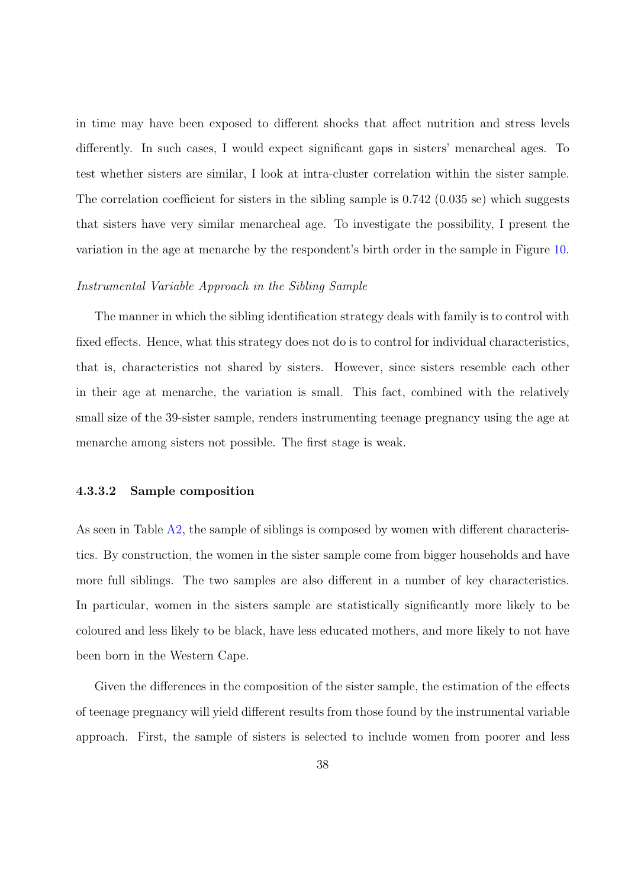in time may have been exposed to different shocks that affect nutrition and stress levels differently. In such cases, I would expect significant gaps in sisters' menarcheal ages. To test whether sisters are similar, I look at intra-cluster correlation within the sister sample. The correlation coefficient for sisters in the sibling sample is 0.742 (0.035 se) which suggests that sisters have very similar menarcheal age. To investigate the possibility, I present the variation in the age at menarche by the respondent's birth order in the sample in Figure [10.](#page-58-0)

#### Instrumental Variable Approach in the Sibling Sample

The manner in which the sibling identification strategy deals with family is to control with fixed effects. Hence, what this strategy does not do is to control for individual characteristics, that is, characteristics not shared by sisters. However, since sisters resemble each other in their age at menarche, the variation is small. This fact, combined with the relatively small size of the 39-sister sample, renders instrumenting teenage pregnancy using the age at menarche among sisters not possible. The first stage is weak.

#### 4.3.3.2 Sample composition

As seen in Table [A2,](#page-60-0) the sample of siblings is composed by women with different characteristics. By construction, the women in the sister sample come from bigger households and have more full siblings. The two samples are also different in a number of key characteristics. In particular, women in the sisters sample are statistically significantly more likely to be coloured and less likely to be black, have less educated mothers, and more likely to not have been born in the Western Cape.

Given the differences in the composition of the sister sample, the estimation of the effects of teenage pregnancy will yield different results from those found by the instrumental variable approach. First, the sample of sisters is selected to include women from poorer and less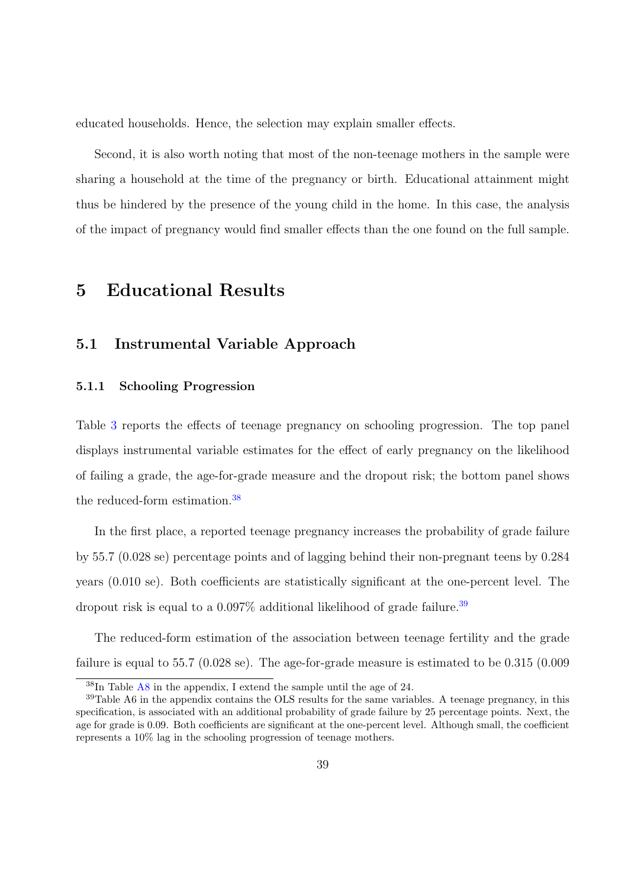educated households. Hence, the selection may explain smaller effects.

Second, it is also worth noting that most of the non-teenage mothers in the sample were sharing a household at the time of the pregnancy or birth. Educational attainment might thus be hindered by the presence of the young child in the home. In this case, the analysis of the impact of pregnancy would find smaller effects than the one found on the full sample.

# 5 Educational Results

# 5.1 Instrumental Variable Approach

### 5.1.1 Schooling Progression

Table [3](#page-61-0) reports the effects of teenage pregnancy on schooling progression. The top panel displays instrumental variable estimates for the effect of early pregnancy on the likelihood of failing a grade, the age-for-grade measure and the dropout risk; the bottom panel shows the reduced-form estimation.[38](#page-0-0)

In the first place, a reported teenage pregnancy increases the probability of grade failure by 55.7 (0.028 se) percentage points and of lagging behind their non-pregnant teens by 0.284 years (0.010 se). Both coefficients are statistically significant at the one-percent level. The dropout risk is equal to a  $0.097\%$  additional likelihood of grade failure.<sup>[39](#page-0-0)</sup>

The reduced-form estimation of the association between teenage fertility and the grade failure is equal to 55.7 (0.028 se). The age-for-grade measure is estimated to be 0.315 (0.009

<sup>38</sup>In Table [A8](#page-72-0) in the appendix, I extend the sample until the age of 24.

 $39$ Table A6 in the appendix contains the OLS results for the same variables. A teenage pregnancy, in this specification, is associated with an additional probability of grade failure by 25 percentage points. Next, the age for grade is 0.09. Both coefficients are significant at the one-percent level. Although small, the coefficient represents a 10% lag in the schooling progression of teenage mothers.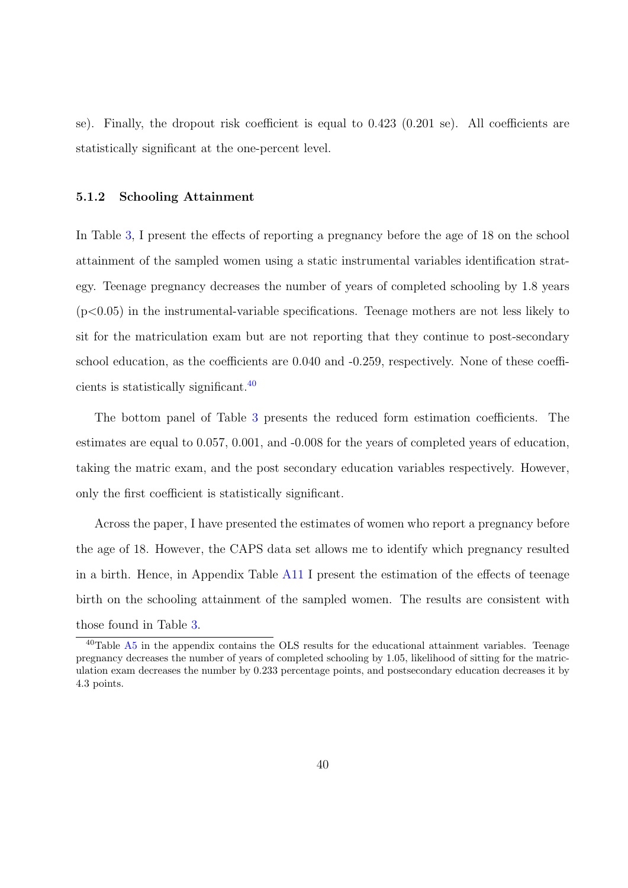se). Finally, the dropout risk coefficient is equal to 0.423 (0.201 se). All coefficients are statistically significant at the one-percent level.

#### 5.1.2 Schooling Attainment

In Table [3,](#page-61-0) I present the effects of reporting a pregnancy before the age of 18 on the school attainment of the sampled women using a static instrumental variables identification strategy. Teenage pregnancy decreases the number of years of completed schooling by 1.8 years  $(p<0.05)$  in the instrumental-variable specifications. Teenage mothers are not less likely to sit for the matriculation exam but are not reporting that they continue to post-secondary school education, as the coefficients are 0.040 and -0.259, respectively. None of these coefficients is statistically significant.[40](#page-0-0)

The bottom panel of Table [3](#page-61-0) presents the reduced form estimation coefficients. The estimates are equal to 0.057, 0.001, and -0.008 for the years of completed years of education, taking the matric exam, and the post secondary education variables respectively. However, only the first coefficient is statistically significant.

Across the paper, I have presented the estimates of women who report a pregnancy before the age of 18. However, the CAPS data set allows me to identify which pregnancy resulted in a birth. Hence, in Appendix Table [A11](#page-75-0) I present the estimation of the effects of teenage birth on the schooling attainment of the sampled women. The results are consistent with those found in Table [3.](#page-61-0)

 $40$ Table  $\overline{A5}$  $\overline{A5}$  $\overline{A5}$  in the appendix contains the OLS results for the educational attainment variables. Teenage pregnancy decreases the number of years of completed schooling by 1.05, likelihood of sitting for the matriculation exam decreases the number by 0.233 percentage points, and postsecondary education decreases it by 4.3 points.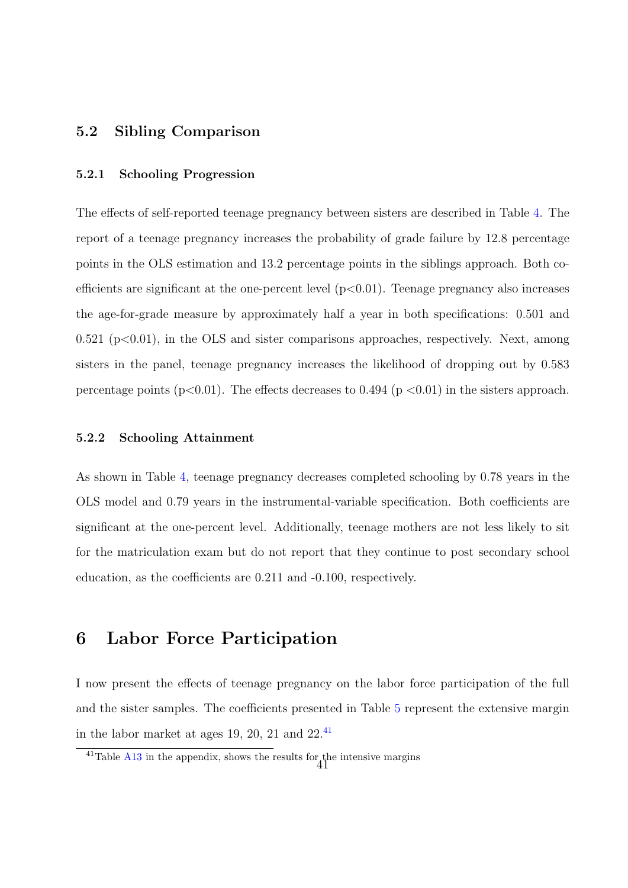## 5.2 Sibling Comparison

#### 5.2.1 Schooling Progression

The effects of self-reported teenage pregnancy between sisters are described in Table [4.](#page-62-0) The report of a teenage pregnancy increases the probability of grade failure by 12.8 percentage points in the OLS estimation and 13.2 percentage points in the siblings approach. Both coefficients are significant at the one-percent level  $(p<0.01)$ . Teenage pregnancy also increases the age-for-grade measure by approximately half a year in both specifications: 0.501 and  $0.521$  ( $p<0.01$ ), in the OLS and sister comparisons approaches, respectively. Next, among sisters in the panel, teenage pregnancy increases the likelihood of dropping out by 0.583 percentage points ( $p<0.01$ ). The effects decreases to 0.494 ( $p<0.01$ ) in the sisters approach.

#### 5.2.2 Schooling Attainment

As shown in Table [4,](#page-62-0) teenage pregnancy decreases completed schooling by 0.78 years in the OLS model and 0.79 years in the instrumental-variable specification. Both coefficients are significant at the one-percent level. Additionally, teenage mothers are not less likely to sit for the matriculation exam but do not report that they continue to post secondary school education, as the coefficients are 0.211 and -0.100, respectively.

# 6 Labor Force Participation

I now present the effects of teenage pregnancy on the labor force participation of the full and the sister samples. The coefficients presented in Table [5](#page-63-0) represent the extensive margin in the labor market at ages 19, 20, 21 and  $22^{41}$  $22^{41}$  $22^{41}$ 

<sup>&</sup>lt;sup>41</sup>Table [A13](#page-77-0) in the appendix, shows the results for the intensive margins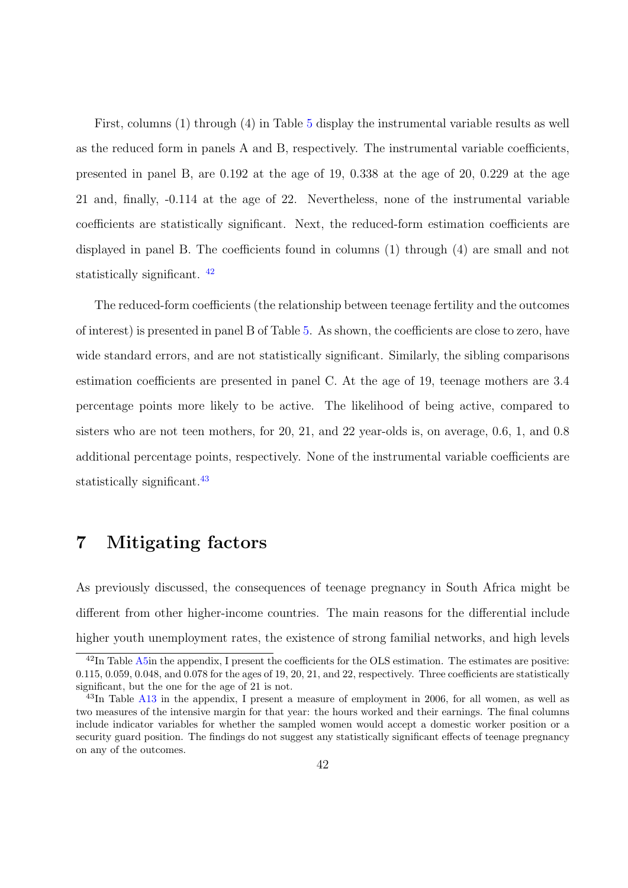First, columns (1) through (4) in Table [5](#page-63-0) display the instrumental variable results as well as the reduced form in panels A and B, respectively. The instrumental variable coefficients, presented in panel B, are 0.192 at the age of 19, 0.338 at the age of 20, 0.229 at the age 21 and, finally, -0.114 at the age of 22. Nevertheless, none of the instrumental variable coefficients are statistically significant. Next, the reduced-form estimation coefficients are displayed in panel B. The coefficients found in columns (1) through (4) are small and not statistically significant. [42](#page-0-0)

The reduced-form coefficients (the relationship between teenage fertility and the outcomes of interest) is presented in panel B of Table [5.](#page-63-0) As shown, the coefficients are close to zero, have wide standard errors, and are not statistically significant. Similarly, the sibling comparisons estimation coefficients are presented in panel C. At the age of 19, teenage mothers are 3.4 percentage points more likely to be active. The likelihood of being active, compared to sisters who are not teen mothers, for 20, 21, and 22 year-olds is, on average, 0.6, 1, and 0.8 additional percentage points, respectively. None of the instrumental variable coefficients are statistically significant.<sup>[43](#page-0-0)</sup>

# 7 Mitigating factors

As previously discussed, the consequences of teenage pregnancy in South Africa might be different from other higher-income countries. The main reasons for the differential include higher youth unemployment rates, the existence of strong familial networks, and high levels

<sup>&</sup>lt;sup>42</sup>In Table [A5i](#page-63-0)n the appendix, I present the coefficients for the OLS estimation. The estimates are positive: 0.115, 0.059, 0.048, and 0.078 for the ages of 19, 20, 21, and 22, respectively. Three coefficients are statistically significant, but the one for the age of 21 is not.

<sup>&</sup>lt;sup>43</sup>In Table [A13](#page-77-0) in the appendix, I present a measure of employment in 2006, for all women, as well as two measures of the intensive margin for that year: the hours worked and their earnings. The final columns include indicator variables for whether the sampled women would accept a domestic worker position or a security guard position. The findings do not suggest any statistically significant effects of teenage pregnancy on any of the outcomes.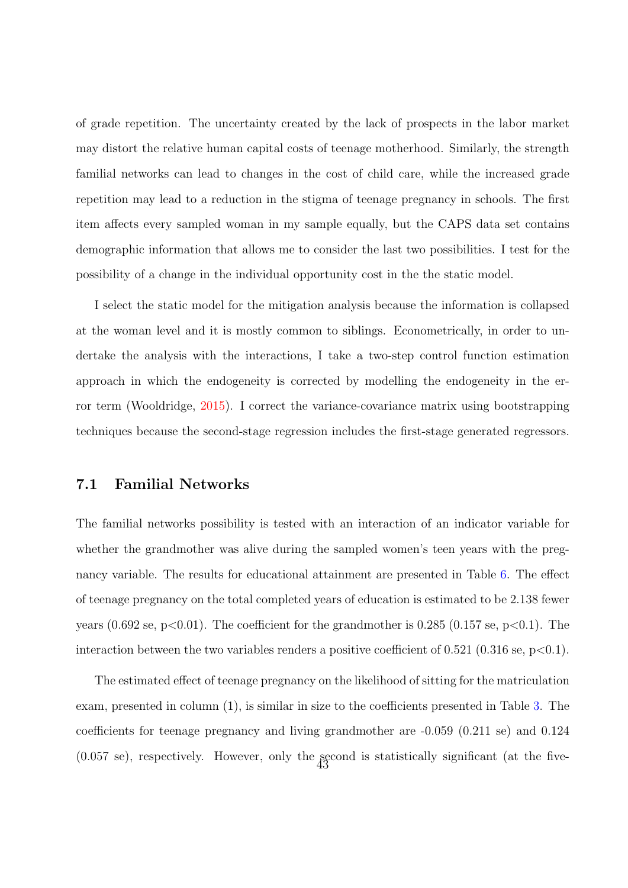of grade repetition. The uncertainty created by the lack of prospects in the labor market may distort the relative human capital costs of teenage motherhood. Similarly, the strength familial networks can lead to changes in the cost of child care, while the increased grade repetition may lead to a reduction in the stigma of teenage pregnancy in schools. The first item affects every sampled woman in my sample equally, but the CAPS data set contains demographic information that allows me to consider the last two possibilities. I test for the possibility of a change in the individual opportunity cost in the the static model.

I select the static model for the mitigation analysis because the information is collapsed at the woman level and it is mostly common to siblings. Econometrically, in order to undertake the analysis with the interactions, I take a two-step control function estimation approach in which the endogeneity is corrected by modelling the endogeneity in the error term (Wooldridge, [2015\)](#page-51-0). I correct the variance-covariance matrix using bootstrapping techniques because the second-stage regression includes the first-stage generated regressors.

## 7.1 Familial Networks

The familial networks possibility is tested with an interaction of an indicator variable for whether the grandmother was alive during the sampled women's teen years with the pregnancy variable. The results for educational attainment are presented in Table [6.](#page-64-0) The effect of teenage pregnancy on the total completed years of education is estimated to be 2.138 fewer years  $(0.692 \text{ se}, \text{p} < 0.01)$ . The coefficient for the grandmother is 0.285  $(0.157 \text{ se}, \text{p} < 0.1)$ . The interaction between the two variables renders a positive coefficient of 0.521 (0.316 se,  $p<0.1$ ).

The estimated effect of teenage pregnancy on the likelihood of sitting for the matriculation exam, presented in column (1), is similar in size to the coefficients presented in Table [3.](#page-61-0) The coefficients for teenage pregnancy and living grandmother are -0.059 (0.211 se) and 0.124 (0.057 se), respectively. However, only the second is statistically significant (at the five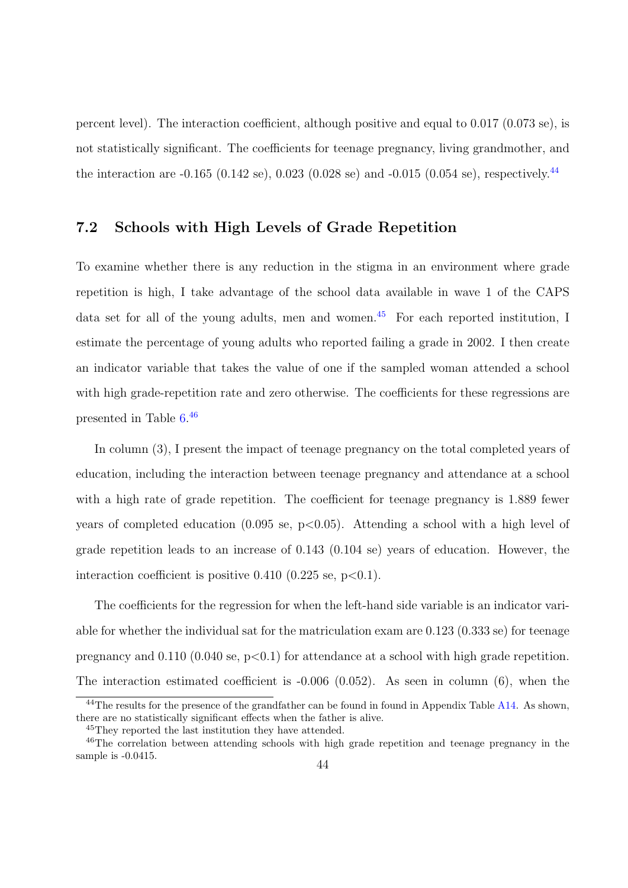percent level). The interaction coefficient, although positive and equal to 0.017 (0.073 se), is not statistically significant. The coefficients for teenage pregnancy, living grandmother, and the interaction are  $-0.165$  (0.142 se), 0.023 (0.028 se) and  $-0.015$  (0.054 se), respectively.<sup>[44](#page-0-0)</sup>

## 7.2 Schools with High Levels of Grade Repetition

To examine whether there is any reduction in the stigma in an environment where grade repetition is high, I take advantage of the school data available in wave 1 of the CAPS data set for all of the young adults, men and women.[45](#page-0-0) For each reported institution, I estimate the percentage of young adults who reported failing a grade in 2002. I then create an indicator variable that takes the value of one if the sampled woman attended a school with high grade-repetition rate and zero otherwise. The coefficients for these regressions are presented in Table [6.](#page-64-0) [46](#page-0-0)

In column (3), I present the impact of teenage pregnancy on the total completed years of education, including the interaction between teenage pregnancy and attendance at a school with a high rate of grade repetition. The coefficient for teenage pregnancy is 1.889 fewer years of completed education  $(0.095 \text{ se}, \text{p} < 0.05)$ . Attending a school with a high level of grade repetition leads to an increase of 0.143 (0.104 se) years of education. However, the interaction coefficient is positive  $0.410$   $(0.225$  se, p $<0.1)$ .

The coefficients for the regression for when the left-hand side variable is an indicator variable for whether the individual sat for the matriculation exam are 0.123 (0.333 se) for teenage pregnancy and  $0.110$  (0.040 se, p $\leq 0.1$ ) for attendance at a school with high grade repetition. The interaction estimated coefficient is -0.006 (0.052). As seen in column (6), when the

<sup>&</sup>lt;sup>44</sup>The results for the presence of the grandfather can be found in found in Appendix Table [A14.](#page-78-0) As shown, there are no statistically significant effects when the father is alive.

<sup>45</sup>They reported the last institution they have attended.

<sup>&</sup>lt;sup>46</sup>The correlation between attending schools with high grade repetition and teenage pregnancy in the sample is  $-0.0415$ .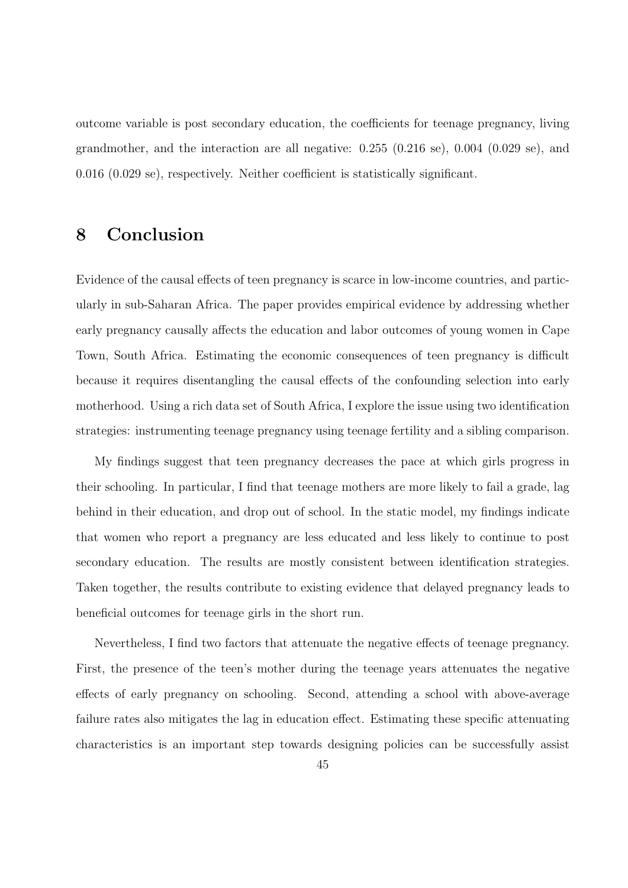outcome variable is post secondary education, the coefficients for teenage pregnancy, living grandmother, and the interaction are all negative: 0.255 (0.216 se), 0.004 (0.029 se), and 0.016 (0.029 se), respectively. Neither coefficient is statistically significant.

# 8 Conclusion

Evidence of the causal effects of teen pregnancy is scarce in low-income countries, and particularly in sub-Saharan Africa. The paper provides empirical evidence by addressing whether early pregnancy causally affects the education and labor outcomes of young women in Cape Town, South Africa. Estimating the economic consequences of teen pregnancy is difficult because it requires disentangling the causal effects of the confounding selection into early motherhood. Using a rich data set of South Africa, I explore the issue using two identification strategies: instrumenting teenage pregnancy using teenage fertility and a sibling comparison.

My findings suggest that teen pregnancy decreases the pace at which girls progress in their schooling. In particular, I find that teenage mothers are more likely to fail a grade, lag behind in their education, and drop out of school. In the static model, my findings indicate that women who report a pregnancy are less educated and less likely to continue to post secondary education. The results are mostly consistent between identification strategies. Taken together, the results contribute to existing evidence that delayed pregnancy leads to beneficial outcomes for teenage girls in the short run.

Nevertheless, I find two factors that attenuate the negative effects of teenage pregnancy. First, the presence of the teen's mother during the teenage years attenuates the negative effects of early pregnancy on schooling. Second, attending a school with above-average failure rates also mitigates the lag in education effect. Estimating these specific attenuating characteristics is an important step towards designing policies can be successfully assist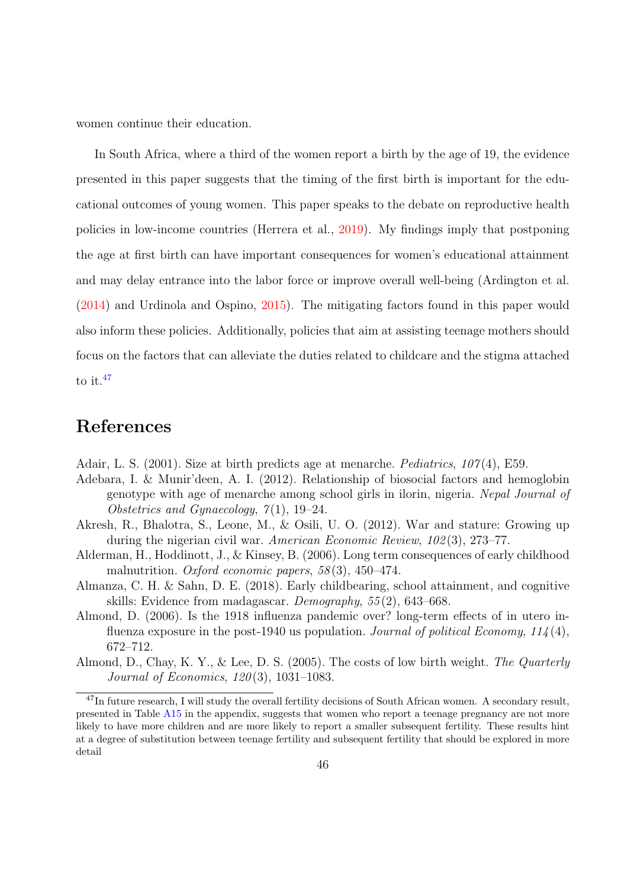women continue their education.

In South Africa, where a third of the women report a birth by the age of 19, the evidence presented in this paper suggests that the timing of the first birth is important for the educational outcomes of young women. This paper speaks to the debate on reproductive health policies in low-income countries (Herrera et al., [2019\)](#page-48-0). My findings imply that postponing the age at first birth can have important consequences for women's educational attainment and may delay entrance into the labor force or improve overall well-being (Ardington et al. [\(2014\)](#page-47-0) and Urdinola and Ospino, [2015\)](#page-51-1). The mitigating factors found in this paper would also inform these policies. Additionally, policies that aim at assisting teenage mothers should focus on the factors that can alleviate the duties related to childcare and the stigma attached to it.<sup>[47](#page-0-0)</sup>

# References

Adair, L. S. (2001). Size at birth predicts age at menarche. Pediatrics, 107 (4), E59.

- Adebara, I. & Munir'deen, A. I. (2012). Relationship of biosocial factors and hemoglobin genotype with age of menarche among school girls in ilorin, nigeria. Nepal Journal of Obstetrics and Gynaecology,  $7(1)$ , 19–24.
- Akresh, R., Bhalotra, S., Leone, M., & Osili, U. O. (2012). War and stature: Growing up during the nigerian civil war. American Economic Review, 102 (3), 273–77.
- Alderman, H., Hoddinott, J., & Kinsey, B. (2006). Long term consequences of early childhood malnutrition. Oxford economic papers,  $58(3)$ ,  $450-474$ .
- Almanza, C. H. & Sahn, D. E. (2018). Early childbearing, school attainment, and cognitive skills: Evidence from madagascar. Demography, 55 (2), 643–668.
- Almond, D. (2006). Is the 1918 influenza pandemic over? long-term effects of in utero influenza exposure in the post-1940 us population. Journal of political Economy,  $114(4)$ , 672–712.
- Almond, D., Chay, K. Y., & Lee, D. S. (2005). The costs of low birth weight. The Quarterly Journal of Economics, 120 (3), 1031–1083.

<sup>&</sup>lt;sup>47</sup>In future research, I will study the overall fertility decisions of South African women. A secondary result, presented in Table [A15](#page-79-0) in the appendix, suggests that women who report a teenage pregnancy are not more likely to have more children and are more likely to report a smaller subsequent fertility. These results hint at a degree of substitution between teenage fertility and subsequent fertility that should be explored in more detail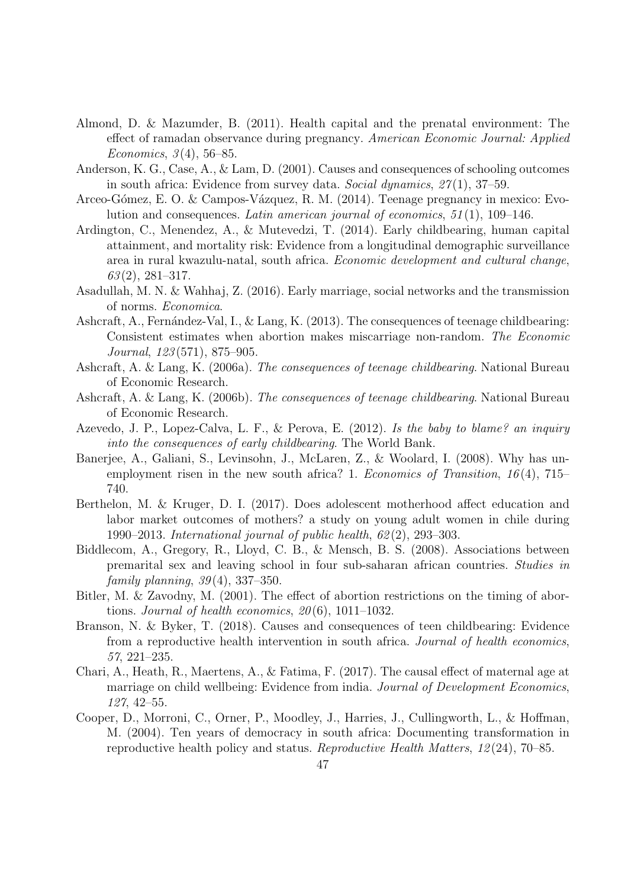- Almond, D. & Mazumder, B. (2011). Health capital and the prenatal environment: The effect of ramadan observance during pregnancy. American Economic Journal: Applied Economics,  $3(4)$ , 56–85.
- Anderson, K. G., Case, A., & Lam, D. (2001). Causes and consequences of schooling outcomes in south africa: Evidence from survey data. Social dynamics,  $27(1)$ ,  $37-59$ .
- Arceo-Gómez, E. O. & Campos-Vázquez, R. M. (2014). Teenage pregnancy in mexico: Evolution and consequences. Latin american journal of economics,  $51(1)$ ,  $109-146$ .
- <span id="page-47-0"></span>Ardington, C., Menendez, A., & Mutevedzi, T. (2014). Early childbearing, human capital attainment, and mortality risk: Evidence from a longitudinal demographic surveillance area in rural kwazulu-natal, south africa. Economic development and cultural change,  $63(2), 281-317.$
- Asadullah, M. N. & Wahhaj, Z. (2016). Early marriage, social networks and the transmission of norms. Economica.
- Ashcraft, A., Fernández-Val, I., & Lang, K. (2013). The consequences of teenage childbearing: Consistent estimates when abortion makes miscarriage non-random. The Economic Journal, 123 (571), 875–905.
- Ashcraft, A. & Lang, K. (2006a). The consequences of teenage childbearing. National Bureau of Economic Research.
- Ashcraft, A. & Lang, K. (2006b). The consequences of teenage childbearing. National Bureau of Economic Research.
- Azevedo, J. P., Lopez-Calva, L. F., & Perova, E. (2012). Is the baby to blame? an inquiry into the consequences of early childbearing. The World Bank.
- Banerjee, A., Galiani, S., Levinsohn, J., McLaren, Z., & Woolard, I. (2008). Why has unemployment risen in the new south africa? 1. Economics of Transition,  $16(4)$ , 715– 740.
- Berthelon, M. & Kruger, D. I. (2017). Does adolescent motherhood affect education and labor market outcomes of mothers? a study on young adult women in chile during 1990–2013. International journal of public health, 62 (2), 293–303.
- Biddlecom, A., Gregory, R., Lloyd, C. B., & Mensch, B. S. (2008). Associations between premarital sex and leaving school in four sub-saharan african countries. Studies in family planning,  $39(4)$ ,  $337-350$ .
- Bitler, M. & Zavodny, M. (2001). The effect of abortion restrictions on the timing of abortions. Journal of health economics,  $20(6)$ , 1011–1032.
- Branson, N. & Byker, T. (2018). Causes and consequences of teen childbearing: Evidence from a reproductive health intervention in south africa. Journal of health economics, 57, 221–235.
- Chari, A., Heath, R., Maertens, A., & Fatima, F. (2017). The causal effect of maternal age at marriage on child wellbeing: Evidence from india. Journal of Development Economics, 127, 42–55.
- Cooper, D., Morroni, C., Orner, P., Moodley, J., Harries, J., Cullingworth, L., & Hoffman, M. (2004). Ten years of democracy in south africa: Documenting transformation in reproductive health policy and status. Reproductive Health Matters, 12 (24), 70–85.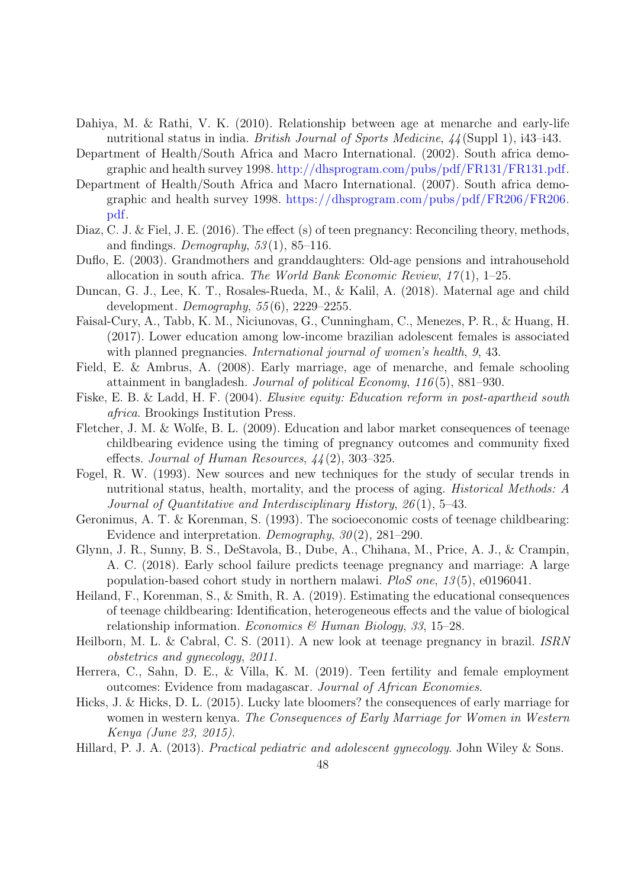- Dahiya, M. & Rathi, V. K. (2010). Relationship between age at menarche and early-life nutritional status in india. *British Journal of Sports Medicine*,  $44$  (Suppl 1), i43–i43.
- Department of Health/South Africa and Macro International. (2002). South africa demographic and health survey 1998. [http://dhsprogram.com/pubs/pdf/FR131/FR131.pdf.](http://dhsprogram.com/pubs/pdf/FR131/FR131.pdf)
- Department of Health/South Africa and Macro International. (2007). South africa demographic and health survey 1998. [https://dhsprogram.com/pubs/pdf/FR206/FR206.](https://dhsprogram.com/pubs/pdf/FR206/FR206.pdf) [pdf.](https://dhsprogram.com/pubs/pdf/FR206/FR206.pdf)
- Diaz, C. J. & Fiel, J. E. (2016). The effect (s) of teen pregnancy: Reconciling theory, methods, and findings. Demography,  $53(1)$ , 85–116.
- Duflo, E. (2003). Grandmothers and granddaughters: Old-age pensions and intrahousehold allocation in south africa. The World Bank Economic Review,  $17(1)$ , 1–25.
- Duncan, G. J., Lee, K. T., Rosales-Rueda, M., & Kalil, A. (2018). Maternal age and child development.  $Demography$ ,  $55(6)$ ,  $2229-2255$ .
- Faisal-Cury, A., Tabb, K. M., Niciunovas, G., Cunningham, C., Menezes, P. R., & Huang, H. (2017). Lower education among low-income brazilian adolescent females is associated with planned pregnancies. *International journal of women's health*, 9, 43.
- Field, E. & Ambrus, A. (2008). Early marriage, age of menarche, and female schooling attainment in bangladesh. Journal of political Economy, 116 (5), 881–930.
- Fiske, E. B. & Ladd, H. F. (2004). Elusive equity: Education reform in post-apartheid south africa. Brookings Institution Press.
- Fletcher, J. M. & Wolfe, B. L. (2009). Education and labor market consequences of teenage childbearing evidence using the timing of pregnancy outcomes and community fixed effects. Journal of Human Resources,  $44(2)$ , 303–325.
- Fogel, R. W. (1993). New sources and new techniques for the study of secular trends in nutritional status, health, mortality, and the process of aging. Historical Methods: A Journal of Quantitative and Interdisciplinary History, 26 (1), 5–43.
- Geronimus, A. T. & Korenman, S. (1993). The socioeconomic costs of teenage childbearing: Evidence and interpretation. Demography,  $30(2)$ , 281–290.
- Glynn, J. R., Sunny, B. S., DeStavola, B., Dube, A., Chihana, M., Price, A. J., & Crampin, A. C. (2018). Early school failure predicts teenage pregnancy and marriage: A large population-based cohort study in northern malawi. PloS one, 13 (5), e0196041.
- Heiland, F., Korenman, S., & Smith, R. A. (2019). Estimating the educational consequences of teenage childbearing: Identification, heterogeneous effects and the value of biological relationship information. Economics & Human Biology, 33, 15–28.
- Heilborn, M. L. & Cabral, C. S. (2011). A new look at teenage pregnancy in brazil. ISRN obstetrics and gynecology, 2011.
- <span id="page-48-0"></span>Herrera, C., Sahn, D. E., & Villa, K. M. (2019). Teen fertility and female employment outcomes: Evidence from madagascar. Journal of African Economies.
- Hicks, J. & Hicks, D. L. (2015). Lucky late bloomers? the consequences of early marriage for women in western kenya. The Consequences of Early Marriage for Women in Western Kenya (June 23, 2015).
- Hillard, P. J. A. (2013). Practical pediatric and adolescent gynecology. John Wiley & Sons.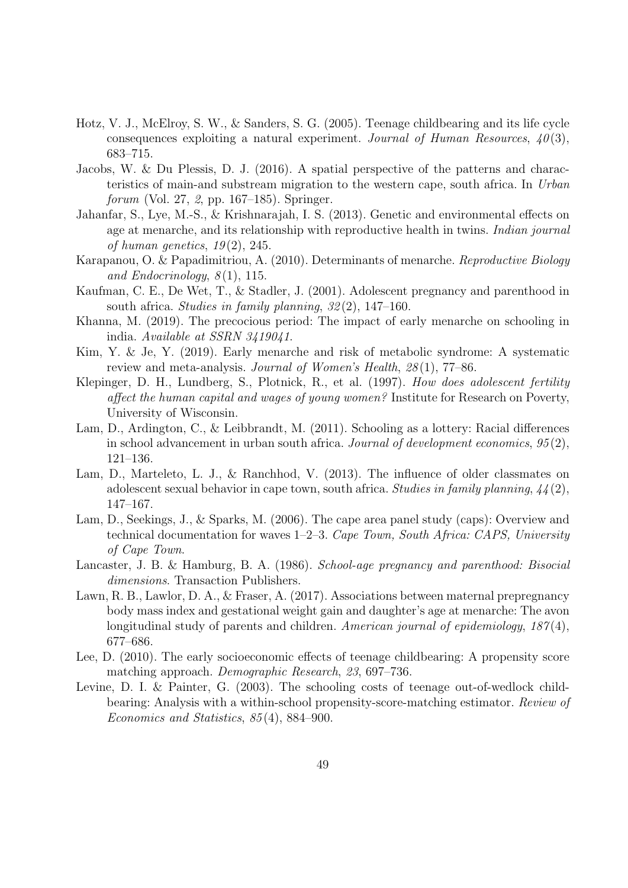- Hotz, V. J., McElroy, S. W., & Sanders, S. G. (2005). Teenage childbearing and its life cycle consequences exploiting a natural experiment. Journal of Human Resources,  $40(3)$ , 683–715.
- Jacobs, W. & Du Plessis, D. J. (2016). A spatial perspective of the patterns and characteristics of main-and substream migration to the western cape, south africa. In Urban forum (Vol. 27, 2, pp. 167–185). Springer.
- Jahanfar, S., Lye, M.-S., & Krishnarajah, I. S. (2013). Genetic and environmental effects on age at menarche, and its relationship with reproductive health in twins. *Indian journal* of human genetics,  $19(2)$ , 245.
- Karapanou, O. & Papadimitriou, A. (2010). Determinants of menarche. Reproductive Biology and Endocrinology,  $8(1)$ , 115.
- Kaufman, C. E., De Wet, T., & Stadler, J. (2001). Adolescent pregnancy and parenthood in south africa. Studies in family planning,  $32(2)$ , 147–160.
- Khanna, M. (2019). The precocious period: The impact of early menarche on schooling in india. Available at SSRN 3419041.
- Kim, Y. & Je, Y. (2019). Early menarche and risk of metabolic syndrome: A systematic review and meta-analysis. Journal of Women's Health, 28(1), 77–86.
- Klepinger, D. H., Lundberg, S., Plotnick, R., et al. (1997). How does adolescent fertility affect the human capital and wages of young women? Institute for Research on Poverty, University of Wisconsin.
- Lam, D., Ardington, C., & Leibbrandt, M. (2011). Schooling as a lottery: Racial differences in school advancement in urban south africa. Journal of development economics, 95 (2), 121–136.
- Lam, D., Marteleto, L. J., & Ranchhod, V. (2013). The influence of older classmates on adolescent sexual behavior in cape town, south africa. Studies in family planning,  $44(2)$ , 147–167.
- Lam, D., Seekings, J., & Sparks, M. (2006). The cape area panel study (caps): Overview and technical documentation for waves 1–2–3. Cape Town, South Africa: CAPS, University of Cape Town.
- Lancaster, J. B. & Hamburg, B. A. (1986). School-age pregnancy and parenthood: Bisocial dimensions. Transaction Publishers.
- Lawn, R. B., Lawlor, D. A., & Fraser, A. (2017). Associations between maternal prepregnancy body mass index and gestational weight gain and daughter's age at menarche: The avon longitudinal study of parents and children. American journal of epidemiology,  $187(4)$ , 677–686.
- Lee, D. (2010). The early socioeconomic effects of teenage childbearing: A propensity score matching approach. Demographic Research, 23, 697–736.
- Levine, D. I. & Painter, G. (2003). The schooling costs of teenage out-of-wedlock childbearing: Analysis with a within-school propensity-score-matching estimator. Review of Economics and Statistics, 85 (4), 884–900.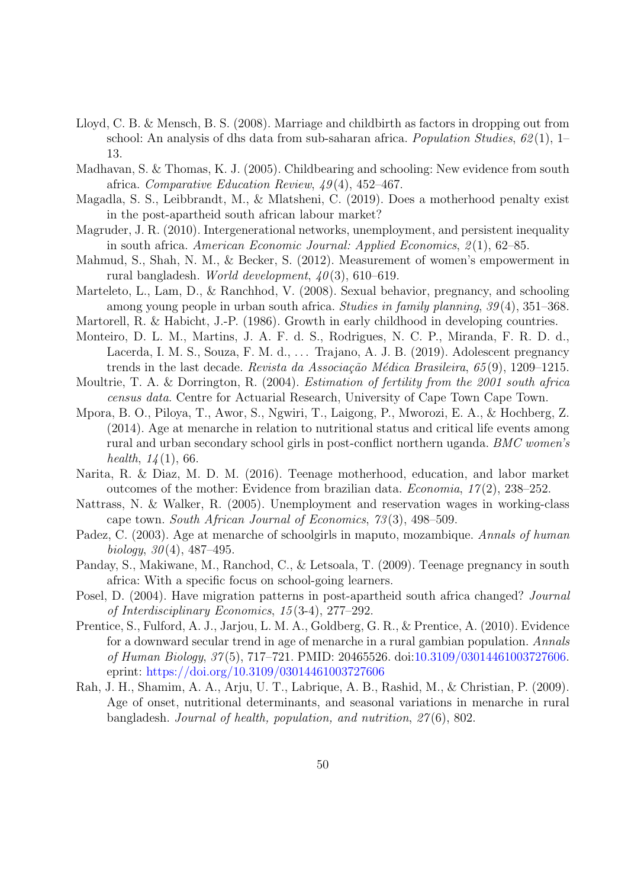- Lloyd, C. B. & Mensch, B. S. (2008). Marriage and childbirth as factors in dropping out from school: An analysis of dhs data from sub-saharan africa. *Population Studies*,  $62(1)$ , 1– 13.
- Madhavan, S. & Thomas, K. J. (2005). Childbearing and schooling: New evidence from south africa. Comparative Education Review, 49 (4), 452–467.
- Magadla, S. S., Leibbrandt, M., & Mlatsheni, C. (2019). Does a motherhood penalty exist in the post-apartheid south african labour market?
- Magruder, J. R. (2010). Intergenerational networks, unemployment, and persistent inequality in south africa. American Economic Journal: Applied Economics, 2 (1), 62–85.
- Mahmud, S., Shah, N. M., & Becker, S. (2012). Measurement of women's empowerment in rural bangladesh. *World development*,  $40(3)$ , 610–619.
- Marteleto, L., Lam, D., & Ranchhod, V. (2008). Sexual behavior, pregnancy, and schooling among young people in urban south africa. Studies in family planning, 39 (4), 351–368.
- Martorell, R. & Habicht, J.-P. (1986). Growth in early childhood in developing countries.
- Monteiro, D. L. M., Martins, J. A. F. d. S., Rodrigues, N. C. P., Miranda, F. R. D. d., Lacerda, I. M. S., Souza, F. M. d., ... Trajano, A. J. B. (2019). Adolescent pregnancy trends in the last decade. Revista da Associação Médica Brasileira, 65 $(9)$ , 1209–1215.
- Moultrie, T. A. & Dorrington, R. (2004). Estimation of fertility from the 2001 south africa census data. Centre for Actuarial Research, University of Cape Town Cape Town.
- Mpora, B. O., Piloya, T., Awor, S., Ngwiri, T., Laigong, P., Mworozi, E. A., & Hochberg, Z. (2014). Age at menarche in relation to nutritional status and critical life events among rural and urban secondary school girls in post-conflict northern uganda. BMC women's health,  $14(1)$ , 66.
- Narita, R. & Diaz, M. D. M. (2016). Teenage motherhood, education, and labor market outcomes of the mother: Evidence from brazilian data. *Economia*,  $17(2)$ ,  $238-252$ .
- Nattrass, N. & Walker, R. (2005). Unemployment and reservation wages in working-class cape town. South African Journal of Economics, 73 (3), 498–509.
- Padez, C. (2003). Age at menarche of schoolgirls in maputo, mozambique. Annals of human biology,  $30(4)$ ,  $487-495$ .
- Panday, S., Makiwane, M., Ranchod, C., & Letsoala, T. (2009). Teenage pregnancy in south africa: With a specific focus on school-going learners.
- Posel, D. (2004). Have migration patterns in post-apartheid south africa changed? Journal of Interdisciplinary Economics, 15 (3-4), 277–292.
- Prentice, S., Fulford, A. J., Jarjou, L. M. A., Goldberg, G. R., & Prentice, A. (2010). Evidence for a downward secular trend in age of menarche in a rural gambian population. Annals of Human Biology, 37 (5), 717–721. PMID: 20465526. doi[:10.3109/03014461003727606.](https://dx.doi.org/10.3109/03014461003727606) eprint: <https://doi.org/10.3109/03014461003727606>
- Rah, J. H., Shamim, A. A., Arju, U. T., Labrique, A. B., Rashid, M., & Christian, P. (2009). Age of onset, nutritional determinants, and seasonal variations in menarche in rural bangladesh. Journal of health, population, and nutrition,  $27(6)$ , 802.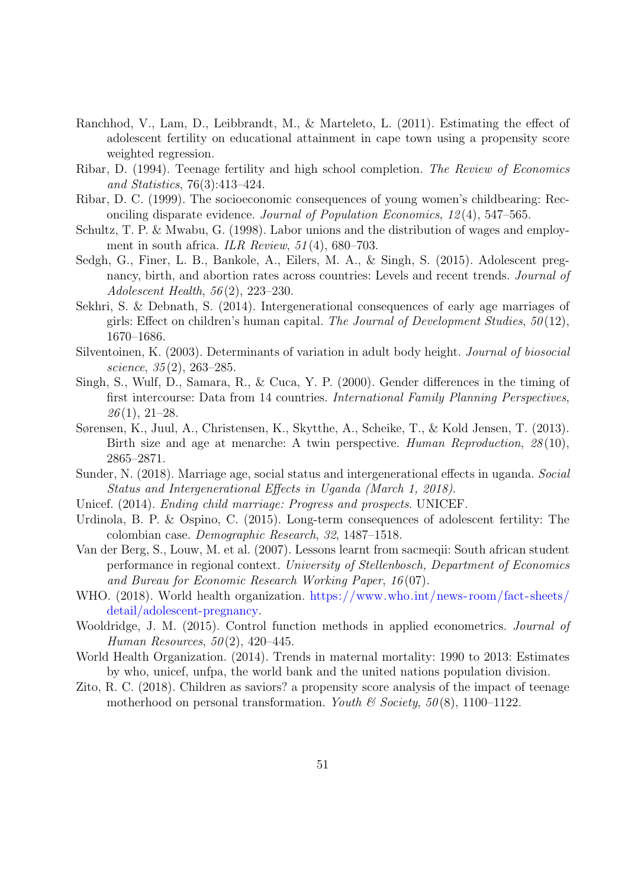- Ranchhod, V., Lam, D., Leibbrandt, M., & Marteleto, L. (2011). Estimating the effect of adolescent fertility on educational attainment in cape town using a propensity score weighted regression.
- Ribar, D. (1994). Teenage fertility and high school completion. The Review of Economics and Statistics, 76(3):413–424.
- Ribar, D. C. (1999). The socioeconomic consequences of young women's childbearing: Reconciling disparate evidence. Journal of Population Economics, 12 (4), 547–565.
- Schultz, T. P. & Mwabu, G. (1998). Labor unions and the distribution of wages and employment in south africa. ILR Review,  $51(4)$ , 680–703.
- Sedgh, G., Finer, L. B., Bankole, A., Eilers, M. A., & Singh, S. (2015). Adolescent pregnancy, birth, and abortion rates across countries: Levels and recent trends. *Journal of* Adolescent Health, 56 (2), 223–230.
- Sekhri, S. & Debnath, S. (2014). Intergenerational consequences of early age marriages of girls: Effect on children's human capital. The Journal of Development Studies,  $50(12)$ , 1670–1686.
- Silventoinen, K. (2003). Determinants of variation in adult body height. Journal of biosocial science,  $35(2)$ ,  $263-285$ .
- Singh, S., Wulf, D., Samara, R., & Cuca, Y. P. (2000). Gender differences in the timing of first intercourse: Data from 14 countries. International Family Planning Perspectives,  $26(1), 21-28.$
- Sørensen, K., Juul, A., Christensen, K., Skytthe, A., Scheike, T., & Kold Jensen, T. (2013). Birth size and age at menarche: A twin perspective. Human Reproduction, 28(10), 2865–2871.
- Sunder, N. (2018). Marriage age, social status and intergenerational effects in uganda. Social Status and Intergenerational Effects in Uganda (March 1, 2018).
- Unicef. (2014). Ending child marriage: Progress and prospects. UNICEF.
- <span id="page-51-1"></span>Urdinola, B. P. & Ospino, C. (2015). Long-term consequences of adolescent fertility: The colombian case. Demographic Research, 32, 1487–1518.
- Van der Berg, S., Louw, M. et al. (2007). Lessons learnt from sacmeqii: South african student performance in regional context. University of Stellenbosch, Department of Economics and Bureau for Economic Research Working Paper, 16 (07).
- WHO. (2018). World health organization. [https://www.who.int/news-room/fact-sheets/](https://www.who.int/news-room/fact-sheets/detail/adolescent-pregnancy) [detail/adolescent-pregnancy.](https://www.who.int/news-room/fact-sheets/detail/adolescent-pregnancy)
- <span id="page-51-0"></span>Wooldridge, J. M. (2015). Control function methods in applied econometrics. Journal of Human Resources,  $50(2)$ ,  $420-445$ .
- World Health Organization. (2014). Trends in maternal mortality: 1990 to 2013: Estimates by who, unicef, unfpa, the world bank and the united nations population division.
- Zito, R. C. (2018). Children as saviors? a propensity score analysis of the impact of teenage motherhood on personal transformation. Youth  $\mathcal B$  Society, 50(8), 1100–1122.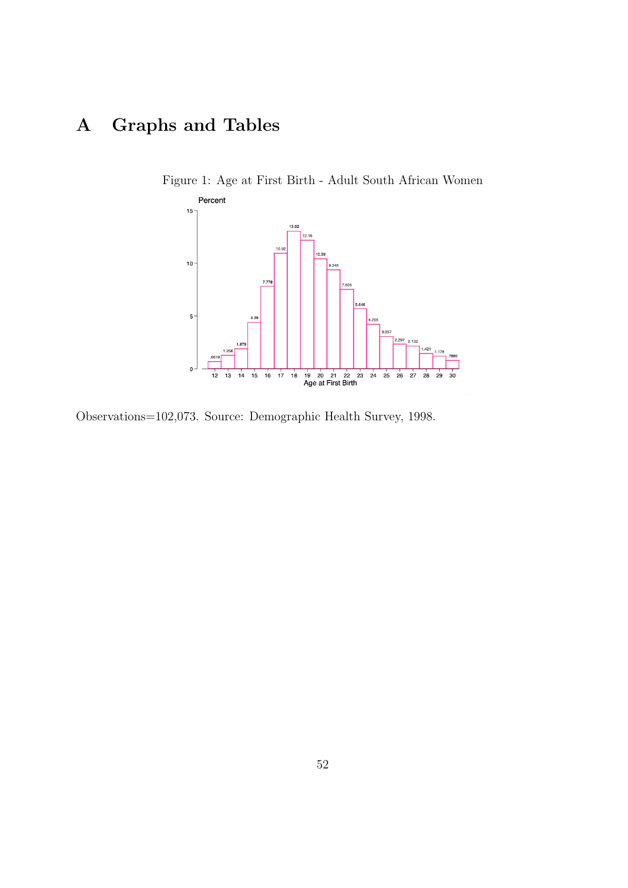# A Graphs and Tables



Figure 1: Age at First Birth - Adult South African Women

Observations=102,073. Source: Demographic Health Survey, 1998.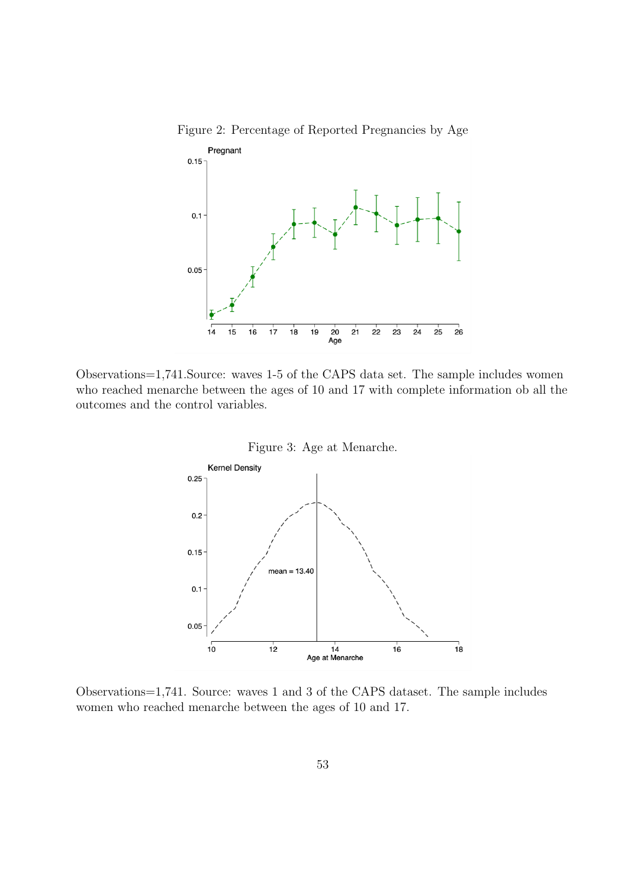

Figure 2: Percentage of Reported Pregnancies by Age

Observations=1,741.Source: waves 1-5 of the CAPS data set. The sample includes women who reached menarche between the ages of 10 and 17 with complete information ob all the outcomes and the control variables.





Observations=1,741. Source: waves 1 and 3 of the CAPS dataset. The sample includes women who reached menarche between the ages of 10 and 17.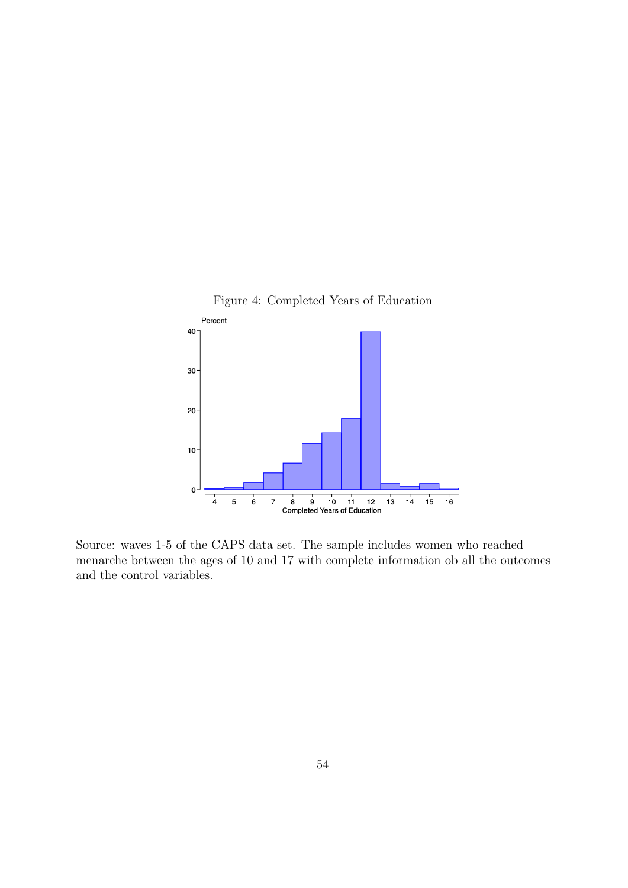

Source: waves 1-5 of the CAPS data set. The sample includes women who reached menarche between the ages of 10 and 17 with complete information ob all the outcomes and the control variables.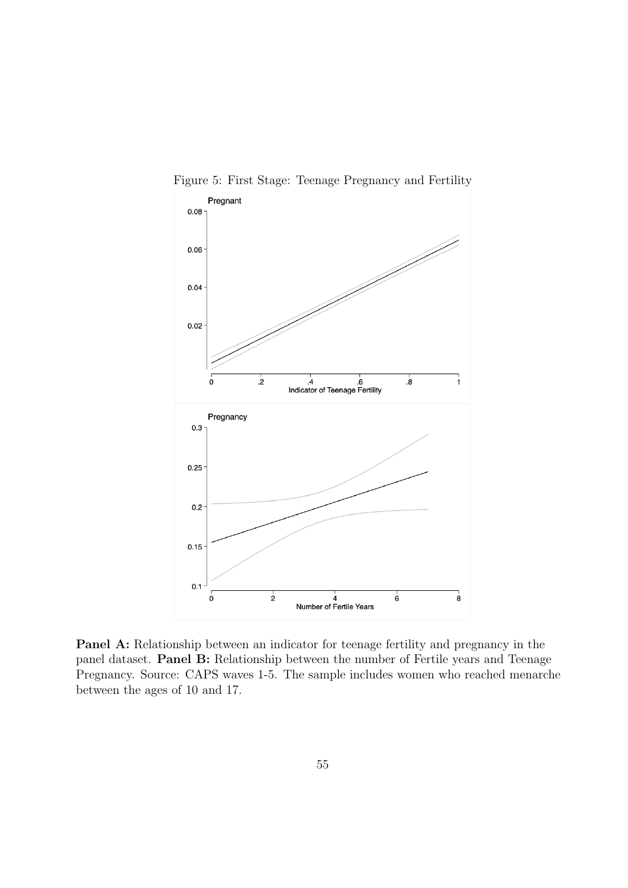

Figure 5: First Stage: Teenage Pregnancy and Fertility

Panel A: Relationship between an indicator for teenage fertility and pregnancy in the panel dataset. Panel B: Relationship between the number of Fertile years and Teenage Pregnancy. Source: CAPS waves 1-5. The sample includes women who reached menarche between the ages of 10 and 17.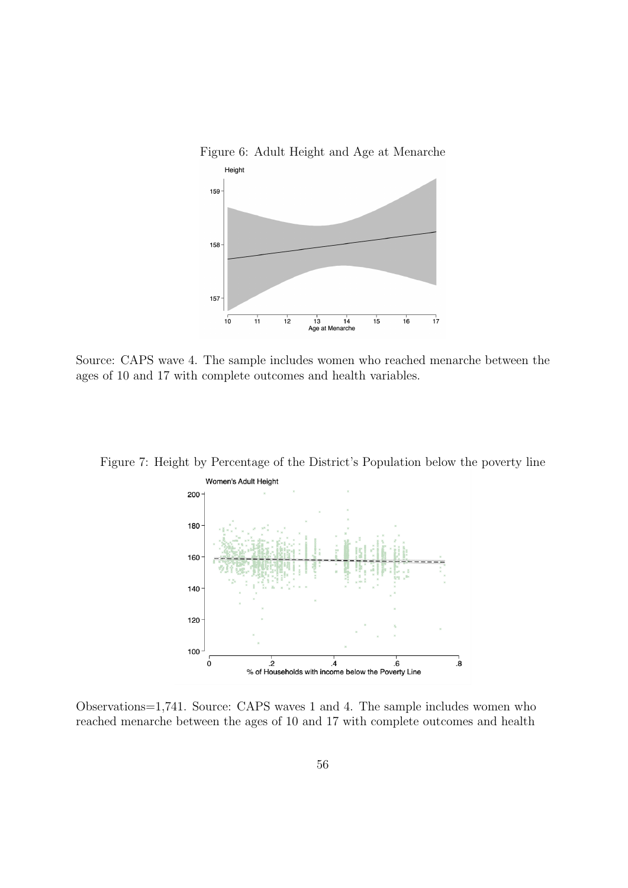

Source: CAPS wave 4. The sample includes women who reached menarche between the ages of 10 and 17 with complete outcomes and health variables.

Figure 7: Height by Percentage of the District's Population below the poverty line



Observations=1,741. Source: CAPS waves 1 and 4. The sample includes women who reached menarche between the ages of 10 and 17 with complete outcomes and health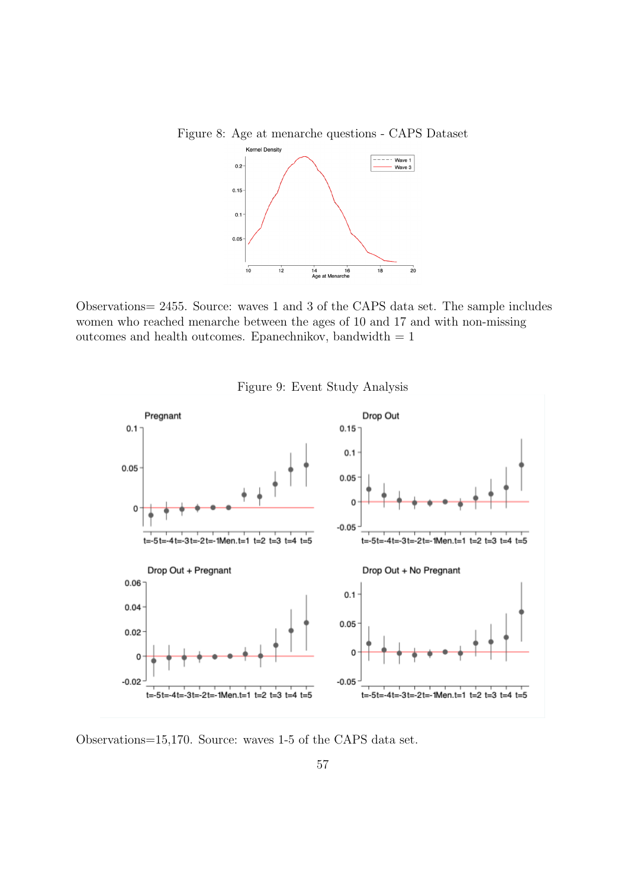Figure 8: Age at menarche questions - CAPS Dataset



Observations= 2455. Source: waves 1 and 3 of the CAPS data set. The sample includes women who reached menarche between the ages of 10 and 17 and with non-missing outcomes and health outcomes. Epanechnikov, bandwidth  $= 1$ 





Observations=15,170. Source: waves 1-5 of the CAPS data set.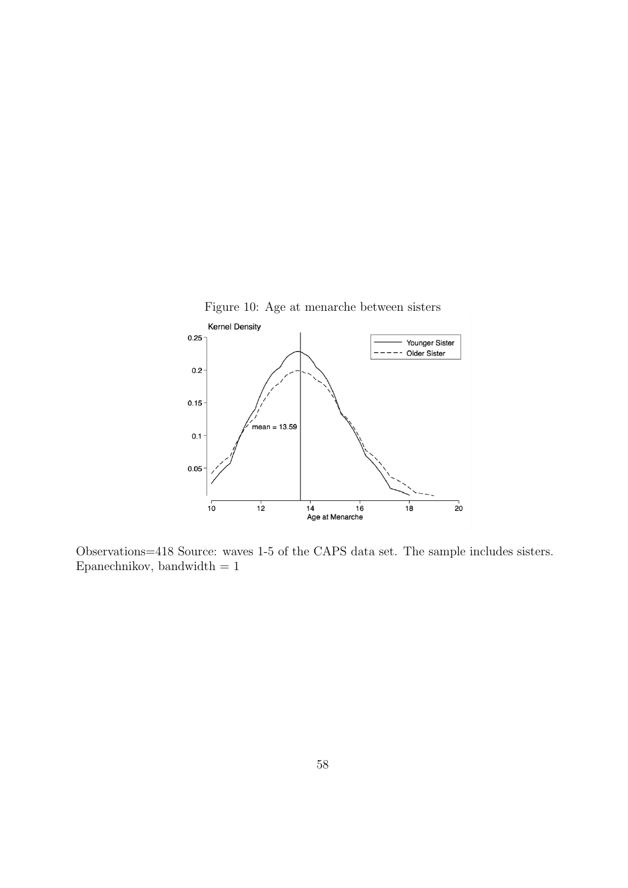<span id="page-58-0"></span>

Observations=418 Source: waves 1-5 of the CAPS data set. The sample includes sisters. Epanechnikov, bandwidth  $=\sqrt{1}$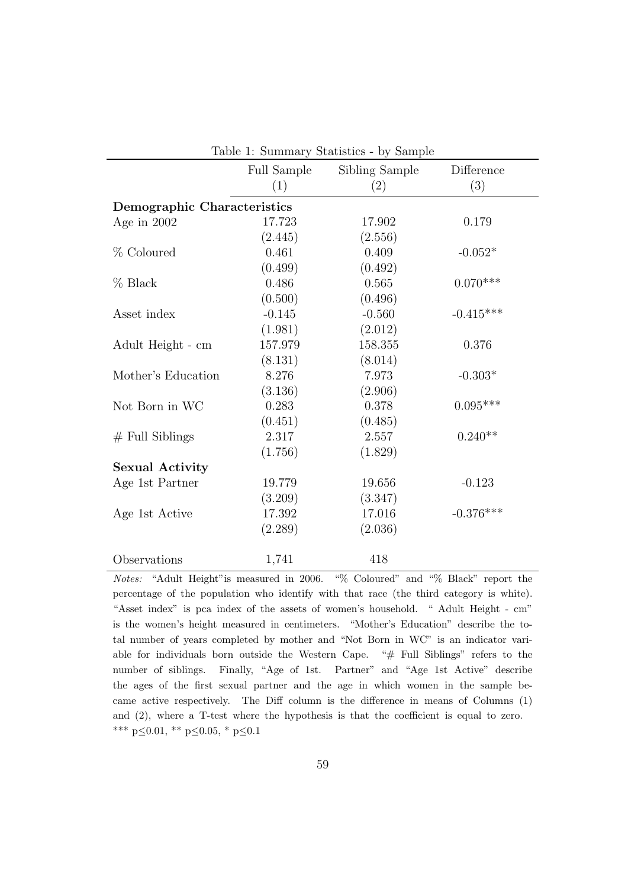|                             |             | Table 1: Summary Statistics - by Sample |             |
|-----------------------------|-------------|-----------------------------------------|-------------|
|                             | Full Sample | Sibling Sample                          | Difference  |
|                             | (1)         | (2)                                     | (3)         |
| Demographic Characteristics |             |                                         |             |
| Age in $2002$               | 17.723      | 17.902                                  | 0.179       |
|                             | (2.445)     | (2.556)                                 |             |
| % Coloured                  | 0.461       | 0.409                                   | $-0.052*$   |
|                             | (0.499)     | (0.492)                                 |             |
| $%$ Black                   | 0.486       | 0.565                                   | $0.070***$  |
|                             | (0.500)     | (0.496)                                 |             |
| Asset index                 | $-0.145$    | $-0.560$                                | $-0.415***$ |
|                             | (1.981)     | (2.012)                                 |             |
| Adult Height - cm           | 157.979     | 158.355                                 | 0.376       |
|                             | (8.131)     | (8.014)                                 |             |
| Mother's Education          | 8.276       | 7.973                                   | $-0.303*$   |
|                             | (3.136)     | (2.906)                                 |             |
| Not Born in WC              | 0.283       | 0.378                                   | $0.095***$  |
|                             | (0.451)     | (0.485)                                 |             |
| $#$ Full Siblings           | 2.317       | 2.557                                   | $0.240**$   |
|                             | (1.756)     | (1.829)                                 |             |
| <b>Sexual Activity</b>      |             |                                         |             |
| Age 1st Partner             | 19.779      | 19.656                                  | $-0.123$    |
|                             | (3.209)     | (3.347)                                 |             |
| Age 1st Active              | 17.392      | 17.016                                  | $-0.376***$ |
|                             | (2.289)     | (2.036)                                 |             |
| Observations                | 1,741       | 418                                     |             |

Notes: "Adult Height"is measured in 2006. "% Coloured" and "% Black" report the percentage of the population who identify with that race (the third category is white). "Asset index" is pca index of the assets of women's household. " Adult Height - cm" is the women's height measured in centimeters. "Mother's Education" describe the total number of years completed by mother and "Not Born in WC" is an indicator variable for individuals born outside the Western Cape. "# Full Siblings" refers to the number of siblings. Finally, "Age of 1st. Partner" and "Age 1st Active" describe the ages of the first sexual partner and the age in which women in the sample became active respectively. The Diff column is the difference in means of Columns (1) and (2), where a T-test where the hypothesis is that the coefficient is equal to zero. \*\*\* p≤0.01, \*\* p≤0.05, \* p≤0.1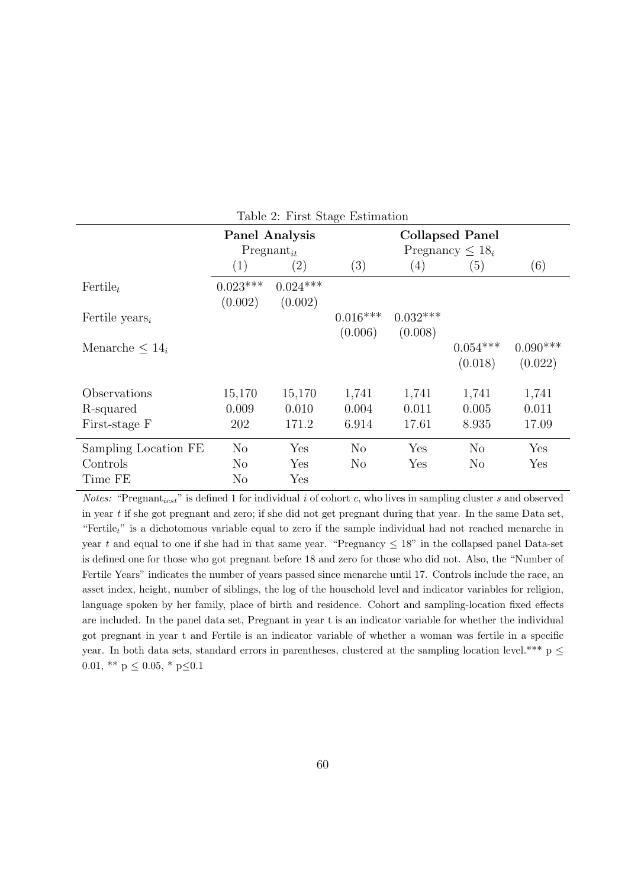|                            |                |                   | $\checkmark$   |            |                        |            |
|----------------------------|----------------|-------------------|----------------|------------|------------------------|------------|
|                            |                | Panel Analysis    |                |            | <b>Collapsed Panel</b> |            |
|                            |                | $Pregnant_{it}$   |                |            | Pregnancy $\leq 18_i$  |            |
|                            | (1)            | $\left( 2\right)$ | (3)            | (4)        | (5)                    | (6)        |
| $Fertile_t$                | $0.023***$     | $0.024***$        |                |            |                        |            |
|                            | (0.002)        | (0.002)           |                |            |                        |            |
| Fertile years <sub>i</sub> |                |                   | $0.016***$     | $0.032***$ |                        |            |
|                            |                |                   | (0.006)        | (0.008)    |                        |            |
| Menarche $\leq 14_i$       |                |                   |                |            | $0.054***$             | $0.090***$ |
|                            |                |                   |                |            | (0.018)                | (0.022)    |
| Observations               | 15,170         | 15,170            | 1,741          | 1,741      | 1,741                  | 1,741      |
| R-squared                  | 0.009          | 0.010             | 0.004          | 0.011      | 0.005                  | 0.011      |
| First-stage F              | 202            | 171.2             | 6.914          | 17.61      | 8.935                  | 17.09      |
| Sampling Location FE       | N <sub>o</sub> | Yes               | N <sub>o</sub> | Yes        | $\rm No$               | Yes        |
| Controls                   | $\rm No$       | Yes               | N <sub>o</sub> | Yes        | $\rm No$               | Yes        |
| Time FE                    | No             | Yes               |                |            |                        |            |

<span id="page-60-0"></span>Table 2: First Stage Estimation

*Notes:* "Pregnant<sub>icst</sub>" is defined 1 for individual i of cohort c, who lives in sampling cluster s and observed in year t if she got pregnant and zero; if she did not get pregnant during that year. In the same Data set, "Fertile<sub>t</sub>" is a dichotomous variable equal to zero if the sample individual had not reached menarche in year t and equal to one if she had in that same year. "Pregnancy  $\leq 18$ " in the collapsed panel Data-set is defined one for those who got pregnant before 18 and zero for those who did not. Also, the "Number of Fertile Years" indicates the number of years passed since menarche until 17. Controls include the race, an asset index, height, number of siblings, the log of the household level and indicator variables for religion, language spoken by her family, place of birth and residence. Cohort and sampling-location fixed effects are included. In the panel data set, Pregnant in year t is an indicator variable for whether the individual got pregnant in year t and Fertile is an indicator variable of whether a woman was fertile in a specific year. In both data sets, standard errors in parentheses, clustered at the sampling location level.\*\*\*  $p \leq$ 0.01, \*\*  $p \leq 0.05$ , \*  $p \leq 0.1$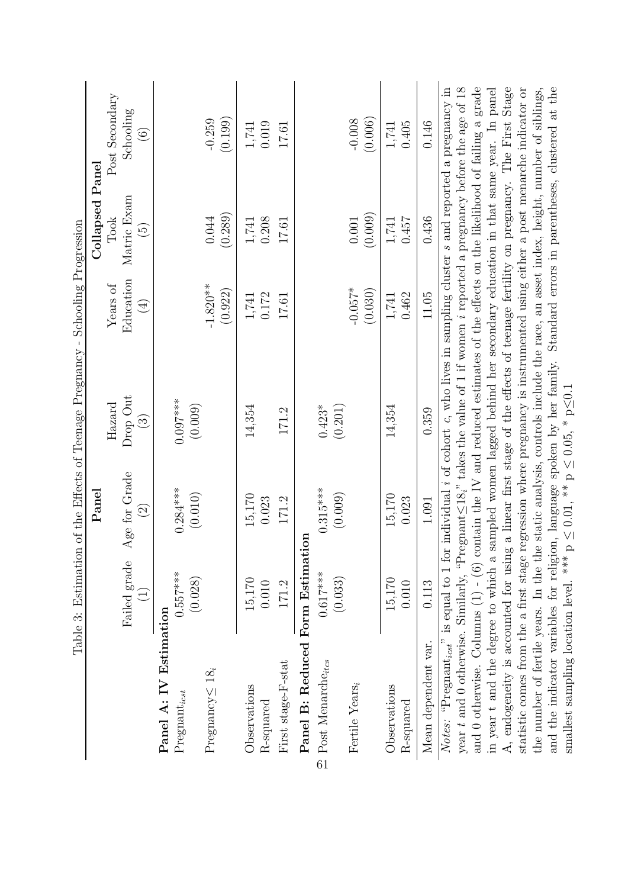|                                                                                                                                                                                                                                                                                                                                                                                                                      |                 |                 | Table 3: Estimation of the Effects of Teenage Pregnancy - Schooling Progression |                  |                        |                                                                                 |
|----------------------------------------------------------------------------------------------------------------------------------------------------------------------------------------------------------------------------------------------------------------------------------------------------------------------------------------------------------------------------------------------------------------------|-----------------|-----------------|---------------------------------------------------------------------------------|------------------|------------------------|---------------------------------------------------------------------------------|
|                                                                                                                                                                                                                                                                                                                                                                                                                      |                 | Panel           |                                                                                 |                  | <b>Collapsed Panel</b> |                                                                                 |
|                                                                                                                                                                                                                                                                                                                                                                                                                      |                 |                 | $\rm Hazard$                                                                    | Years of         | Took                   | Post Secondary                                                                  |
|                                                                                                                                                                                                                                                                                                                                                                                                                      | Failed grade    | Age for Grade   | Drop Out                                                                        | Education        | Matric Exam            | Schooling                                                                       |
|                                                                                                                                                                                                                                                                                                                                                                                                                      | $\widehat{\Xi}$ | $\widetilde{S}$ | $\bigcirc$                                                                      | $\bigoplus$      | $\widetilde{\Xi}$      | $\odot$                                                                         |
| Panel A: IV Estimation                                                                                                                                                                                                                                                                                                                                                                                               |                 |                 |                                                                                 |                  |                        |                                                                                 |
| Preganat <sub>icst</sub>                                                                                                                                                                                                                                                                                                                                                                                             | $0.557***$      | $0.284***$      | $0.097***$                                                                      |                  |                        |                                                                                 |
|                                                                                                                                                                                                                                                                                                                                                                                                                      | (0.028)         | (0.010)         | (0.009)                                                                         |                  |                        |                                                                                 |
| Pregnancy $\leq 18_i$                                                                                                                                                                                                                                                                                                                                                                                                |                 |                 |                                                                                 | $-1.820**$       | 0.044                  | $-0.259$                                                                        |
|                                                                                                                                                                                                                                                                                                                                                                                                                      |                 |                 |                                                                                 | (0.922)          | (0.289)                | (0.199)                                                                         |
| Observations                                                                                                                                                                                                                                                                                                                                                                                                         | 15,170          | $15,170$        | 14,354                                                                          |                  | $1,\!741$              | 1,741                                                                           |
| R-squared                                                                                                                                                                                                                                                                                                                                                                                                            | 0.010           | 0.023           |                                                                                 | $1,741$<br>0.172 | 0.208                  | 0.019                                                                           |
| First stage-F-stat                                                                                                                                                                                                                                                                                                                                                                                                   | 171.2           | 171.2           | 171.2                                                                           | 17.61            | 17.61                  | 17.61                                                                           |
| Panel B: Reduced Form Estimation                                                                                                                                                                                                                                                                                                                                                                                     |                 |                 |                                                                                 |                  |                        |                                                                                 |
| $\ensuremath{\mathop{\mathcal{D}_{\mathit{ost}}}}$ Post Menarche<br>$_{\mathit{tics}}$                                                                                                                                                                                                                                                                                                                               | $0.617***$      | $0.315***$      | $0.423*$                                                                        |                  |                        |                                                                                 |
|                                                                                                                                                                                                                                                                                                                                                                                                                      | (0.033)         | (0.009)         | (0.201)                                                                         |                  |                        |                                                                                 |
| Fertile Years,                                                                                                                                                                                                                                                                                                                                                                                                       |                 |                 |                                                                                 | $-0.057*$        | 0.001                  | $-0.008$                                                                        |
|                                                                                                                                                                                                                                                                                                                                                                                                                      |                 |                 |                                                                                 | (0.030)          | (0.009)                | (0.006)                                                                         |
| Observations                                                                                                                                                                                                                                                                                                                                                                                                         | 15,170          | $15,170$        | 14,354                                                                          | 1,741            | 1,741                  | 1,741                                                                           |
| R-squared                                                                                                                                                                                                                                                                                                                                                                                                            | 0.010           | 0.023           |                                                                                 | 0.462            | 0.457                  | 0.405                                                                           |
| Mean dependent var.                                                                                                                                                                                                                                                                                                                                                                                                  | 0.113           | 1.091           | 0.359                                                                           | 11.05            | 0.436                  | 0.146                                                                           |
| Notes: "Pregnant <sub>icst</sub> " is equal to 1 for individual i of cohort c, who lives in sampling cluster s and reported a pregnancy in<br>and 0 otherwise. Columns $(1)$ - $(6)$ contain the IV and reduced estimates of the effects on the likelihood of failing a grade<br>year t and 0 otherwise. Similarly, "Pregnant $\leq 18$ ," takes the value of 1 if women i reported a pregnancy before the age of 18 |                 |                 |                                                                                 |                  |                        |                                                                                 |
| in year t and the degree to which a                                                                                                                                                                                                                                                                                                                                                                                  |                 |                 |                                                                                 |                  |                        | sampled women lagged behind her secondary education in that same year. In panel |
| A, endogeneity is accounted for using a linear first stage of the effects of teenage fertility on pregnancy. The First Stage                                                                                                                                                                                                                                                                                         |                 |                 |                                                                                 |                  |                        |                                                                                 |
| the number of fertile years. In the the static analysis, controls include the race, an asset index, height, number of siblings,<br>statistic comes from the a first stage regression where pregnancy is instrumented using either a post menarche indicator or                                                                                                                                                       |                 |                 |                                                                                 |                  |                        |                                                                                 |
| and the indicator variables for religion, language spoken by her family. Standard errors in parentheses, clustered at the                                                                                                                                                                                                                                                                                            |                 |                 |                                                                                 |                  |                        |                                                                                 |

<span id="page-61-0"></span>smallest sampling location level. \*\*\* p

 $\leq 0.01$ , \*\* p

 $\leq 0.05, * \text{p}$ 

≤0.1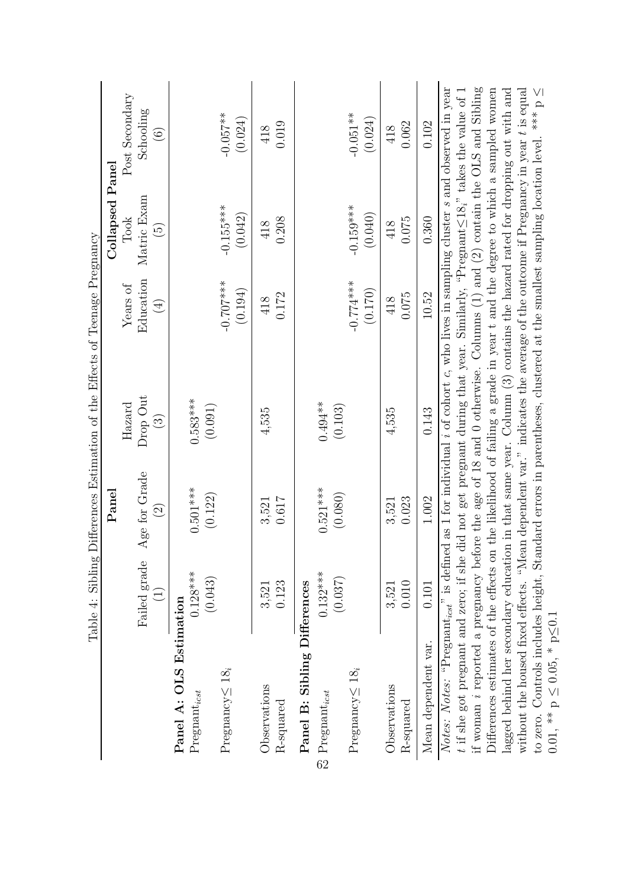|                                                                                                                                                                              | Table 4: Sibling           |                    | Differences Estimation of the Effects of Teenage Pregnancy                                   |                              |                        |                        |
|------------------------------------------------------------------------------------------------------------------------------------------------------------------------------|----------------------------|--------------------|----------------------------------------------------------------------------------------------|------------------------------|------------------------|------------------------|
|                                                                                                                                                                              |                            | $\rm {Panel}$      |                                                                                              |                              | Collapsed Panel        |                        |
|                                                                                                                                                                              |                            |                    | Hazard                                                                                       | Years of                     | Took                   | Post Secondary         |
|                                                                                                                                                                              | Failed grade               | Age for Grade      | Drop Out                                                                                     | Education                    | Matric Exam            | Schooling              |
|                                                                                                                                                                              | $\left(\frac{1}{2}\right)$ | $\widehat{\Omega}$ | $\binom{3}{2}$                                                                               | $\left( \frac{1}{2} \right)$ | $\widetilde{G}$        | $\odot$                |
| Panel A: OLS Estimation                                                                                                                                                      |                            |                    |                                                                                              |                              |                        |                        |
| Preganat <sub>icst</sub>                                                                                                                                                     | $0.128***$                 | $0.501***$         | $0.583***$                                                                                   |                              |                        |                        |
|                                                                                                                                                                              | (0.043)                    | (0.122)            | (0.091)                                                                                      |                              |                        |                        |
| Pregnancy $\leq 18_i$                                                                                                                                                        |                            |                    |                                                                                              | $-0.707***$<br>(0.194)       | $-0.155***$<br>(0.042) | $-0.057***$<br>(0.024) |
| Observations                                                                                                                                                                 | 3,521                      | 3,521              | 4,535                                                                                        | 418                          | 418                    | 418                    |
| R-squared                                                                                                                                                                    | 0.123                      | 0.617              |                                                                                              | 0.172                        | 0.208                  | 0.019                  |
| Panel B: Sibling Differences                                                                                                                                                 |                            |                    |                                                                                              |                              |                        |                        |
| $\stackrel{\footnotesize\text{CP}}{=} \text{Pregular}t_{icst}$                                                                                                               | $0.132***$                 | $0.521***$         | $0.494**$                                                                                    |                              |                        |                        |
|                                                                                                                                                                              | (0.037)                    | (0.080)            | (0.103)                                                                                      |                              |                        |                        |
| Pregnancy $\leq 18_i$                                                                                                                                                        |                            |                    |                                                                                              | $-0.774***$                  | $-0.159***$            | $-0.051**$             |
|                                                                                                                                                                              |                            |                    |                                                                                              | (0.170)                      | (0.040)                | (0.024)                |
| Observations                                                                                                                                                                 | 3,521                      | 3,521              | 4,535                                                                                        | 418                          | 418                    | 418                    |
| R-squared                                                                                                                                                                    | 0.010                      | 0.023              |                                                                                              | 0.075                        | 0.075                  | 0.062                  |
| Mean dependent var.                                                                                                                                                          | 0.101                      | 1.002              | 0.143                                                                                        | 10.52                        | 0.360                  | 0.102                  |
| <i>Notes: Notes:</i> "Pregnant <sub>icst</sub> " is defined as 1 for individual i of cohort c, who lives in sampling cluster s and observed in year                          |                            |                    |                                                                                              |                              |                        |                        |
| if woman <i>i</i> reported a pregnancy before the age of 18 and 0 otherwise. Columns $(1)$ and $(2)$ contain the OLS and Sibling<br>$t$ if she got pregnant and zero; if she |                            |                    | did not get pregnant during that year. Similarly, "Pregnant $\leq 18$ " takes the value of 1 |                              |                        |                        |
| Differences estimates of the effects on the likelihood of failing a grade in year $t$ and the degree to which a sampled women                                                |                            |                    |                                                                                              |                              |                        |                        |
| lagged behind her secondary education in that same year. Column (3) contains the hazard rated for dropping out with and                                                      |                            |                    |                                                                                              |                              |                        |                        |
| without the housed fixed effects. "Mean dependent var." indicates the average of the outcome if Pregnancy in year t is equal                                                 |                            |                    |                                                                                              |                              |                        |                        |

to zero. Controls includes height, Standard errors in parentheses, clustered at the smallest sampling location level. \*\*\* p

 $0.01, ** p$ 

 $\leq 0.05, * \text{p}$ 

<span id="page-62-0"></span>≤0.1

≤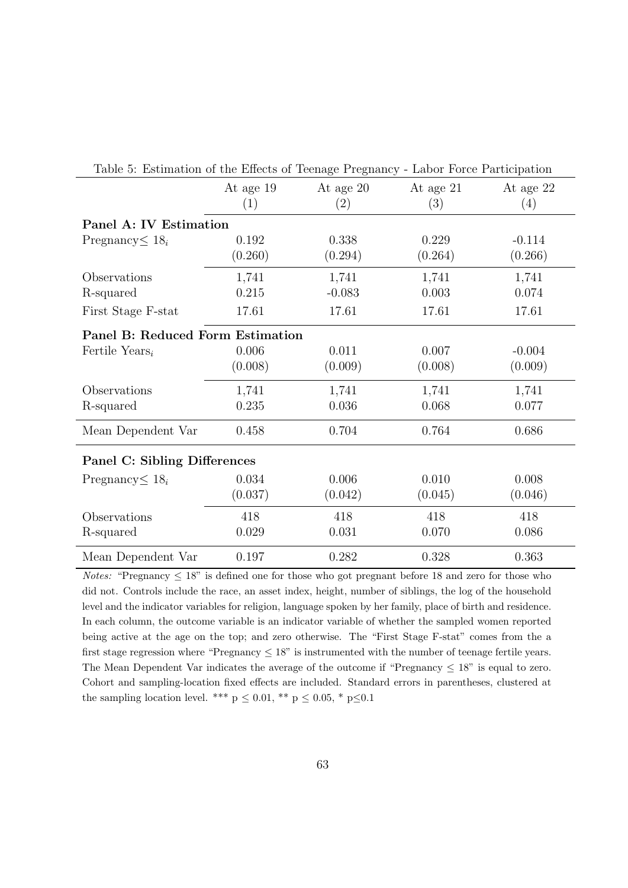| Table 5: Estimation of the Effects of Teenage Pregnancy - Labor Force Participation |                  |                   |                  |                     |
|-------------------------------------------------------------------------------------|------------------|-------------------|------------------|---------------------|
|                                                                                     | At age 19<br>(1) | At age 20<br>(2)  | At age 21<br>(3) | At age 22<br>(4)    |
| Panel A: IV Estimation                                                              |                  |                   |                  |                     |
| Pregnancy $\leq 18_i$                                                               | 0.192<br>(0.260) | 0.338<br>(0.294)  | 0.229<br>(0.264) | $-0.114$<br>(0.266) |
| Observations<br>R-squared                                                           | 1,741<br>0.215   | 1,741<br>$-0.083$ | 1,741<br>0.003   | 1,741<br>0.074      |
| First Stage F-stat                                                                  | 17.61            | 17.61             | 17.61            | 17.61               |
| Panel B: Reduced Form Estimation                                                    |                  |                   |                  |                     |
| Fertile Years <sub>i</sub>                                                          | 0.006<br>(0.008) | 0.011<br>(0.009)  | 0.007<br>(0.008) | $-0.004$<br>(0.009) |
| Observations                                                                        | 1,741            | 1,741             | 1,741            | 1,741               |
| R-squared                                                                           | 0.235            | 0.036             | 0.068            | 0.077               |
| Mean Dependent Var                                                                  | 0.458            | 0.704             | 0.764            | 0.686               |
| Panel C: Sibling Differences                                                        |                  |                   |                  |                     |
| Pregnancy $\leq 18_i$                                                               | 0.034            | 0.006             | 0.010            | 0.008               |
|                                                                                     | (0.037)          | (0.042)           | (0.045)          | (0.046)             |
| Observations                                                                        | 418              | 418               | 418              | 418                 |
| R-squared                                                                           | 0.029            | 0.031             | 0.070            | 0.086               |
| Mean Dependent Var                                                                  | 0.197            | 0.282             | 0.328            | 0.363               |

<span id="page-63-0"></span>Table 5: Estimation of the Effects of Teenage Pregnancy - Labor Force Participation

*Notes:* "Pregnancy  $\leq 18$ " is defined one for those who got pregnant before 18 and zero for those who did not. Controls include the race, an asset index, height, number of siblings, the log of the household level and the indicator variables for religion, language spoken by her family, place of birth and residence. In each column, the outcome variable is an indicator variable of whether the sampled women reported being active at the age on the top; and zero otherwise. The "First Stage F-stat" comes from the a first stage regression where "Pregnancy  $\leq 18$ " is instrumented with the number of teenage fertile years. The Mean Dependent Var indicates the average of the outcome if "Pregnancy  $\leq 18$ " is equal to zero. Cohort and sampling-location fixed effects are included. Standard errors in parentheses, clustered at the sampling location level. \*\*\*  $p \leq 0.01$ , \*\*  $p \leq 0.05$ , \*  $p \leq 0.1$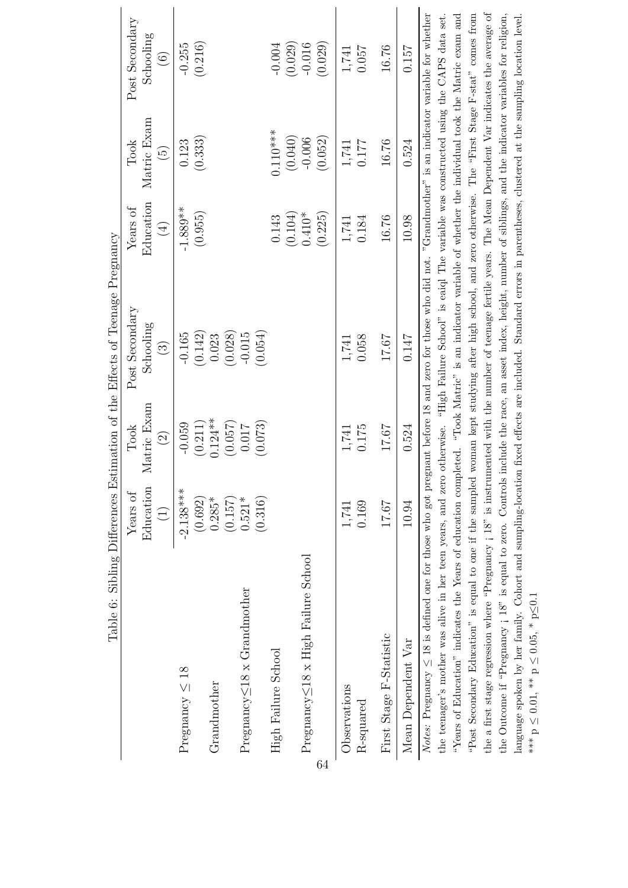<span id="page-64-0"></span>

|                                                                                                                                                                          |                                                                |               | Table 6: Sibling Differences Estimation of the Effects of Teenage Pregnancy |            |                    |                |
|--------------------------------------------------------------------------------------------------------------------------------------------------------------------------|----------------------------------------------------------------|---------------|-----------------------------------------------------------------------------|------------|--------------------|----------------|
|                                                                                                                                                                          | Years of                                                       | Took          | Post Secondary                                                              | Years of   | Took               | Post Secondary |
|                                                                                                                                                                          | Education                                                      | Matric Exam   | Schooling                                                                   | Education  | Matric Exam        | Schooling      |
|                                                                                                                                                                          | $\begin{array}{c}\n\begin{array}{c}\n\end{array}\n\end{array}$ | $\widehat{2}$ | $\widehat{\mathcal{E}}$                                                     | $(\pm)$    | $\widehat{\Theta}$ | $\odot$        |
| Pregnancy $\leq 18$                                                                                                                                                      | $-2.138***$                                                    | $-0.059$      | $-0.165$                                                                    | $-1.889**$ | 0.123              | $-0.255$       |
|                                                                                                                                                                          | (0.692)                                                        | (0.211)       | (0.142)                                                                     | (0.955)    | (0.333)            | (0.216)        |
| Grandmother                                                                                                                                                              | $0.285*$                                                       | $0.124***$    | 0.023                                                                       |            |                    |                |
|                                                                                                                                                                          | (0.157)                                                        | (0.057)       | (0.028)                                                                     |            |                    |                |
| Pregnancy $\leq$ 18 x Grandmother                                                                                                                                        | $0.521*$                                                       | 0.017         | $-0.015$                                                                    |            |                    |                |
|                                                                                                                                                                          | (0.316)                                                        | (0.073)       | (0.054)                                                                     |            |                    |                |
| High Failure School                                                                                                                                                      |                                                                |               |                                                                             | 0.143      | $0.110***$         | $-0.004$       |
|                                                                                                                                                                          |                                                                |               |                                                                             | (0.104)    | (0.040)            | (0.029)        |
| Pregnancy $\leq$ 18 x High Failure School                                                                                                                                |                                                                |               |                                                                             | $0.410*$   | $-0.006$           | $-0.016$       |
| 64                                                                                                                                                                       |                                                                |               |                                                                             | (0.225)    | (0.052)            | (0.029)        |
| Observations                                                                                                                                                             | 1,741                                                          | 1,741         | 1,741                                                                       | 1,741      | 1,741              | 1,741          |
| R-squared                                                                                                                                                                | 0.169                                                          | 0.175         | 0.058                                                                       | 0.184      | 0.177              | 0.057          |
| First Stage F-Statistic                                                                                                                                                  | 17.67                                                          | 17.67         | 17.67                                                                       | 16.76      | 16.76              | 16.76          |
| Mean Dependent Var                                                                                                                                                       | 10.94                                                          | 0.524         | 0.147                                                                       | 10.98      | 0.524              | 0.157          |
| <i>Notes:</i> Pregnancy $\leq$ 18 is defined one for those who got pregnant before 18 and zero for those who did not. "Grandmother" is an indicator variable for whether |                                                                |               |                                                                             |            |                    |                |
| the teenager's mother was alive in her teen years, and zero otherwise. "High Failure School" is eaid The variable was constructed using the CAPS data set.               |                                                                |               |                                                                             |            |                    |                |
| "Years of Education" indicates the Years of education completed. "Took Matric" is an indicator variable of whether the individual took the Matric exam and               |                                                                |               |                                                                             |            |                    |                |
| "Post Secondary Education" is equal to one if the sampled woman kept studying after high school, and zero otherwise. The "First Stage F-stat" comes from                 |                                                                |               |                                                                             |            |                    |                |
| the a first stage regression where "Pregnancy ; 18" is instrumented with the number of teenage fertile years. The Mean Dependent Var indicates the average of            |                                                                |               |                                                                             |            |                    |                |
| the Outcome if "Pregnancy ; 18" is equal to zero. Controls include the race, an asset index, height, number of siblings, and the indicator variables for religion,       |                                                                |               |                                                                             |            |                    |                |

the Outcome if "Pregnancy ; 18" is equal to zero. Controls include the race, an asset index, height, number of siblings, and the indicator variables for religion, language spoken by her family. Cohort and sampling-location fixed effects are included. Standard errors in parentheses, clustered at the sampling location level.

language spoken by her family. Cohort and sampling-location fixed effects are included. Standard errors in parentheses, clustered at the sampling location level.

 $\frac{1}{2}$   $\frac{1}{2}$   $\frac{1}{2}$   $\frac{1}{2}$   $\frac{1}{2}$   $\frac{1}{2}$   $\frac{1}{2}$   $\frac{1}{2}$   $\frac{1}{2}$   $\frac{1}{2}$   $\frac{1}{2}$   $\frac{1}{2}$   $\frac{1}{2}$   $\frac{1}{2}$   $\frac{1}{2}$   $\frac{1}{2}$   $\frac{1}{2}$   $\frac{1}{2}$   $\frac{1}{2}$   $\frac{1}{2}$   $\frac{1}{2}$   $\frac{1}{2}$ 

≤0.1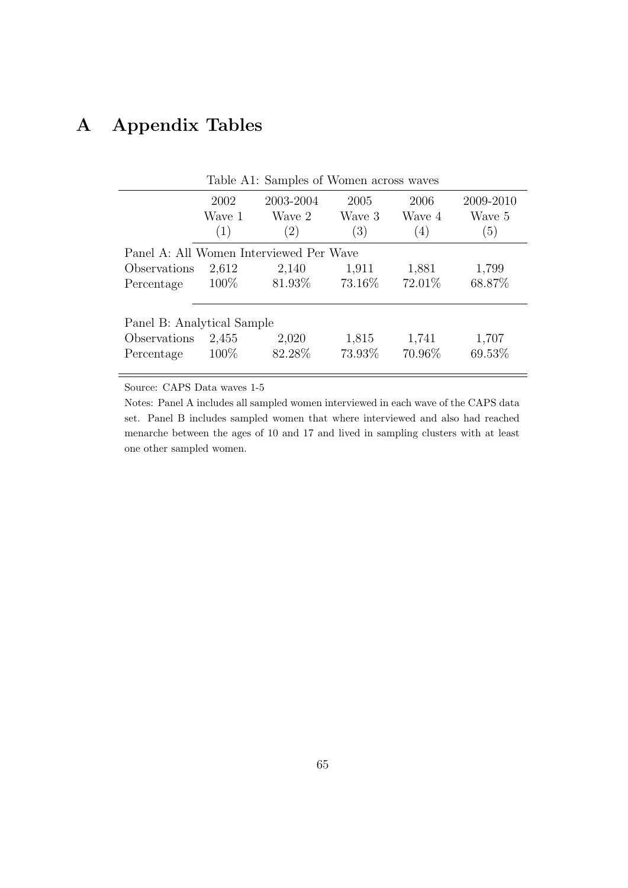# A Appendix Tables

|                                         |         | Table A1: Samples of Women across waves |         |         |           |
|-----------------------------------------|---------|-----------------------------------------|---------|---------|-----------|
|                                         | 2002    | 2003-2004                               | 2005    | 2006    | 2009-2010 |
|                                         | Wave 1  | Wave 2                                  | Wave 3  | Wave 4  | Wave 5    |
|                                         | (1)     | (2)                                     | (3)     | (4)     | (5)       |
| Panel A: All Women Interviewed Per Wave |         |                                         |         |         |           |
| Observations                            | 2,612   | 2,140                                   | 1,911   | 1,881   | 1,799     |
| Percentage                              | $100\%$ | 81.93%                                  | 73.16\% | 72.01\% | 68.87%    |
| Panel B: Analytical Sample              |         |                                         |         |         |           |
| Observations                            | 2,455   | 2,020                                   | 1,815   | 1,741   | 1,707     |
| Percentage                              | $100\%$ | 82.28%                                  | 73.93%  | 70.96%  | 69.53%    |

Source: CAPS Data waves 1-5

Notes: Panel A includes all sampled women interviewed in each wave of the CAPS data set. Panel B includes sampled women that where interviewed and also had reached menarche between the ages of 10 and 17 and lived in sampling clusters with at least one other sampled women.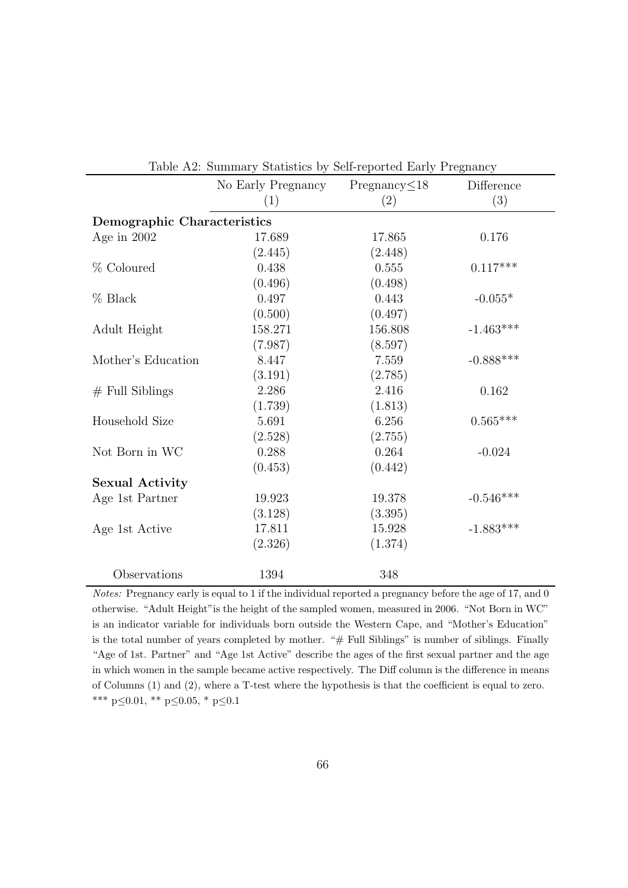|                             | Table A2. Duminary Diatistics by Defi-reported Early 1 regularity |                     |             |
|-----------------------------|-------------------------------------------------------------------|---------------------|-------------|
|                             | No Early Pregnancy                                                | Pregnancy $\leq$ 18 | Difference  |
|                             | (1)                                                               | (2)                 | (3)         |
| Demographic Characteristics |                                                                   |                     |             |
| Age in $2002$               | 17.689                                                            | 17.865              | 0.176       |
|                             | (2.445)                                                           | (2.448)             |             |
| % Coloured                  | 0.438                                                             | 0.555               | $0.117***$  |
|                             | (0.496)                                                           | (0.498)             |             |
| $%$ Black                   | 0.497                                                             | 0.443               | $-0.055*$   |
|                             | (0.500)                                                           | (0.497)             |             |
| Adult Height                | 158.271                                                           | 156.808             | $-1.463***$ |
|                             | (7.987)                                                           | (8.597)             |             |
| Mother's Education          | 8.447                                                             | 7.559               | $-0.888***$ |
|                             | (3.191)                                                           | (2.785)             |             |
| $#$ Full Siblings           | 2.286                                                             | 2.416               | 0.162       |
|                             | (1.739)                                                           | (1.813)             |             |
| Household Size              | 5.691                                                             | 6.256               | $0.565***$  |
|                             | (2.528)                                                           | (2.755)             |             |
| Not Born in WC              | 0.288                                                             | 0.264               | $-0.024$    |
|                             | (0.453)                                                           | (0.442)             |             |
| <b>Sexual Activity</b>      |                                                                   |                     |             |
| Age 1st Partner             | 19.923                                                            | 19.378              | $-0.546***$ |
|                             | (3.128)                                                           | (3.395)             |             |
| Age 1st Active              | 17.811                                                            | 15.928              | $-1.883***$ |
|                             | (2.326)                                                           | (1.374)             |             |
| Observations                | 1394                                                              | 348                 |             |

Table A2: Summary Statistics by Self-reported Early Pregnancy

Notes: Pregnancy early is equal to 1 if the individual reported a pregnancy before the age of 17, and 0 otherwise. "Adult Height"is the height of the sampled women, measured in 2006. "Not Born in WC" is an indicator variable for individuals born outside the Western Cape, and "Mother's Education" is the total number of years completed by mother. "# Full Siblings" is number of siblings. Finally "Age of 1st. Partner" and "Age 1st Active" describe the ages of the first sexual partner and the age in which women in the sample became active respectively. The Diff column is the difference in means of Columns (1) and (2), where a T-test where the hypothesis is that the coefficient is equal to zero. \*\*\* p≤0.01, \*\* p≤0.05, \* p≤0.1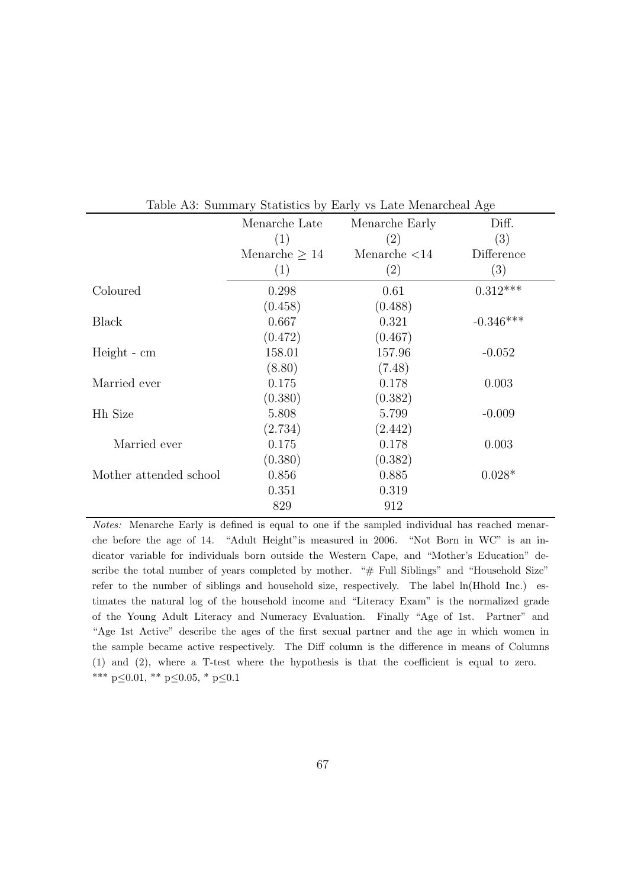|                        | Menarche Late      | Menarche Early  | Diff.       |
|------------------------|--------------------|-----------------|-------------|
|                        | (1)                | (2)             | (3)         |
|                        | Menarche $\geq 14$ | Menarche $<$ 14 | Difference  |
|                        | (1)                | (2)             | (3)         |
| Coloured               | 0.298              | 0.61            | $0.312***$  |
|                        | (0.458)            | (0.488)         |             |
| Black                  | 0.667              | 0.321           | $-0.346***$ |
|                        | (0.472)            | (0.467)         |             |
| Height - cm            | 158.01             | 157.96          | $-0.052$    |
|                        | (8.80)             | (7.48)          |             |
| Married ever           | 0.175              | 0.178           | 0.003       |
|                        | (0.380)            | (0.382)         |             |
| <b>Hh Size</b>         | 5.808              | 5.799           | $-0.009$    |
|                        | (2.734)            | (2.442)         |             |
| Married ever           | 0.175              | 0.178           | 0.003       |
|                        | (0.380)            | (0.382)         |             |
| Mother attended school | 0.856              | 0.885           | $0.028*$    |
|                        | 0.351              | 0.319           |             |
|                        | 829                | 912             |             |

Table A3: Summary Statistics by Early vs Late Menarcheal Age

Notes: Menarche Early is defined is equal to one if the sampled individual has reached menarche before the age of 14. "Adult Height"is measured in 2006. "Not Born in WC" is an indicator variable for individuals born outside the Western Cape, and "Mother's Education" describe the total number of years completed by mother. "# Full Siblings" and "Household Size" refer to the number of siblings and household size, respectively. The label ln(Hhold Inc.) estimates the natural log of the household income and "Literacy Exam" is the normalized grade of the Young Adult Literacy and Numeracy Evaluation. Finally "Age of 1st. Partner" and "Age 1st Active" describe the ages of the first sexual partner and the age in which women in the sample became active respectively. The Diff column is the difference in means of Columns (1) and (2), where a T-test where the hypothesis is that the coefficient is equal to zero. \*\*\* p≤0.01, \*\* p≤0.05, \* p≤0.1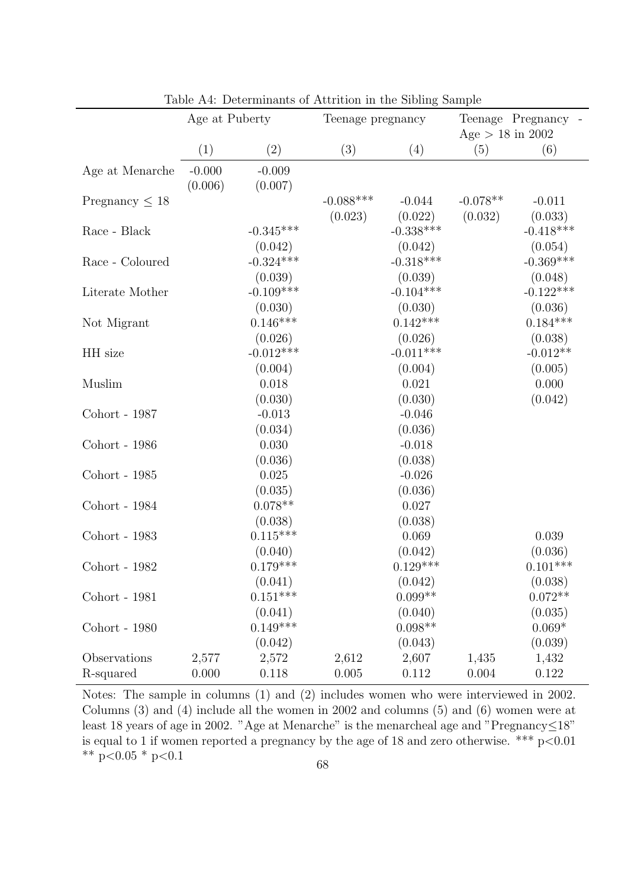|                           | Age at Puberty      |                                  | Teenage pregnancy       |                                 | $Age > 18$ in 2002    | Teenage Pregnancy -             |
|---------------------------|---------------------|----------------------------------|-------------------------|---------------------------------|-----------------------|---------------------------------|
|                           | (1)                 | (2)                              | (3)                     | (4)                             | (5)                   | (6)                             |
| Age at Menarche           | $-0.000$<br>(0.006) | $-0.009$<br>(0.007)              |                         |                                 |                       |                                 |
| Pregnancy $\leq 18$       |                     |                                  | $-0.088$ ***<br>(0.023) | $-0.044$<br>(0.022)             | $-0.078**$<br>(0.032) | $-0.011$<br>(0.033)             |
| Race - Black              |                     | $-0.345***$<br>(0.042)           |                         | $-0.338***$<br>(0.042)          |                       | $-0.418***$<br>(0.054)          |
| Race - Coloured           |                     | $-0.324***$<br>(0.039)           |                         | $-0.318***$<br>(0.039)          |                       | $-0.369***$<br>(0.048)          |
| Literate Mother           |                     | $-0.109***$<br>(0.030)           |                         | $-0.104***$<br>(0.030)          |                       | $-0.122***$<br>(0.036)          |
| Not Migrant               |                     | $0.146***$<br>(0.026)            |                         | $0.142***$<br>(0.026)           |                       | $0.184***$<br>(0.038)           |
| HH size                   |                     | $-0.012***$<br>(0.004)           |                         | $-0.011***$<br>(0.004)          |                       | $-0.012**$<br>(0.005)           |
| Muslim                    |                     | 0.018                            |                         | 0.021                           |                       | 0.000                           |
| Cohort - 1987             |                     | (0.030)<br>$-0.013$              |                         | (0.030)<br>$-0.046$             |                       | (0.042)                         |
| Cohort - 1986             |                     | (0.034)<br>0.030                 |                         | (0.036)<br>$-0.018$             |                       |                                 |
| Cohort - 1985             |                     | (0.036)<br>0.025                 |                         | (0.038)<br>$-0.026$             |                       |                                 |
| Cohort - 1984             |                     | (0.035)<br>$0.078**$             |                         | (0.036)<br>0.027                |                       |                                 |
| Cohort - 1983             |                     | (0.038)<br>$0.115***$            |                         | (0.038)<br>0.069                |                       | 0.039                           |
| Cohort - 1982             |                     | (0.040)<br>$0.179***$            |                         | (0.042)<br>$0.129***$           |                       | (0.036)<br>$0.101***$           |
| Cohort - 1981             |                     | (0.041)<br>$0.151***$<br>(0.041) |                         | (0.042)<br>$0.099**$<br>(0.040) |                       | (0.038)<br>$0.072**$<br>(0.035) |
| Cohort - 1980             |                     | $0.149***$<br>(0.042)            |                         | $0.098**$<br>(0.043)            |                       | $0.069*$<br>(0.039)             |
| Observations<br>R-squared | 2,577<br>0.000      | 2,572<br>0.118                   | 2,612<br>0.005          | 2,607<br>0.112                  | 1,435<br>0.004        | 1,432<br>0.122                  |

Table A4: Determinants of Attrition in the Sibling Sample

Notes: The sample in columns (1) and (2) includes women who were interviewed in 2002. Columns (3) and (4) include all the women in 2002 and columns (5) and (6) women were at least 18 years of age in 2002. "Age at Menarche" is the menarcheal age and "Pregnancy≤18" is equal to 1 if women reported a pregnancy by the age of 18 and zero otherwise. \*\*\*  $p<0.01$ \*\* p<0.05 \* p<0.1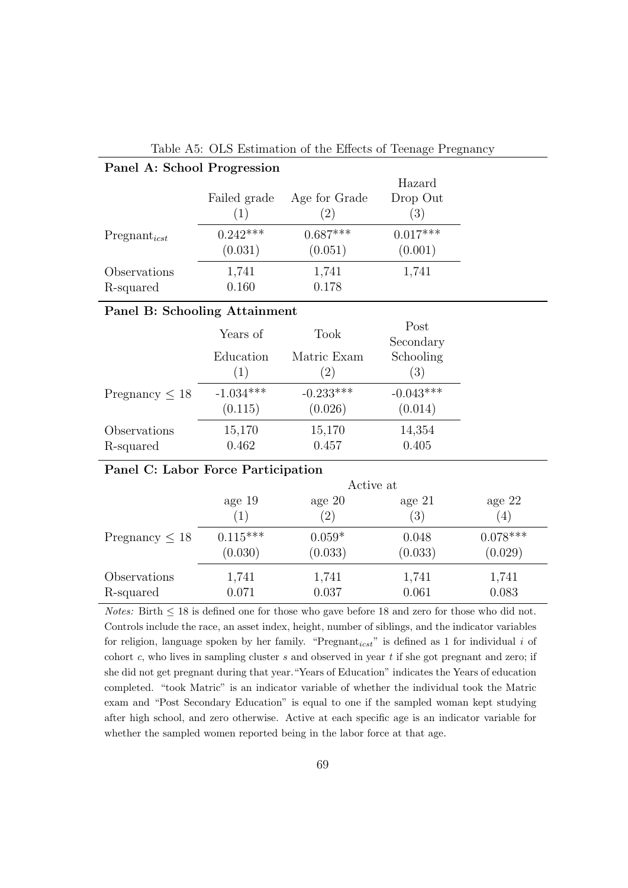| Panel A: School Progression |              |               |            |
|-----------------------------|--------------|---------------|------------|
|                             |              |               | Hazard     |
|                             | Failed grade | Age for Grade | Drop Out   |
|                             | (1)          | (2)           | (3)        |
| $Pregnant_{icst}$           | $0.242***$   | $0.687***$    | $0.017***$ |
|                             | (0.031)      | (0.051)       | (0.001)    |
| Observations                | 1,741        | 1,741         | 1,741      |
| R-squared                   | 0.160        | 0.178         |            |

### Table A5: OLS Estimation of the Effects of Teenage Pregnancy

#### Panel B: Schooling Attainment

|                        | Years of    | <b>Took</b> | Post<br>Secondary |
|------------------------|-------------|-------------|-------------------|
|                        | Education   | Matric Exam | Schooling         |
|                        | (1)         | $^{(2)}$    | $\left( 3\right)$ |
| $P$ regnancy $\leq 18$ | $-1.034***$ | $-0.233***$ | $-0.043***$       |
|                        | (0.115)     | (0.026)     | (0.014)           |
| Observations           | 15,170      | 15,170      | 14,354            |
| R-squared              | 0.462       | 0.457       | 0.405             |

## Panel C: Labor Force Participation

|                           | Active at             |                     |                  |                       |  |  |  |
|---------------------------|-----------------------|---------------------|------------------|-----------------------|--|--|--|
|                           | age 19                | age $20$            | age $21$         | age $22$              |  |  |  |
|                           | (1)                   | $\left( 2\right)$   | (3)              | (4)                   |  |  |  |
| Pregnancy $\leq 18$       | $0.115***$<br>(0.030) | $0.059*$<br>(0.033) | 0.048<br>(0.033) | $0.078***$<br>(0.029) |  |  |  |
| Observations<br>R-squared | 1,741<br>0.071        | 1,741<br>0.037      | 1,741<br>0.061   | 1,741<br>0.083        |  |  |  |

Notes: Birth  $\leq 18$  is defined one for those who gave before 18 and zero for those who did not. Controls include the race, an asset index, height, number of siblings, and the indicator variables for religion, language spoken by her family. "Pregnant $_{icst}$ " is defined as 1 for individual i of cohort c, who lives in sampling cluster s and observed in year  $t$  if she got pregnant and zero; if she did not get pregnant during that year."Years of Education" indicates the Years of education completed. "took Matric" is an indicator variable of whether the individual took the Matric exam and "Post Secondary Education" is equal to one if the sampled woman kept studying after high school, and zero otherwise. Active at each specific age is an indicator variable for whether the sampled women reported being in the labor force at that age.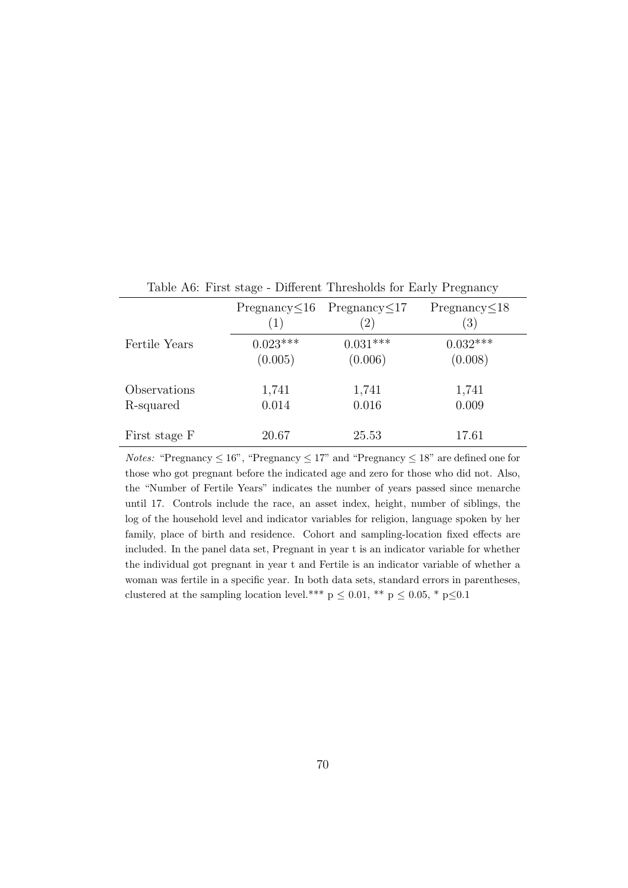|               | (1)        | $Pregnancy \leq 16$ Pregnancy $\leq 17$ | $P$ regnancy $\leq$ 18<br>(3) |
|---------------|------------|-----------------------------------------|-------------------------------|
| Fertile Years | $0.023***$ | $0.031***$                              | $0.032***$                    |
|               | (0.005)    | (0.006)                                 | (0.008)                       |
| Observations  | 1,741      | 1,741                                   | 1,741                         |
| R-squared     | 0.014      | 0.016                                   | 0.009                         |
| First stage F | 20.67      | 25.53                                   | 17.61                         |

Table A6: First stage - Different Thresholds for Early Pregnancy

*Notes:* "Pregnancy  $\leq 16$ ", "Pregnancy  $\leq 17$ " and "Pregnancy  $\leq 18$ " are defined one for those who got pregnant before the indicated age and zero for those who did not. Also, the "Number of Fertile Years" indicates the number of years passed since menarche until 17. Controls include the race, an asset index, height, number of siblings, the log of the household level and indicator variables for religion, language spoken by her family, place of birth and residence. Cohort and sampling-location fixed effects are included. In the panel data set, Pregnant in year t is an indicator variable for whether the individual got pregnant in year t and Fertile is an indicator variable of whether a woman was fertile in a specific year. In both data sets, standard errors in parentheses, clustered at the sampling location level.\*\*\*  $p \leq 0.01$ , \*\*  $p \leq 0.05$ , \*  $p \leq 0.1$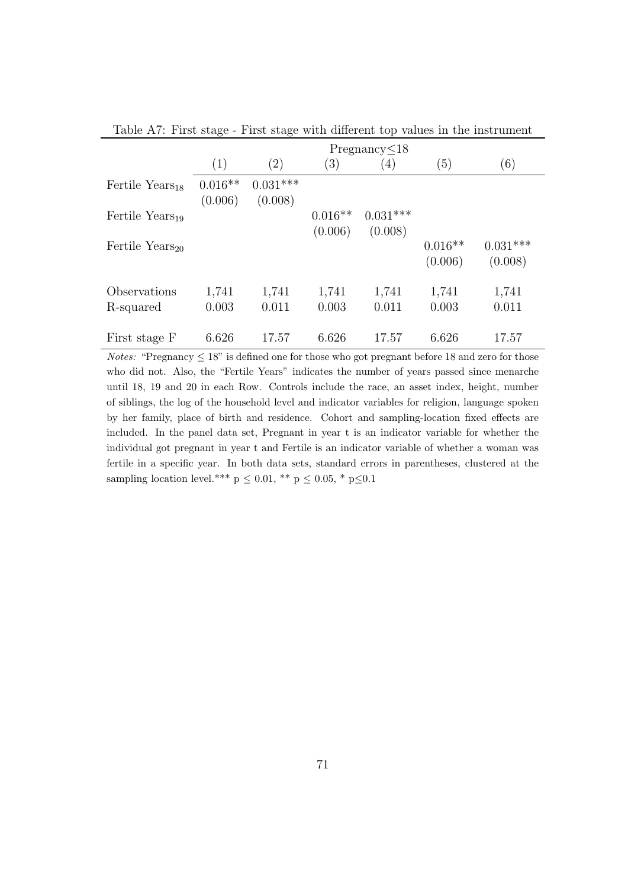|                             | Pregnancy<18         |                       |                      |                       |                      |                       |  |  |
|-----------------------------|----------------------|-----------------------|----------------------|-----------------------|----------------------|-----------------------|--|--|
|                             | $\left( 1\right)$    | $\left( 2\right)$     | $\left(3\right)$     | $\left(4\right)$      | (5)                  | (6)                   |  |  |
| Fertile Years <sub>18</sub> | $0.016**$<br>(0.006) | $0.031***$<br>(0.008) |                      |                       |                      |                       |  |  |
| Fertile Years <sub>19</sub> |                      |                       | $0.016**$<br>(0.006) | $0.031***$<br>(0.008) |                      |                       |  |  |
| Fertile Years <sub>20</sub> |                      |                       |                      |                       | $0.016**$<br>(0.006) | $0.031***$<br>(0.008) |  |  |
| Observations                | 1,741                | 1,741                 | 1,741                | 1,741                 | 1,741                | 1,741                 |  |  |
| R-squared                   | 0.003                | 0.011                 | 0.003                | 0.011                 | 0.003                | 0.011                 |  |  |
| First stage F               | 6.626                | 17.57                 | 6.626                | 17.57                 | 6.626                | 17.57                 |  |  |

Table A7: First stage - First stage with different top values in the instrument

*Notes:* "Pregnancy  $\leq 18$ " is defined one for those who got pregnant before 18 and zero for those who did not. Also, the "Fertile Years" indicates the number of years passed since menarche until 18, 19 and 20 in each Row. Controls include the race, an asset index, height, number of siblings, the log of the household level and indicator variables for religion, language spoken by her family, place of birth and residence. Cohort and sampling-location fixed effects are included. In the panel data set, Pregnant in year t is an indicator variable for whether the individual got pregnant in year t and Fertile is an indicator variable of whether a woman was fertile in a specific year. In both data sets, standard errors in parentheses, clustered at the sampling location level.\*\*\* p  $\leq$  0.01, \*\* p  $\leq$  0.05, \* p $\leq$  0.1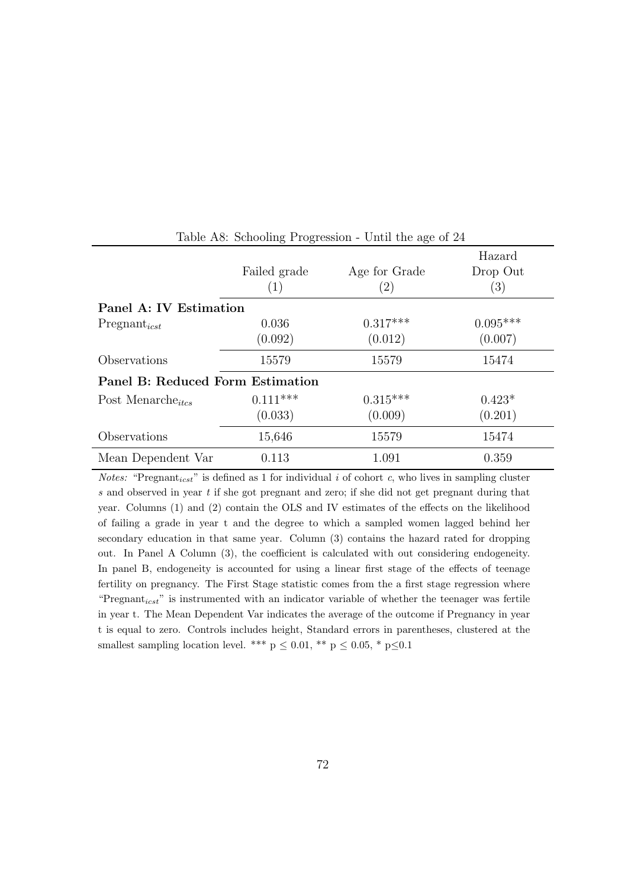|                                  | Failed grade<br>(1) | Age for Grade<br>$\left( 2\right)$ | Hazard<br>Drop Out<br>$\left(3\right)$ |
|----------------------------------|---------------------|------------------------------------|----------------------------------------|
| Panel A: IV Estimation           |                     |                                    |                                        |
| $Pregnant_{icst}$                | 0.036               | $0.317***$                         | $0.095***$                             |
|                                  | (0.092)             | (0.012)                            | (0.007)                                |
| Observations                     | 15579               | 15579                              | 15474                                  |
| Panel B: Reduced Form Estimation |                     |                                    |                                        |
| Post Menarche <sub>itcs</sub>    | $0.111***$          | $0.315***$                         | $0.423*$                               |
|                                  | (0.033)             | (0.009)                            | (0.201)                                |
| Observations                     | 15,646              | 15579                              | 15474                                  |
| Mean Dependent Var               | 0.113               | 1.091                              | 0.359                                  |

Table A8: Schooling Progression - Until the age of 24

*Notes:* "Pregnant<sub>icst</sub>" is defined as 1 for individual i of cohort c, who lives in sampling cluster s and observed in year  $t$  if she got pregnant and zero; if she did not get pregnant during that year. Columns (1) and (2) contain the OLS and IV estimates of the effects on the likelihood of failing a grade in year t and the degree to which a sampled women lagged behind her secondary education in that same year. Column (3) contains the hazard rated for dropping out. In Panel A Column (3), the coefficient is calculated with out considering endogeneity. In panel B, endogeneity is accounted for using a linear first stage of the effects of teenage fertility on pregnancy. The First Stage statistic comes from the a first stage regression where "Pregnant $_{icst}$ " is instrumented with an indicator variable of whether the teenager was fertile in year t. The Mean Dependent Var indicates the average of the outcome if Pregnancy in year t is equal to zero. Controls includes height, Standard errors in parentheses, clustered at the smallest sampling location level. \*\*\*  $p \leq 0.01$ , \*\*  $p \leq 0.05$ , \*  $p \leq 0.1$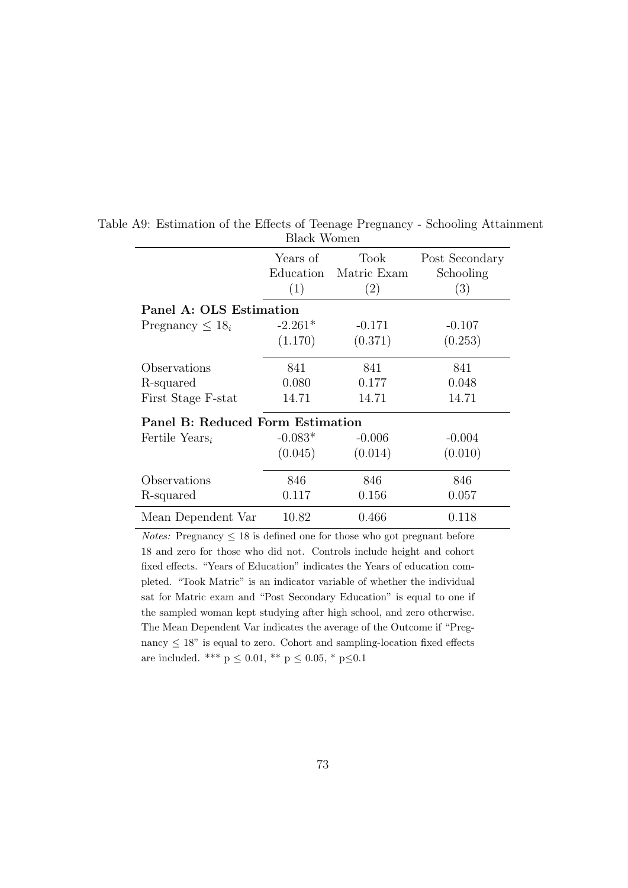|                                  | Years of  | Took        | Post Secondary |
|----------------------------------|-----------|-------------|----------------|
|                                  | Education | Matric Exam | Schooling      |
|                                  | (1)       | (2)         | (3)            |
| Panel A: OLS Estimation          |           |             |                |
| Pregnancy $\leq 18_i$            | $-2.261*$ | $-0.171$    | $-0.107$       |
|                                  | (1.170)   | (0.371)     | (0.253)        |
| Observations                     | 841       | 841         | 841            |
| R-squared                        | 0.080     | 0.177       | 0.048          |
| First Stage F-stat               | 14.71     | 14.71       | 14.71          |
| Panel B: Reduced Form Estimation |           |             |                |
| Fertile Years <sub>i</sub>       | $-0.083*$ | $-0.006$    | $-0.004$       |
|                                  | (0.045)   | (0.014)     | (0.010)        |
| Observations                     | 846       | 846         | 846            |
| R-squared                        | 0.117     | 0.156       | 0.057          |
| Mean Dependent Var               | 10.82     | 0.466       | 0.118          |

Table A9: Estimation of the Effects of Teenage Pregnancy - Schooling Attainment Black Women

*Notes:* Pregnancy  $\leq 18$  is defined one for those who got pregnant before 18 and zero for those who did not. Controls include height and cohort fixed effects. "Years of Education" indicates the Years of education completed. "Took Matric" is an indicator variable of whether the individual sat for Matric exam and "Post Secondary Education" is equal to one if the sampled woman kept studying after high school, and zero otherwise. The Mean Dependent Var indicates the average of the Outcome if "Pregnancy  $\leq 18$ " is equal to zero. Cohort and sampling-location fixed effects are included. \*\*\*  $p \leq 0.01$ , \*\*  $p \leq 0.05$ , \*  $p \leq 0.1$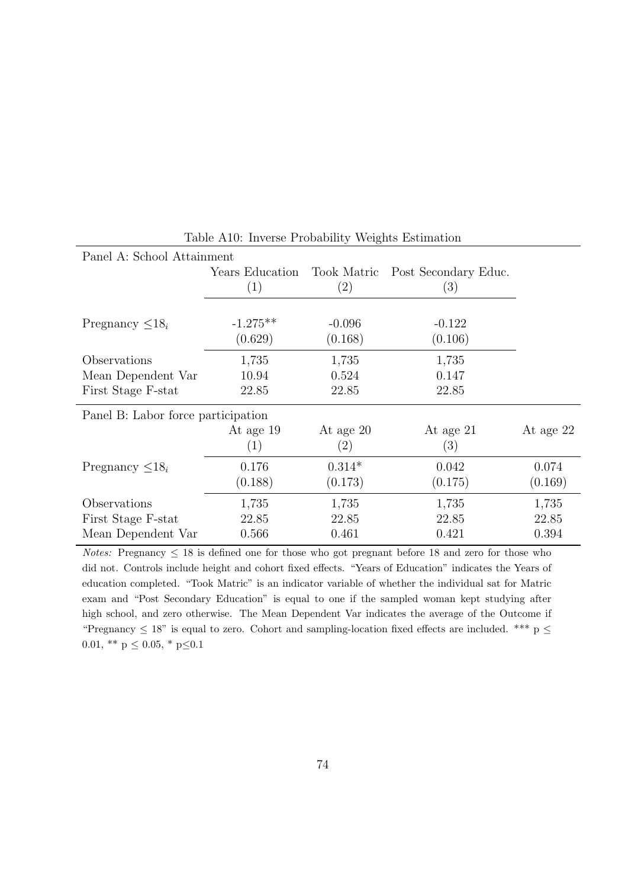| Panel A: School Attainment                               |                         |                                |                             |                         |
|----------------------------------------------------------|-------------------------|--------------------------------|-----------------------------|-------------------------|
|                                                          | Years Education<br>(1)  | Took Matric<br>(2)             | Post Secondary Educ.<br>(3) |                         |
| Pregnancy $\leq 18_i$                                    | $-1.275**$<br>(0.629)   | $-0.096$<br>(0.168)            | $-0.122$<br>(0.106)         |                         |
| Observations                                             | 1,735                   | 1,735                          | 1,735                       |                         |
| Mean Dependent Var                                       | 10.94                   | 0.524                          | 0.147                       |                         |
| First Stage F-stat                                       | 22.85                   | 22.85                          | 22.85                       |                         |
| Panel B: Labor force participation                       |                         |                                |                             |                         |
|                                                          | At age 19<br>(1)        | At age 20<br>$\left( 2\right)$ | At age 21<br>(3)            | At age 22               |
| Pregnancy $\leq 18_i$                                    | 0.176<br>(0.188)        | $0.314*$<br>(0.173)            | 0.042<br>(0.175)            | 0.074<br>(0.169)        |
| Observations<br>First Stage F-stat<br>Mean Dependent Var | 1,735<br>22.85<br>0.566 | 1,735<br>22.85<br>0.461        | 1,735<br>22.85<br>0.421     | 1,735<br>22.85<br>0.394 |
|                                                          |                         |                                |                             |                         |

Table A10: Inverse Probability Weights Estimation

Notes: Pregnancy  $\leq 18$  is defined one for those who got pregnant before 18 and zero for those who did not. Controls include height and cohort fixed effects. "Years of Education" indicates the Years of education completed. "Took Matric" is an indicator variable of whether the individual sat for Matric exam and "Post Secondary Education" is equal to one if the sampled woman kept studying after high school, and zero otherwise. The Mean Dependent Var indicates the average of the Outcome if "Pregnancy  $\leq$  18" is equal to zero. Cohort and sampling-location fixed effects are included. \*\*\* p  $\leq$ 0.01, \*\*  $p \le 0.05$ , \*  $p \le 0.1$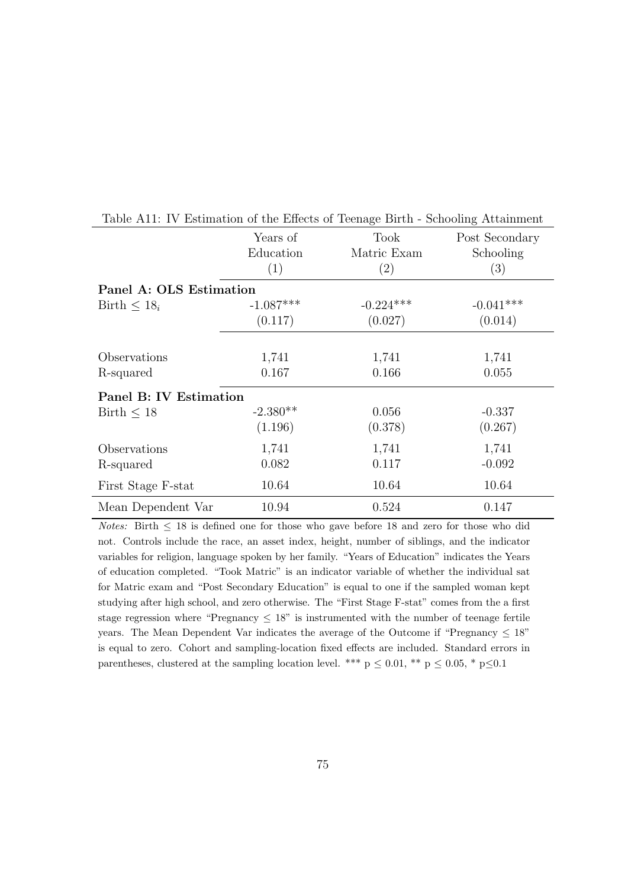|                         | Years of    | Took        | Post Secondary |
|-------------------------|-------------|-------------|----------------|
|                         | Education   | Matric Exam | Schooling      |
|                         | (1)         | (2)         | (3)            |
| Panel A: OLS Estimation |             |             |                |
| Birth $\leq 18_i$       | $-1.087***$ | $-0.224***$ | $-0.041***$    |
|                         | (0.117)     | (0.027)     | (0.014)        |
|                         |             |             |                |
| Observations            | 1,741       | 1,741       | 1,741          |
| R-squared               | 0.167       | 0.166       | 0.055          |
| Panel B: IV Estimation  |             |             |                |
| Birth $< 18$            | $-2.380**$  | 0.056       | $-0.337$       |
|                         | (1.196)     | (0.378)     | (0.267)        |
| Observations            | 1,741       | 1,741       | 1,741          |
| R-squared               | 0.082       | 0.117       | $-0.092$       |
| First Stage F-stat      | 10.64       | 10.64       | 10.64          |
| Mean Dependent Var      | 10.94       | 0.524       | 0.147          |

Table A11: IV Estimation of the Effects of Teenage Birth - Schooling Attainment

Notes: Birth  $\leq 18$  is defined one for those who gave before 18 and zero for those who did not. Controls include the race, an asset index, height, number of siblings, and the indicator variables for religion, language spoken by her family. "Years of Education" indicates the Years of education completed. "Took Matric" is an indicator variable of whether the individual sat for Matric exam and "Post Secondary Education" is equal to one if the sampled woman kept studying after high school, and zero otherwise. The "First Stage F-stat" comes from the a first stage regression where "Pregnancy  $\leq 18$ " is instrumented with the number of teenage fertile years. The Mean Dependent Var indicates the average of the Outcome if "Pregnancy  $\leq 18$ " is equal to zero. Cohort and sampling-location fixed effects are included. Standard errors in parentheses, clustered at the sampling location level. \*\*\*  $p \leq 0.01$ , \*\*  $p \leq 0.05$ , \*  $p \leq 0.1$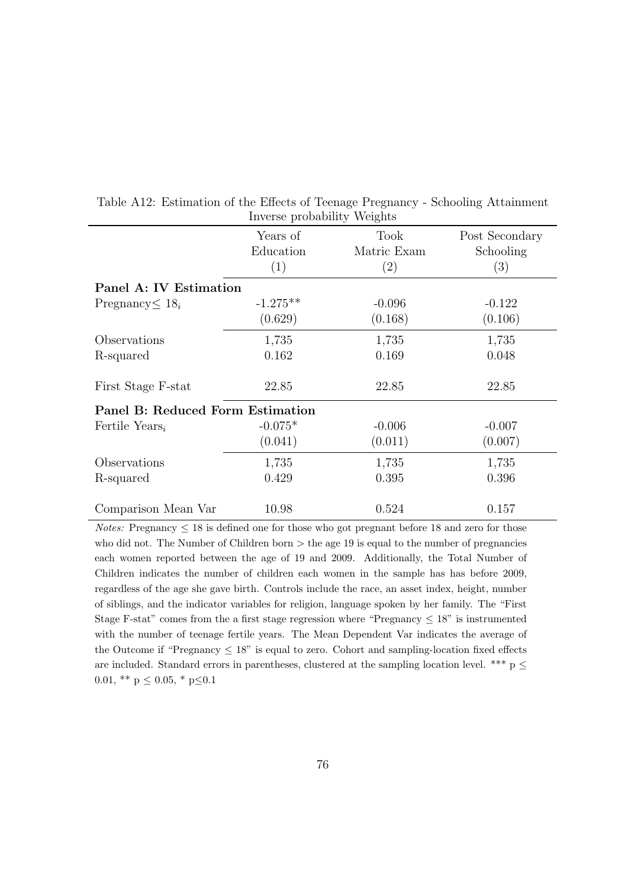|                                  | $\text{m} \cdot \text{0.00} \cdot \text{pt} \cdot \text{0.00} \cdot \text{m} \cdot \text{pt}$ |                     |                             |
|----------------------------------|-----------------------------------------------------------------------------------------------|---------------------|-----------------------------|
|                                  | Years of<br>Education                                                                         | Took<br>Matric Exam | Post Secondary<br>Schooling |
|                                  | (1)                                                                                           | (2)                 | (3)                         |
| Panel A: IV Estimation           |                                                                                               |                     |                             |
| Pregnancy $\leq 18_i$            | $-1.275**$                                                                                    | $-0.096$            | $-0.122$                    |
|                                  | (0.629)                                                                                       | (0.168)             | (0.106)                     |
| Observations                     | 1,735                                                                                         | 1,735               | 1,735                       |
| R-squared                        | 0.162                                                                                         | 0.169               | 0.048                       |
| First Stage F-stat               | 22.85                                                                                         | 22.85               | 22.85                       |
| Panel B: Reduced Form Estimation |                                                                                               |                     |                             |
| Fertile Years <sub>i</sub>       | $-0.075*$                                                                                     | $-0.006$            | $-0.007$                    |
|                                  | (0.041)                                                                                       | (0.011)             | (0.007)                     |
| Observations                     | 1,735                                                                                         | 1,735               | 1,735                       |
| R-squared                        | 0.429                                                                                         | 0.395               | 0.396                       |
| Comparison Mean Var              | 10.98                                                                                         | 0.524               | 0.157                       |

Table A12: Estimation of the Effects of Teenage Pregnancy - Schooling Attainment Inverse probability Weights

 $Notes:$  Pregnancy  $\leq 18$  is defined one for those who got pregnant before 18 and zero for those who did not. The Number of Children born  $>$  the age 19 is equal to the number of pregnancies each women reported between the age of 19 and 2009. Additionally, the Total Number of Children indicates the number of children each women in the sample has has before 2009, regardless of the age she gave birth. Controls include the race, an asset index, height, number of siblings, and the indicator variables for religion, language spoken by her family. The "First Stage F-stat" comes from the a first stage regression where "Pregnancy  $\leq 18$ " is instrumented with the number of teenage fertile years. The Mean Dependent Var indicates the average of the Outcome if "Pregnancy  $\leq 18$ " is equal to zero. Cohort and sampling-location fixed effects are included. Standard errors in parentheses, clustered at the sampling location level. \*\*\*  $p \leq$ 0.01, \*\* p $\leq$  0.05, \* p $\leq$  0.1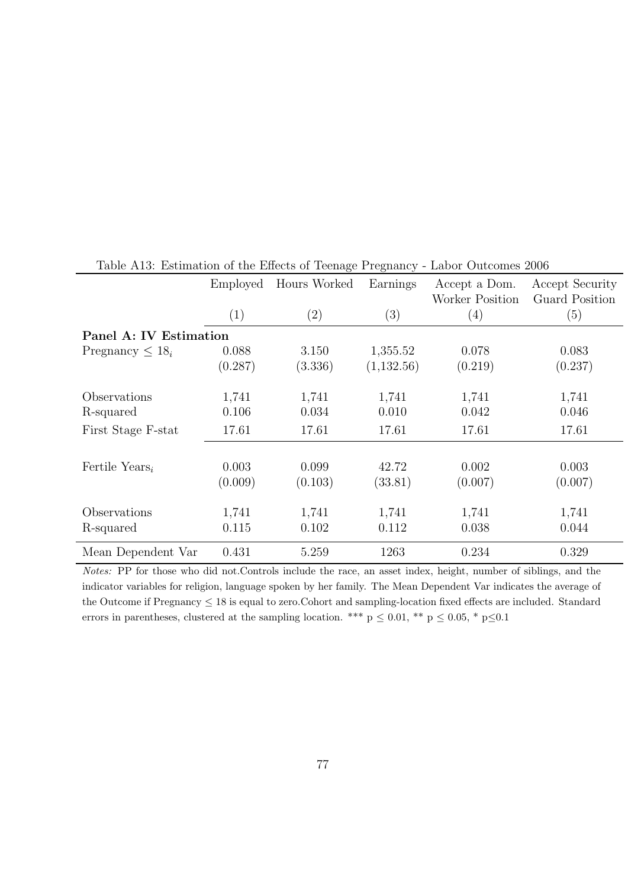|                            | Employed<br>(1)  | Hours Worked<br>$\left( 2\right)$ | Earnings<br>(3)  | Accept a Dom.<br>Worker Position<br>(4) | Accept Security<br><b>Guard Position</b><br>(5) |
|----------------------------|------------------|-----------------------------------|------------------|-----------------------------------------|-------------------------------------------------|
|                            |                  |                                   |                  |                                         |                                                 |
| Panel A: IV Estimation     |                  |                                   |                  |                                         |                                                 |
| Pregnancy $\leq 18_i$      | 0.088            | 3.150                             | 1,355.52         | 0.078                                   | 0.083                                           |
|                            | (0.287)          | (3.336)                           | (1,132.56)       | (0.219)                                 | (0.237)                                         |
| Observations               | 1,741            | 1,741                             | 1,741            | 1,741                                   | 1,741                                           |
| R-squared                  | 0.106            | 0.034                             | 0.010            | 0.042                                   | 0.046                                           |
| First Stage F-stat         | 17.61            | 17.61                             | 17.61            | 17.61                                   | 17.61                                           |
| Fertile Years <sub>i</sub> | 0.003<br>(0.009) | 0.099<br>(0.103)                  | 42.72<br>(33.81) | 0.002<br>(0.007)                        | 0.003<br>(0.007)                                |
| Observations<br>R-squared  | 1,741<br>0.115   | 1,741<br>0.102                    | 1,741<br>0.112   | 1,741<br>0.038                          | 1,741<br>0.044                                  |
| Mean Dependent Var         | 0.431            | 5.259                             | 1263             | 0.234                                   | 0.329                                           |

Table A13: Estimation of the Effects of Teenage Pregnancy - Labor Outcomes 2006

Notes: PP for those who did not.Controls include the race, an asset index, height, number of siblings, and the indicator variables for religion, language spoken by her family. The Mean Dependent Var indicates the average of the Outcome if Pregnancy  $\leq 18$  is equal to zero. Cohort and sampling-location fixed effects are included. Standard errors in parentheses, clustered at the sampling location. \*\*\* p  $\leq$  0.01, \*\* p  $\leq$  0.05, \* p $\leq$ 0.1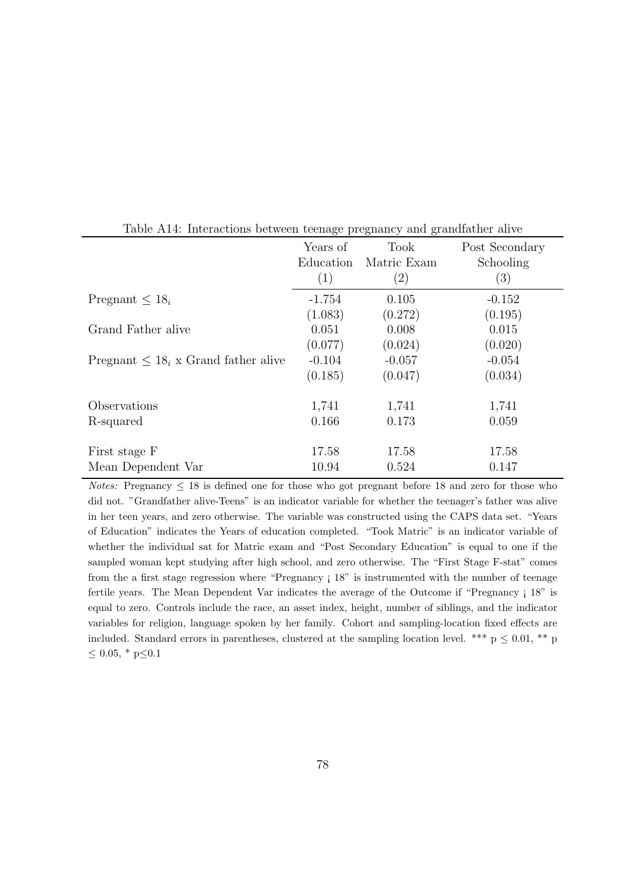|                                           | Years of  | <b>Took</b> | Post Secondary |
|-------------------------------------------|-----------|-------------|----------------|
|                                           | Education | Matric Exam | Schooling      |
|                                           | (1)       | (2)         | (3)            |
| Pregnant $\lt 18_i$                       | $-1.754$  | 0.105       | $-0.152$       |
|                                           | (1.083)   | (0.272)     | (0.195)        |
| Grand Father alive                        | 0.051     | 0.008       | 0.015          |
|                                           | (0.077)   | (0.024)     | (0.020)        |
| Pregnant $\leq 18_i$ x Grand father alive | $-0.104$  | $-0.057$    | $-0.054$       |
|                                           | (0.185)   | (0.047)     | (0.034)        |
| Observations                              | 1,741     | 1,741       | 1,741          |
| R-squared                                 | 0.166     | 0.173       | 0.059          |
| First stage F                             | 17.58     | 17.58       | 17.58          |
| Mean Dependent Var                        | 10.94     | 0.524       | 0.147          |

Table A14: Interactions between teenage pregnancy and grandfather alive

Notes: Pregnancy  $\leq 18$  is defined one for those who got pregnant before 18 and zero for those who did not. "Grandfather alive-Teens" is an indicator variable for whether the teenager's father was alive in her teen years, and zero otherwise. The variable was constructed using the CAPS data set. "Years of Education" indicates the Years of education completed. "Took Matric" is an indicator variable of whether the individual sat for Matric exam and "Post Secondary Education" is equal to one if the sampled woman kept studying after high school, and zero otherwise. The "First Stage F-stat" comes from the a first stage regression where "Pregnancy ¡ 18" is instrumented with the number of teenage fertile years. The Mean Dependent Var indicates the average of the Outcome if "Pregnancy ; 18" is equal to zero. Controls include the race, an asset index, height, number of siblings, and the indicator variables for religion, language spoken by her family. Cohort and sampling-location fixed effects are included. Standard errors in parentheses, clustered at the sampling location level. \*\*\*  $p \leq 0.01$ , \*\* p  $\leq 0.05$ , \* p $\leq 0.1$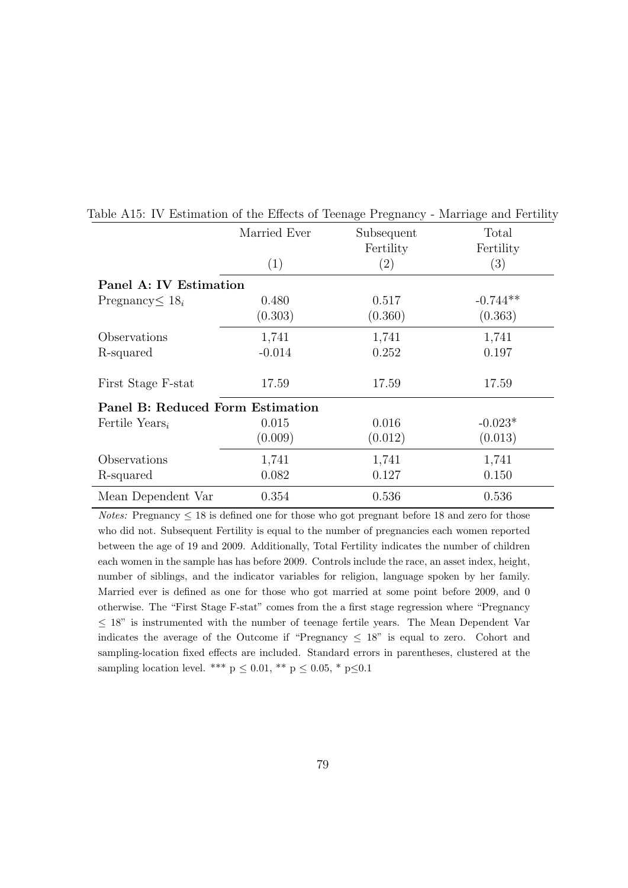|                                  | Married Ever | Subsequent<br>Fertility | Total<br>Fertility |
|----------------------------------|--------------|-------------------------|--------------------|
|                                  | (1)          | $\left( 2\right)$       | (3)                |
| Panel A: IV Estimation           |              |                         |                    |
| Pregnancy $\leq 18_i$            | 0.480        | 0.517                   | $-0.744**$         |
|                                  | (0.303)      | (0.360)                 | (0.363)            |
| Observations                     | 1,741        | 1,741                   | 1,741              |
| R-squared                        | $-0.014$     | 0.252                   | 0.197              |
| First Stage F-stat               | 17.59        | 17.59                   | 17.59              |
| Panel B: Reduced Form Estimation |              |                         |                    |
| Fertile Years <sub>i</sub>       | 0.015        | 0.016                   | $-0.023*$          |
|                                  | (0.009)      | (0.012)                 | (0.013)            |
| Observations                     | 1,741        | 1,741                   | 1,741              |
| R-squared                        | 0.082        | 0.127                   | 0.150              |
| Mean Dependent Var               | 0.354        | 0.536                   | 0.536              |

Table A15: IV Estimation of the Effects of Teenage Pregnancy - Marriage and Fertility

 $Notes:$  Pregnancy  $\leq 18$  is defined one for those who got pregnant before 18 and zero for those who did not. Subsequent Fertility is equal to the number of pregnancies each women reported between the age of 19 and 2009. Additionally, Total Fertility indicates the number of children each women in the sample has has before 2009. Controls include the race, an asset index, height, number of siblings, and the indicator variables for religion, language spoken by her family. Married ever is defined as one for those who got married at some point before 2009, and 0 otherwise. The "First Stage F-stat" comes from the a first stage regression where "Pregnancy  $\leq$  18" is instrumented with the number of teenage fertile years. The Mean Dependent Var indicates the average of the Outcome if "Pregnancy  $\leq 18$ " is equal to zero. Cohort and sampling-location fixed effects are included. Standard errors in parentheses, clustered at the sampling location level. \*\*\* p  $\leq$  0.01, \*\* p  $\leq$  0.05, \* p $\leq$ 0.1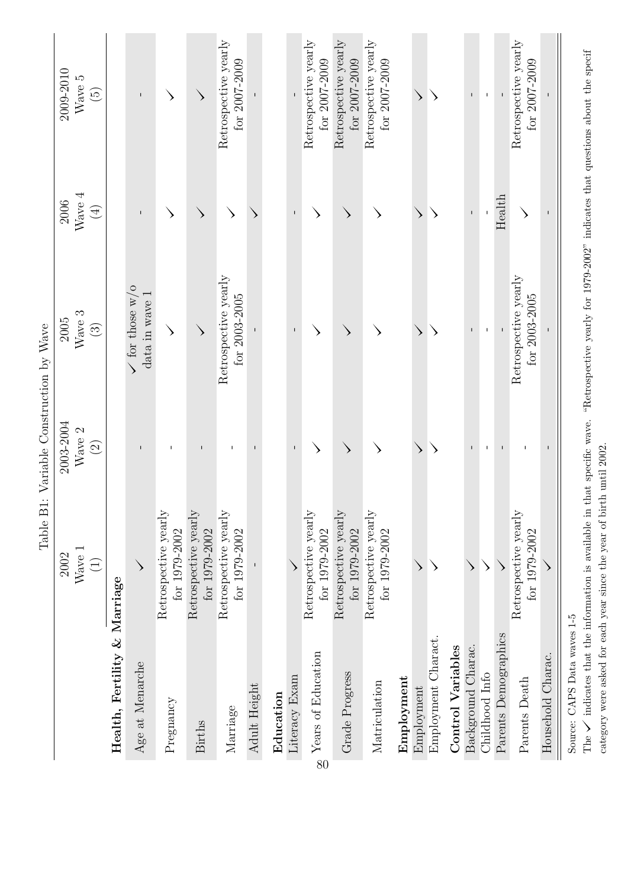|                              | Table B1                                  | Variable Construction by Wave |                                           |              |                                       |
|------------------------------|-------------------------------------------|-------------------------------|-------------------------------------------|--------------|---------------------------------------|
|                              | 2002                                      | 2003-2004                     | 2005                                      | 2006         | 2009-2010                             |
|                              | $W$ ave $1$                               | Wave 2                        | Wave 3                                    | Wave $4$     | Wave 5                                |
|                              | $\widehat{\Xi}$                           | $\widehat{\mathfrak{Q}}$      | $\odot$                                   | $\bigoplus$  | $\widehat{\mathbb{G}}$                |
| Health, Fertility & Marriage |                                           |                               |                                           |              |                                       |
| Age at Menarche              |                                           | $\mathbf{I}$                  | $\sqrt{f}$ or those w/o<br>data in wave 1 | п            | $\mathsf I$                           |
| Pregnancy                    | Retrospective yearly<br>for 1979-2002     | $\mathsf I$                   | ↘                                         |              |                                       |
| <b>Births</b>                | Retrospective yearly<br>for 1979-2002     | $\mathbf I$                   |                                           | ↘            |                                       |
| Marriage                     | Retrospective yearly<br>for 1979-2002     | $\mathbf{I}$                  | Retrospective yearly<br>for 2003-2005     |              | Retrospective yearly<br>for 2007-2009 |
| Adult Height                 |                                           |                               |                                           |              |                                       |
| Education                    |                                           |                               |                                           |              |                                       |
| Literacy Exam                |                                           | $\mathbf I$                   | $\mathbf{I}$                              | $\mathbf{I}$ |                                       |
| Years of Education<br>80     | Retrospective yearly<br>for 1979-2002     | ↘                             | ↘                                         |              | Retrospective yearly<br>for 2007-2009 |
| Grade Progress               | Retrospective yearly<br>for 1979-2002     | $\searrow$                    | ↘                                         |              | Retrospective yearly<br>for 2007-2009 |
| Matriculation                | Retrospective yearly<br>for 1979-2002     |                               |                                           |              | Retrospective yearly<br>for 2007-2009 |
| Employment                   |                                           |                               |                                           |              |                                       |
| Employment                   | ↘                                         | ↘                             | ↘                                         | ↘            |                                       |
| Employment Charact.          |                                           |                               |                                           |              |                                       |
| <b>Control Variables</b>     |                                           |                               |                                           |              |                                       |
| Background Charac.           | $\left\langle \right\rangle$              |                               | $\mathbf{I}$                              |              | $\mathbf{I}$                          |
| Childhood Info               | $\rightarrow$                             |                               | T                                         |              |                                       |
| Parents Demographics         | $\rightarrow$                             | $\mathbf I$                   |                                           | Health       | $\mathbf{I}$                          |
| Parents Death                | Retrospective yearly<br>for $1979 - 2002$ | $\mathbf{I}$                  | Retrospective yearly<br>for $2003 - 2005$ |              | Retrospective yearly<br>for 2007-2009 |
| Household Charac.            |                                           | $\overline{\phantom{a}}$      |                                           |              |                                       |
| Source: CAPS Data waves 1-5  |                                           |                               |                                           |              |                                       |

The  $\checkmark$  indicates that the information is available in that specific wave. "Retrospective yearly for 1979-2002" indicates that questions about the specif The  $\checkmark$  indicates that the information is available in that specific wave. "Retrospective yearly for 1979-2002" indicates that questions about the specif category were asked for each year since the year of birth until 2002. category were asked for each year since the year of birth until 2002.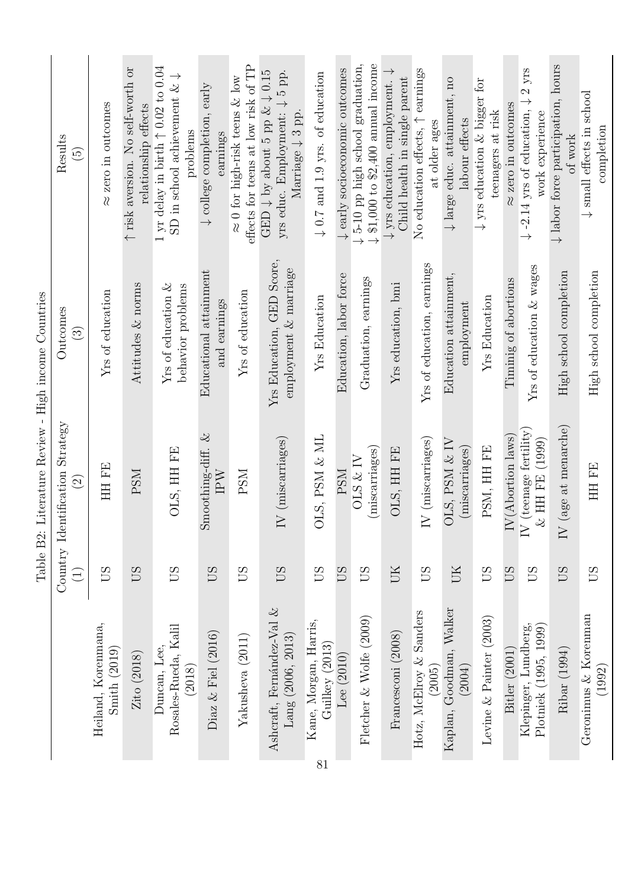|                                                   | <b>JINDT</b>    | MIDDI QUULO TODYIO M<br>י<br>ק                              | COTTOTTO<br>mnoum right                            |                                                                                                                                            |
|---------------------------------------------------|-----------------|-------------------------------------------------------------|----------------------------------------------------|--------------------------------------------------------------------------------------------------------------------------------------------|
|                                                   | $\bigoplus$     | Country Identification Strategy<br>$\widehat{\mathfrak{O}}$ | Outcomes<br>$\widehat{\mathbb{C}}$                 | Results<br>$\widetilde{E}$                                                                                                                 |
| Heiland, Korenmana,<br>Smith(2019)                | <b>CSO</b>      | HH FE                                                       | Yrs of education                                   | $\approx$ zero in outcomes                                                                                                                 |
| $\rm Zito~(2018)$                                 | <b>CSO</b>      | <b>PSM</b>                                                  | Attitudes $&$ norms                                | ↑ risk aversion. No self-worth or<br>relationship effects                                                                                  |
| Rosales-Rueda, Kalil<br>Duncan, Lee,<br>(2018)    | US              | OLS, HH FE                                                  | Yrs of education $\&$<br>behavior problems         | 1 yr delay in birth $\uparrow$ 0.02 to 0.04<br>SD in school achievement $\& \downarrow$<br>problems                                        |
| Diaz $\&$ Fiel (2016)                             | <b>CO</b>       | Smoothing-diff. $\&$<br>IPW                                 | Educational attainment<br>and earnings             | $\downarrow$ college completion, early<br>earnings                                                                                         |
| Yakusheva (2011)                                  | <b>CSO</b>      | <b>NSH</b>                                                  | Yrs of education                                   | effects for teens at low risk of TP<br>$\approx$ 0 for high-risk teens & low                                                               |
| Ashcraft, Fernández-Val $\&$<br>Lang (2006, 2013) | <b>SD</b>       | IV (miscarriages)                                           | Yrs Education, GED Score,<br>employment & marriage | GED $\downarrow$ by about 5 pp & $\downarrow$ 0.15<br>yrs educ. Employment: $\downarrow$ 5 pp.<br>Marriage $\downarrow$ 3 pp.              |
| Kane, Morgan, Harris,<br>Guilkey (2013)           | 50              | OLS, PSM & ML                                               | <b>Yrs Education</b>                               | $\downarrow$ 0.7 and 1.9 yrs. of education                                                                                                 |
| Fletcher & Wolfe (2009)<br>Lee (2010)             | <b>SD</b><br>SD | (miscarriages)<br>OLS & IV<br><b>PSM</b>                    | Education, labor force<br>Graduation, earnings     | $\downarrow$ \$1,000 to \$2,400 annual income<br>$\downarrow$ 5-10 pp high school graduation,<br>$\downarrow$ early socioeconomic outcomes |
| Francesconi (2008)                                | UК              | OLS, HH FE                                                  | Yrs education, bmi                                 | $\downarrow$ yrs education, employment. $\downarrow$<br>Child health in single parent                                                      |
| Hotz, McElroy & Sanders<br>(2005)                 | <b>SD</b>       | $IV$ (miscarriages)                                         | Yrs of education, earnings                         | No education effects, $\uparrow$ earnings<br>at older ages                                                                                 |
| Kaplan, Goodman, Walker<br>(2004)                 | UК              | DLS, PSM & IV<br>(miscarriages)                             | Education attainment,<br>employment                | $\downarrow$ large educ. attainment, no<br>labour effects                                                                                  |
| Levine $&$ Painter (2003)                         | SΩ              | PSM, HH FE                                                  | <b>Yrs Education</b>                               | $\downarrow$ yrs education & bigger for<br>teenagers at risk                                                                               |
| Bitler (2001)                                     | SI              | IV(Abortion laws)                                           | Timinig of abortions                               | $\approx$ zero in outcomes                                                                                                                 |
| Klepinger, Lundberg,<br>Plotniek (1995, 1999)     | <b>SD</b>       | IV (teenage fertility)<br>$\&$ HH FE (1999)                 | Yrs of education $&$ wages                         | $2\ \mathrm{yrs}$<br>$\downarrow$ -2.14 yrs of education, $\downarrow$<br>work experience                                                  |
| Ribar (1994)                                      | SD              | (age at menarche)<br>$\overline{\rm N}$                     | High school completion                             | $\downarrow$ labor force participation, hours<br>of work                                                                                   |
| Geronimus & Korenman<br>(1992)                    | <b>CSO</b>      | HH FE                                                       | High school completion                             | $\downarrow$ small effects in school<br>completion                                                                                         |

Table B2: Literature Review - High income Countries Table B2: Literature Review - High income Countries